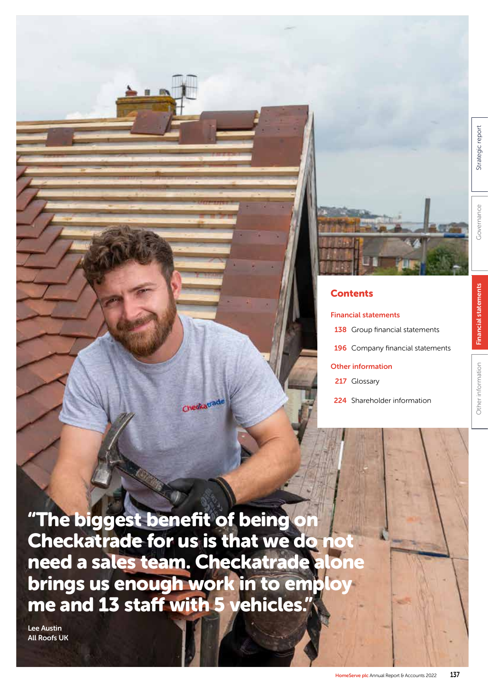

Other information

Other information

217 Glossary

Other information

**Contents** 

Financial statements

224 Shareholder information

138 Group financial statements

196 Company financial statements

"The biggest benefit of being on Checkatrade for us is that we do not need a sales team. Checkatrade alone brings us enough work in to employ me and 13 staff with 5 vehicles."

Checkatrade

Lee Austin All Roofs UK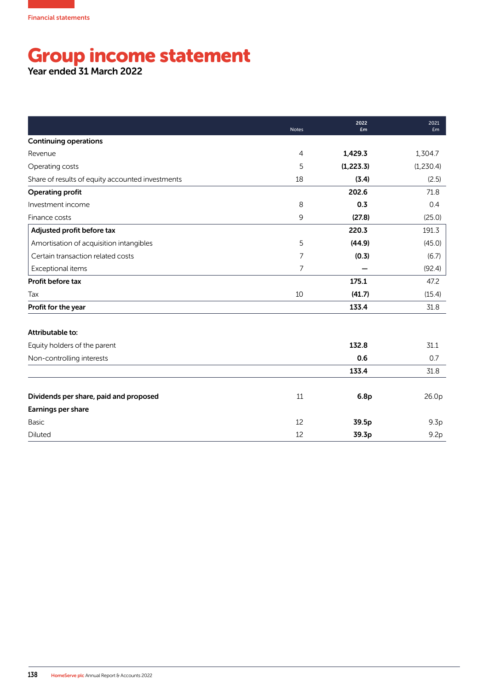# Group income statement

Year ended 31 March 2022

|                                                  | <b>Notes</b>   | 2022<br><b>£m</b> | 2021<br>£ <sub>m</sub> |
|--------------------------------------------------|----------------|-------------------|------------------------|
| <b>Continuing operations</b>                     |                |                   |                        |
| Revenue                                          | 4              | 1,429.3           | 1,304.7                |
| Operating costs                                  | 5              | (1, 223.3)        | (1,230.4)              |
| Share of results of equity accounted investments | 18             | (3.4)             | (2.5)                  |
| <b>Operating profit</b>                          |                | 202.6             | 71.8                   |
| Investment income                                | 8              | 0.3               | 0.4                    |
| Finance costs                                    | 9              | (27.8)            | (25.0)                 |
| Adjusted profit before tax                       |                | 220.3             | 191.3                  |
| Amortisation of acquisition intangibles          | 5              | (44.9)            | (45.0)                 |
| Certain transaction related costs                | 7              | (0.3)             | (6.7)                  |
| Exceptional items                                | $\overline{7}$ |                   | (92.4)                 |
| Profit before tax                                |                | 175.1             | 47.2                   |
| Tax                                              | 10             | (41.7)            | (15.4)                 |
| Profit for the year                              |                | 133.4             | 31.8                   |
| Attributable to:                                 |                |                   |                        |
| Equity holders of the parent                     |                | 132.8             | 31.1                   |
| Non-controlling interests                        |                | 0.6               | 0.7                    |
|                                                  |                | 133.4             | 31.8                   |
| Dividends per share, paid and proposed           | 11             | 6.8p              | 26.0p                  |
| Earnings per share                               |                |                   |                        |
| <b>Basic</b>                                     | 12             | 39.5p             | 9.3p                   |
| <b>Diluted</b>                                   | 12             | 39.3p             | 9.2p                   |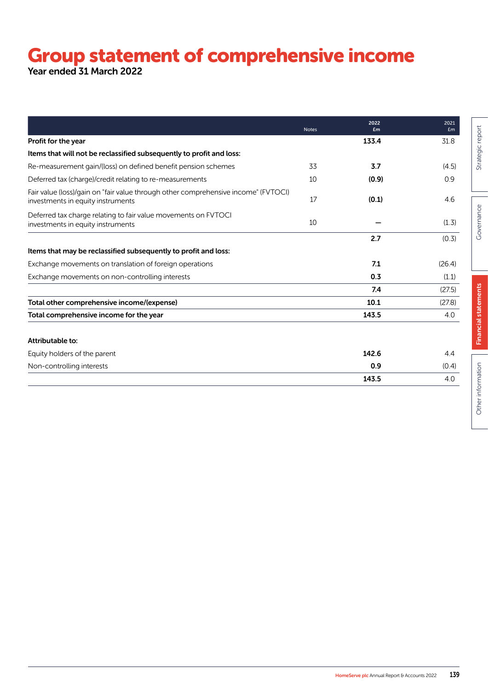# Group statement of comprehensive income

Year ended 31 March 2022

|                                                                                                                         | <b>Notes</b> | 2022<br><b>£m</b> | 2021<br>Em                         |
|-------------------------------------------------------------------------------------------------------------------------|--------------|-------------------|------------------------------------|
| Profit for the year                                                                                                     |              | 133.4             | report<br>31.8                     |
| Items that will not be reclassified subsequently to profit and loss:                                                    |              |                   | Strategic                          |
| Re-measurement gain/(loss) on defined benefit pension schemes                                                           | 33           | 3.7               | (4.5)                              |
| Deferred tax (charge)/credit relating to re-measurements                                                                | 10           | (0.9)             | 0.9                                |
| Fair value (loss)/gain on "fair value through other comprehensive income" (FVTOCI)<br>investments in equity instruments | 17           | (0.1)             | 4.6                                |
| Deferred tax charge relating to fair value movements on FVTOCI<br>investments in equity instruments                     | 10           |                   | Governance<br>(1.3)                |
|                                                                                                                         |              | 2.7               | (0.3)                              |
| Items that may be reclassified subsequently to profit and loss:                                                         |              |                   |                                    |
| Exchange movements on translation of foreign operations                                                                 |              | 7.1               | (26.4)                             |
| Exchange movements on non-controlling interests                                                                         |              | 0.3               | (1.1)                              |
|                                                                                                                         |              | 7.4               | (27.5)                             |
| Total other comprehensive income/(expense)                                                                              |              | 10.1              | (27.8)                             |
| Total comprehensive income for the year                                                                                 |              | 143.5             | <b>Financial statements</b><br>4.0 |
| Attributable to:                                                                                                        |              |                   |                                    |
| Equity holders of the parent                                                                                            |              | 142.6             | 4.4                                |
| Non-controlling interests                                                                                               |              | 0.9               | (0.4)                              |
|                                                                                                                         |              | 143.5             | ormation<br>4.0                    |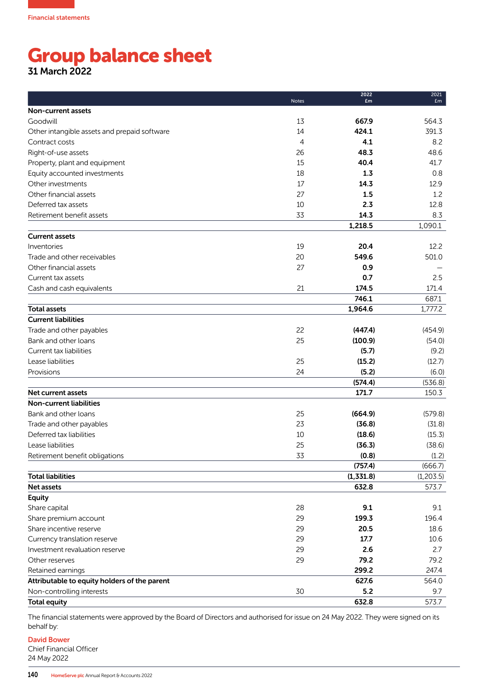# Group balance sheet 31 March 2022

| Non-current assets<br>Goodwill<br>13<br>667.9<br>564.3<br>391.3<br>14<br>424.1<br>Other intangible assets and prepaid software<br>4<br>4.1<br>8.2<br>Contract costs<br>48.3<br>26<br>48.6<br>Right-of-use assets<br>15<br>40.4<br>41.7<br>Property, plant and equipment<br>18<br>1.3<br>0.8<br>Equity accounted investments<br>Other investments<br>17<br>14.3<br>12.9<br>Other financial assets<br>27<br>1.5<br>1.2<br>10<br>2.3<br>12.8<br>Deferred tax assets<br>8.3<br>Retirement benefit assets<br>33<br>14.3<br>1,218.5<br>1,090.1<br><b>Current assets</b><br>19<br>20.4<br>12.2<br>Inventories<br>20<br>549.6<br>501.0<br>Trade and other receivables<br>Other financial assets<br>27<br>0.9<br>0.7<br>2.5<br>Current tax assets<br>21<br>174.5<br>171.4<br>Cash and cash equivalents<br>746.1<br>687.1<br>1,964.6<br>1,777.2<br><b>Total assets</b><br><b>Current liabilities</b><br>22<br>Trade and other payables<br>(447.4)<br>(454.9)<br>Bank and other loans<br>25<br>(100.9)<br>(54.0)<br>Current tax liabilities<br>(5.7)<br>(9.2)<br>Lease liabilities<br>25<br>(15.2)<br>(12.7)<br>Provisions<br>24<br>(5.2)<br>(6.0)<br>(574.4)<br>(536.8)<br>150.3<br>171.7<br>Net current assets<br><b>Non-current liabilities</b><br>25<br>(664.9)<br>(579.8)<br>Bank and other loans<br>23<br>(36.8)<br>Trade and other payables<br>Deferred tax liabilities<br>10<br>(18.6)<br>(15.3)<br>Lease liabilities<br>25<br>(36.3)<br>(38.6)<br>33<br>(0.8)<br>Retirement benefit obligations<br>(757.4)<br><b>Total liabilities</b><br>(1,331.8)<br>632.8<br>573.7<br><b>Net assets</b><br><b>Equity</b><br>Share capital<br>28<br>9.1<br>9.1<br>199.3<br>196.4<br>Share premium account<br>29<br>20.5<br>Share incentive reserve<br>29<br>18.6<br>17.7<br>Currency translation reserve<br>29<br>10.6<br>29<br>2.6<br>2.7<br>Investment revaluation reserve<br>79.2<br>29<br>79.2<br>Other reserves<br>299.2<br>247.4<br>Retained earnings<br>Attributable to equity holders of the parent<br>627.6<br>564.0<br>30<br>5.2<br>Non-controlling interests<br>9.7<br>632.8<br>573.7<br><b>Total equity</b> | <b>Notes</b> | 2022<br>£m | 2021<br><b>£m</b> |
|---------------------------------------------------------------------------------------------------------------------------------------------------------------------------------------------------------------------------------------------------------------------------------------------------------------------------------------------------------------------------------------------------------------------------------------------------------------------------------------------------------------------------------------------------------------------------------------------------------------------------------------------------------------------------------------------------------------------------------------------------------------------------------------------------------------------------------------------------------------------------------------------------------------------------------------------------------------------------------------------------------------------------------------------------------------------------------------------------------------------------------------------------------------------------------------------------------------------------------------------------------------------------------------------------------------------------------------------------------------------------------------------------------------------------------------------------------------------------------------------------------------------------------------------------------------------------------------------------------------------------------------------------------------------------------------------------------------------------------------------------------------------------------------------------------------------------------------------------------------------------------------------------------------------------------------------------------------------------------------------------------------------------------------------------------------------------------------------------------|--------------|------------|-------------------|
|                                                                                                                                                                                                                                                                                                                                                                                                                                                                                                                                                                                                                                                                                                                                                                                                                                                                                                                                                                                                                                                                                                                                                                                                                                                                                                                                                                                                                                                                                                                                                                                                                                                                                                                                                                                                                                                                                                                                                                                                                                                                                                         |              |            |                   |
|                                                                                                                                                                                                                                                                                                                                                                                                                                                                                                                                                                                                                                                                                                                                                                                                                                                                                                                                                                                                                                                                                                                                                                                                                                                                                                                                                                                                                                                                                                                                                                                                                                                                                                                                                                                                                                                                                                                                                                                                                                                                                                         |              |            |                   |
|                                                                                                                                                                                                                                                                                                                                                                                                                                                                                                                                                                                                                                                                                                                                                                                                                                                                                                                                                                                                                                                                                                                                                                                                                                                                                                                                                                                                                                                                                                                                                                                                                                                                                                                                                                                                                                                                                                                                                                                                                                                                                                         |              |            |                   |
|                                                                                                                                                                                                                                                                                                                                                                                                                                                                                                                                                                                                                                                                                                                                                                                                                                                                                                                                                                                                                                                                                                                                                                                                                                                                                                                                                                                                                                                                                                                                                                                                                                                                                                                                                                                                                                                                                                                                                                                                                                                                                                         |              |            |                   |
|                                                                                                                                                                                                                                                                                                                                                                                                                                                                                                                                                                                                                                                                                                                                                                                                                                                                                                                                                                                                                                                                                                                                                                                                                                                                                                                                                                                                                                                                                                                                                                                                                                                                                                                                                                                                                                                                                                                                                                                                                                                                                                         |              |            |                   |
|                                                                                                                                                                                                                                                                                                                                                                                                                                                                                                                                                                                                                                                                                                                                                                                                                                                                                                                                                                                                                                                                                                                                                                                                                                                                                                                                                                                                                                                                                                                                                                                                                                                                                                                                                                                                                                                                                                                                                                                                                                                                                                         |              |            |                   |
|                                                                                                                                                                                                                                                                                                                                                                                                                                                                                                                                                                                                                                                                                                                                                                                                                                                                                                                                                                                                                                                                                                                                                                                                                                                                                                                                                                                                                                                                                                                                                                                                                                                                                                                                                                                                                                                                                                                                                                                                                                                                                                         |              |            |                   |
|                                                                                                                                                                                                                                                                                                                                                                                                                                                                                                                                                                                                                                                                                                                                                                                                                                                                                                                                                                                                                                                                                                                                                                                                                                                                                                                                                                                                                                                                                                                                                                                                                                                                                                                                                                                                                                                                                                                                                                                                                                                                                                         |              |            |                   |
|                                                                                                                                                                                                                                                                                                                                                                                                                                                                                                                                                                                                                                                                                                                                                                                                                                                                                                                                                                                                                                                                                                                                                                                                                                                                                                                                                                                                                                                                                                                                                                                                                                                                                                                                                                                                                                                                                                                                                                                                                                                                                                         |              |            |                   |
|                                                                                                                                                                                                                                                                                                                                                                                                                                                                                                                                                                                                                                                                                                                                                                                                                                                                                                                                                                                                                                                                                                                                                                                                                                                                                                                                                                                                                                                                                                                                                                                                                                                                                                                                                                                                                                                                                                                                                                                                                                                                                                         |              |            |                   |
|                                                                                                                                                                                                                                                                                                                                                                                                                                                                                                                                                                                                                                                                                                                                                                                                                                                                                                                                                                                                                                                                                                                                                                                                                                                                                                                                                                                                                                                                                                                                                                                                                                                                                                                                                                                                                                                                                                                                                                                                                                                                                                         |              |            |                   |
|                                                                                                                                                                                                                                                                                                                                                                                                                                                                                                                                                                                                                                                                                                                                                                                                                                                                                                                                                                                                                                                                                                                                                                                                                                                                                                                                                                                                                                                                                                                                                                                                                                                                                                                                                                                                                                                                                                                                                                                                                                                                                                         |              |            |                   |
|                                                                                                                                                                                                                                                                                                                                                                                                                                                                                                                                                                                                                                                                                                                                                                                                                                                                                                                                                                                                                                                                                                                                                                                                                                                                                                                                                                                                                                                                                                                                                                                                                                                                                                                                                                                                                                                                                                                                                                                                                                                                                                         |              |            |                   |
|                                                                                                                                                                                                                                                                                                                                                                                                                                                                                                                                                                                                                                                                                                                                                                                                                                                                                                                                                                                                                                                                                                                                                                                                                                                                                                                                                                                                                                                                                                                                                                                                                                                                                                                                                                                                                                                                                                                                                                                                                                                                                                         |              |            |                   |
|                                                                                                                                                                                                                                                                                                                                                                                                                                                                                                                                                                                                                                                                                                                                                                                                                                                                                                                                                                                                                                                                                                                                                                                                                                                                                                                                                                                                                                                                                                                                                                                                                                                                                                                                                                                                                                                                                                                                                                                                                                                                                                         |              |            |                   |
|                                                                                                                                                                                                                                                                                                                                                                                                                                                                                                                                                                                                                                                                                                                                                                                                                                                                                                                                                                                                                                                                                                                                                                                                                                                                                                                                                                                                                                                                                                                                                                                                                                                                                                                                                                                                                                                                                                                                                                                                                                                                                                         |              |            |                   |
|                                                                                                                                                                                                                                                                                                                                                                                                                                                                                                                                                                                                                                                                                                                                                                                                                                                                                                                                                                                                                                                                                                                                                                                                                                                                                                                                                                                                                                                                                                                                                                                                                                                                                                                                                                                                                                                                                                                                                                                                                                                                                                         |              |            |                   |
|                                                                                                                                                                                                                                                                                                                                                                                                                                                                                                                                                                                                                                                                                                                                                                                                                                                                                                                                                                                                                                                                                                                                                                                                                                                                                                                                                                                                                                                                                                                                                                                                                                                                                                                                                                                                                                                                                                                                                                                                                                                                                                         |              |            |                   |
|                                                                                                                                                                                                                                                                                                                                                                                                                                                                                                                                                                                                                                                                                                                                                                                                                                                                                                                                                                                                                                                                                                                                                                                                                                                                                                                                                                                                                                                                                                                                                                                                                                                                                                                                                                                                                                                                                                                                                                                                                                                                                                         |              |            |                   |
|                                                                                                                                                                                                                                                                                                                                                                                                                                                                                                                                                                                                                                                                                                                                                                                                                                                                                                                                                                                                                                                                                                                                                                                                                                                                                                                                                                                                                                                                                                                                                                                                                                                                                                                                                                                                                                                                                                                                                                                                                                                                                                         |              |            |                   |
|                                                                                                                                                                                                                                                                                                                                                                                                                                                                                                                                                                                                                                                                                                                                                                                                                                                                                                                                                                                                                                                                                                                                                                                                                                                                                                                                                                                                                                                                                                                                                                                                                                                                                                                                                                                                                                                                                                                                                                                                                                                                                                         |              |            |                   |
|                                                                                                                                                                                                                                                                                                                                                                                                                                                                                                                                                                                                                                                                                                                                                                                                                                                                                                                                                                                                                                                                                                                                                                                                                                                                                                                                                                                                                                                                                                                                                                                                                                                                                                                                                                                                                                                                                                                                                                                                                                                                                                         |              |            |                   |
|                                                                                                                                                                                                                                                                                                                                                                                                                                                                                                                                                                                                                                                                                                                                                                                                                                                                                                                                                                                                                                                                                                                                                                                                                                                                                                                                                                                                                                                                                                                                                                                                                                                                                                                                                                                                                                                                                                                                                                                                                                                                                                         |              |            |                   |
|                                                                                                                                                                                                                                                                                                                                                                                                                                                                                                                                                                                                                                                                                                                                                                                                                                                                                                                                                                                                                                                                                                                                                                                                                                                                                                                                                                                                                                                                                                                                                                                                                                                                                                                                                                                                                                                                                                                                                                                                                                                                                                         |              |            |                   |
|                                                                                                                                                                                                                                                                                                                                                                                                                                                                                                                                                                                                                                                                                                                                                                                                                                                                                                                                                                                                                                                                                                                                                                                                                                                                                                                                                                                                                                                                                                                                                                                                                                                                                                                                                                                                                                                                                                                                                                                                                                                                                                         |              |            |                   |
|                                                                                                                                                                                                                                                                                                                                                                                                                                                                                                                                                                                                                                                                                                                                                                                                                                                                                                                                                                                                                                                                                                                                                                                                                                                                                                                                                                                                                                                                                                                                                                                                                                                                                                                                                                                                                                                                                                                                                                                                                                                                                                         |              |            |                   |
|                                                                                                                                                                                                                                                                                                                                                                                                                                                                                                                                                                                                                                                                                                                                                                                                                                                                                                                                                                                                                                                                                                                                                                                                                                                                                                                                                                                                                                                                                                                                                                                                                                                                                                                                                                                                                                                                                                                                                                                                                                                                                                         |              |            |                   |
|                                                                                                                                                                                                                                                                                                                                                                                                                                                                                                                                                                                                                                                                                                                                                                                                                                                                                                                                                                                                                                                                                                                                                                                                                                                                                                                                                                                                                                                                                                                                                                                                                                                                                                                                                                                                                                                                                                                                                                                                                                                                                                         |              |            |                   |
|                                                                                                                                                                                                                                                                                                                                                                                                                                                                                                                                                                                                                                                                                                                                                                                                                                                                                                                                                                                                                                                                                                                                                                                                                                                                                                                                                                                                                                                                                                                                                                                                                                                                                                                                                                                                                                                                                                                                                                                                                                                                                                         |              |            |                   |
|                                                                                                                                                                                                                                                                                                                                                                                                                                                                                                                                                                                                                                                                                                                                                                                                                                                                                                                                                                                                                                                                                                                                                                                                                                                                                                                                                                                                                                                                                                                                                                                                                                                                                                                                                                                                                                                                                                                                                                                                                                                                                                         |              |            |                   |
|                                                                                                                                                                                                                                                                                                                                                                                                                                                                                                                                                                                                                                                                                                                                                                                                                                                                                                                                                                                                                                                                                                                                                                                                                                                                                                                                                                                                                                                                                                                                                                                                                                                                                                                                                                                                                                                                                                                                                                                                                                                                                                         |              |            |                   |
|                                                                                                                                                                                                                                                                                                                                                                                                                                                                                                                                                                                                                                                                                                                                                                                                                                                                                                                                                                                                                                                                                                                                                                                                                                                                                                                                                                                                                                                                                                                                                                                                                                                                                                                                                                                                                                                                                                                                                                                                                                                                                                         |              |            | (31.8)            |
|                                                                                                                                                                                                                                                                                                                                                                                                                                                                                                                                                                                                                                                                                                                                                                                                                                                                                                                                                                                                                                                                                                                                                                                                                                                                                                                                                                                                                                                                                                                                                                                                                                                                                                                                                                                                                                                                                                                                                                                                                                                                                                         |              |            |                   |
|                                                                                                                                                                                                                                                                                                                                                                                                                                                                                                                                                                                                                                                                                                                                                                                                                                                                                                                                                                                                                                                                                                                                                                                                                                                                                                                                                                                                                                                                                                                                                                                                                                                                                                                                                                                                                                                                                                                                                                                                                                                                                                         |              |            |                   |
|                                                                                                                                                                                                                                                                                                                                                                                                                                                                                                                                                                                                                                                                                                                                                                                                                                                                                                                                                                                                                                                                                                                                                                                                                                                                                                                                                                                                                                                                                                                                                                                                                                                                                                                                                                                                                                                                                                                                                                                                                                                                                                         |              |            | (1.2)             |
|                                                                                                                                                                                                                                                                                                                                                                                                                                                                                                                                                                                                                                                                                                                                                                                                                                                                                                                                                                                                                                                                                                                                                                                                                                                                                                                                                                                                                                                                                                                                                                                                                                                                                                                                                                                                                                                                                                                                                                                                                                                                                                         |              |            | (666.7)           |
|                                                                                                                                                                                                                                                                                                                                                                                                                                                                                                                                                                                                                                                                                                                                                                                                                                                                                                                                                                                                                                                                                                                                                                                                                                                                                                                                                                                                                                                                                                                                                                                                                                                                                                                                                                                                                                                                                                                                                                                                                                                                                                         |              |            | (1, 203.5)        |
|                                                                                                                                                                                                                                                                                                                                                                                                                                                                                                                                                                                                                                                                                                                                                                                                                                                                                                                                                                                                                                                                                                                                                                                                                                                                                                                                                                                                                                                                                                                                                                                                                                                                                                                                                                                                                                                                                                                                                                                                                                                                                                         |              |            |                   |
|                                                                                                                                                                                                                                                                                                                                                                                                                                                                                                                                                                                                                                                                                                                                                                                                                                                                                                                                                                                                                                                                                                                                                                                                                                                                                                                                                                                                                                                                                                                                                                                                                                                                                                                                                                                                                                                                                                                                                                                                                                                                                                         |              |            |                   |
|                                                                                                                                                                                                                                                                                                                                                                                                                                                                                                                                                                                                                                                                                                                                                                                                                                                                                                                                                                                                                                                                                                                                                                                                                                                                                                                                                                                                                                                                                                                                                                                                                                                                                                                                                                                                                                                                                                                                                                                                                                                                                                         |              |            |                   |
|                                                                                                                                                                                                                                                                                                                                                                                                                                                                                                                                                                                                                                                                                                                                                                                                                                                                                                                                                                                                                                                                                                                                                                                                                                                                                                                                                                                                                                                                                                                                                                                                                                                                                                                                                                                                                                                                                                                                                                                                                                                                                                         |              |            |                   |
|                                                                                                                                                                                                                                                                                                                                                                                                                                                                                                                                                                                                                                                                                                                                                                                                                                                                                                                                                                                                                                                                                                                                                                                                                                                                                                                                                                                                                                                                                                                                                                                                                                                                                                                                                                                                                                                                                                                                                                                                                                                                                                         |              |            |                   |
|                                                                                                                                                                                                                                                                                                                                                                                                                                                                                                                                                                                                                                                                                                                                                                                                                                                                                                                                                                                                                                                                                                                                                                                                                                                                                                                                                                                                                                                                                                                                                                                                                                                                                                                                                                                                                                                                                                                                                                                                                                                                                                         |              |            |                   |
|                                                                                                                                                                                                                                                                                                                                                                                                                                                                                                                                                                                                                                                                                                                                                                                                                                                                                                                                                                                                                                                                                                                                                                                                                                                                                                                                                                                                                                                                                                                                                                                                                                                                                                                                                                                                                                                                                                                                                                                                                                                                                                         |              |            |                   |
|                                                                                                                                                                                                                                                                                                                                                                                                                                                                                                                                                                                                                                                                                                                                                                                                                                                                                                                                                                                                                                                                                                                                                                                                                                                                                                                                                                                                                                                                                                                                                                                                                                                                                                                                                                                                                                                                                                                                                                                                                                                                                                         |              |            |                   |
|                                                                                                                                                                                                                                                                                                                                                                                                                                                                                                                                                                                                                                                                                                                                                                                                                                                                                                                                                                                                                                                                                                                                                                                                                                                                                                                                                                                                                                                                                                                                                                                                                                                                                                                                                                                                                                                                                                                                                                                                                                                                                                         |              |            |                   |
|                                                                                                                                                                                                                                                                                                                                                                                                                                                                                                                                                                                                                                                                                                                                                                                                                                                                                                                                                                                                                                                                                                                                                                                                                                                                                                                                                                                                                                                                                                                                                                                                                                                                                                                                                                                                                                                                                                                                                                                                                                                                                                         |              |            |                   |
|                                                                                                                                                                                                                                                                                                                                                                                                                                                                                                                                                                                                                                                                                                                                                                                                                                                                                                                                                                                                                                                                                                                                                                                                                                                                                                                                                                                                                                                                                                                                                                                                                                                                                                                                                                                                                                                                                                                                                                                                                                                                                                         |              |            |                   |
|                                                                                                                                                                                                                                                                                                                                                                                                                                                                                                                                                                                                                                                                                                                                                                                                                                                                                                                                                                                                                                                                                                                                                                                                                                                                                                                                                                                                                                                                                                                                                                                                                                                                                                                                                                                                                                                                                                                                                                                                                                                                                                         |              |            |                   |

The financial statements were approved by the Board of Directors and authorised for issue on 24 May 2022. They were signed on its behalf by:

#### David Bower

Chief Financial Officer 24 May 2022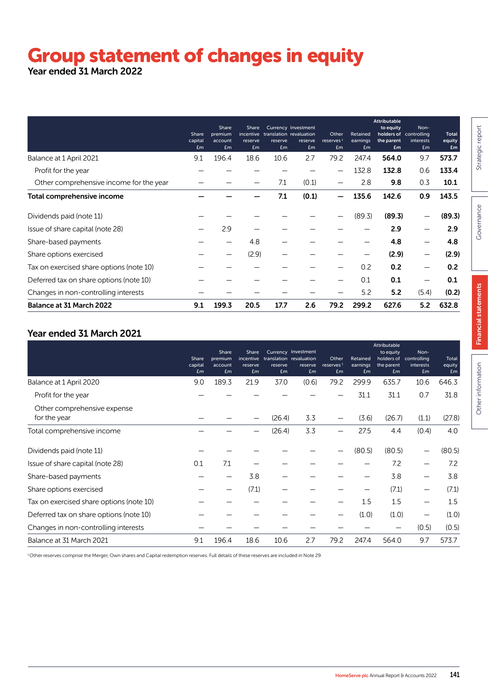# Group statement of changes in equity

Year ended 31 March 2022

|                                          | Share<br>capital<br>£m | Share<br>premium<br>account<br>£m | Share<br>incentive<br>reserve<br>£m | reserve<br>£m | Currency Investment<br>translation revaluation<br>reserve<br>£m | Other<br>reserves <sup>1</sup><br>£m | Retained<br>earnings<br>£m | <b>Attributable</b><br>to equity<br>the parent<br><b>£m</b> | Non-<br>holders of controlling<br>interests<br>£m | <b>Total</b><br>equity<br><b>£m</b> | report                      |
|------------------------------------------|------------------------|-----------------------------------|-------------------------------------|---------------|-----------------------------------------------------------------|--------------------------------------|----------------------------|-------------------------------------------------------------|---------------------------------------------------|-------------------------------------|-----------------------------|
| Balance at 1 April 2021                  | 9.1                    | 196.4                             | 18.6                                | 10.6          | 2.7                                                             | 79.2                                 | 247.4                      | 564.0                                                       | 9.7                                               | 573.7                               | Strategic                   |
| Profit for the year                      |                        |                                   |                                     |               |                                                                 |                                      | 132.8                      | 132.8                                                       | 0.6                                               | 133.4                               |                             |
| Other comprehensive income for the year  |                        |                                   |                                     | 7.1           | (0.1)                                                           |                                      | 2.8                        | 9.8                                                         | 0.3                                               | 10.1                                |                             |
| Total comprehensive income               |                        |                                   |                                     | 7.1           | (0.1)                                                           |                                      | 135.6                      | 142.6                                                       | 0.9                                               | 143.5                               |                             |
| Dividends paid (note 11)                 |                        |                                   |                                     |               |                                                                 |                                      | (89.3)                     | (89.3)                                                      |                                                   | (89.3)                              | Governance                  |
| Issue of share capital (note 28)         |                        | 2.9                               |                                     |               |                                                                 |                                      |                            | 2.9                                                         |                                                   | 2.9                                 |                             |
| Share-based payments                     |                        |                                   | 4.8                                 |               |                                                                 |                                      |                            | 4.8                                                         |                                                   | 4.8                                 |                             |
| Share options exercised                  |                        |                                   | (2.9)                               |               |                                                                 |                                      |                            | (2.9)                                                       | —                                                 | (2.9)                               |                             |
| Tax on exercised share options (note 10) |                        |                                   |                                     |               |                                                                 |                                      | 0.2                        | 0.2                                                         | $\overline{\phantom{0}}$                          | 0.2                                 |                             |
| Deferred tax on share options (note 10)  |                        |                                   |                                     |               |                                                                 |                                      | 0.1                        | 0.1                                                         |                                                   | 0.1                                 |                             |
| Changes in non-controlling interests     |                        |                                   |                                     |               |                                                                 |                                      | 5.2                        | 5.2                                                         | (5.4)                                             | (0.2)                               | <b>Financial statements</b> |
| Balance at 31 March 2022                 | 9.1                    | 199.3                             | 20.5                                | 17.7          | 2.6                                                             | 79.2                                 | 299.2                      | 627.6                                                       | 5.2                                               | 632.8                               |                             |

## Year ended 31 March 2021

|                                             | Share<br>capital<br><b>£m</b> | Share<br>premium<br>account<br><b>£m</b> | Share<br>incentive<br>reserve<br><b>£m</b> | reserve<br><b>£m</b> | Currency Investment<br>translation revaluation<br>reserve<br>£m | Other<br>reserves $1$<br>£m | Retained<br>earnings<br><b>£m</b> | Attributable<br>to equity<br>holders of<br>the parent<br><b>£m</b> | Non-<br>controlling<br>interests<br>£m | Total<br>equity<br>£m |
|---------------------------------------------|-------------------------------|------------------------------------------|--------------------------------------------|----------------------|-----------------------------------------------------------------|-----------------------------|-----------------------------------|--------------------------------------------------------------------|----------------------------------------|-----------------------|
| Balance at 1 April 2020                     | 9.0                           | 189.3                                    | 21.9                                       | 37.0                 | (0.6)                                                           | 79.2                        | 299.9                             | 635.7                                                              | 10.6                                   | 646.3                 |
| Profit for the year                         |                               |                                          |                                            |                      |                                                                 |                             | 31.1                              | 31.1                                                               | 0.7                                    | 31.8                  |
| Other comprehensive expense<br>for the year |                               |                                          |                                            | (26.4)               | 3.3                                                             |                             | (3.6)                             | (26.7)                                                             | (1.1)                                  | (27.8)                |
| Total comprehensive income                  |                               |                                          |                                            | (26.4)               | 3.3                                                             |                             | 27.5                              | 4.4                                                                | (0.4)                                  | 4.0                   |
| Dividends paid (note 11)                    |                               |                                          |                                            |                      |                                                                 |                             | (80.5)                            | (80.5)                                                             |                                        | (80.5)                |
| Issue of share capital (note 28)            | 0.1                           | 7.1                                      |                                            |                      |                                                                 |                             |                                   | 7.2                                                                |                                        | 7.2                   |
| Share-based payments                        |                               |                                          | 3.8                                        |                      |                                                                 |                             |                                   | 3.8                                                                | -                                      | 3.8                   |
| Share options exercised                     |                               |                                          | (7.1)                                      |                      |                                                                 |                             |                                   | (7.1)                                                              |                                        | (7.1)                 |
| Tax on exercised share options (note 10)    |                               |                                          |                                            |                      |                                                                 |                             | 1.5                               | 1.5                                                                | $\overline{\phantom{0}}$               | 1.5                   |
| Deferred tax on share options (note 10)     |                               |                                          |                                            |                      |                                                                 |                             | (1.0)                             | (1.0)                                                              |                                        | (1.0)                 |
| Changes in non-controlling interests        |                               |                                          |                                            |                      |                                                                 |                             |                                   |                                                                    | (0.5)                                  | (0.5)                 |
| Balance at 31 March 2021                    | 9.1                           | 196.4                                    | 18.6                                       | 10.6                 | 2.7                                                             | 79.2                        | 247.4                             | 564.0                                                              | 9.7                                    | 573.7                 |

1 Other reserves comprise the Merger, Own shares and Capital redemption reserves. Full details of these reserves are included in Note 29.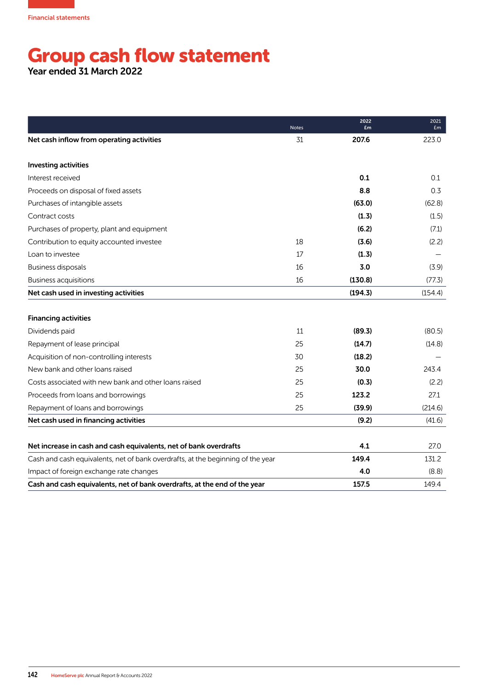# Group cash flow statement

Year ended 31 March 2022

|                                                                                 | <b>Notes</b> | 2022<br>£m | 2021<br><b>£m</b> |
|---------------------------------------------------------------------------------|--------------|------------|-------------------|
| Net cash inflow from operating activities                                       | 31           | 207.6      | 223.0             |
| <b>Investing activities</b>                                                     |              |            |                   |
| Interest received                                                               |              | 0.1        | 0.1               |
| Proceeds on disposal of fixed assets                                            |              | 8.8        | 0.3               |
| Purchases of intangible assets                                                  |              | (63.0)     | (62.8)            |
| Contract costs                                                                  |              | (1.3)      | (1.5)             |
| Purchases of property, plant and equipment                                      |              | (6.2)      | (7.1)             |
| Contribution to equity accounted investee                                       | 18           | (3.6)      | (2.2)             |
| Loan to investee                                                                | 17           | (1.3)      |                   |
| <b>Business disposals</b>                                                       | 16           | 3.0        | (3.9)             |
| <b>Business acquisitions</b>                                                    | 16           | (130.8)    | (77.3)            |
| Net cash used in investing activities                                           |              | (194.3)    | (154.4)           |
| <b>Financing activities</b>                                                     |              |            |                   |
| Dividends paid                                                                  | 11           | (89.3)     | (80.5)            |
| Repayment of lease principal                                                    | 25           | (14.7)     | (14.8)            |
| Acquisition of non-controlling interests                                        | 30           | (18.2)     |                   |
| New bank and other loans raised                                                 | 25           | 30.0       | 243.4             |
| Costs associated with new bank and other loans raised                           | 25           | (0.3)      | (2.2)             |
| Proceeds from loans and borrowings                                              | 25           | 123.2      | 27.1              |
| Repayment of loans and borrowings                                               | 25           | (39.9)     | (214.6)           |
| Net cash used in financing activities                                           |              | (9.2)      | (41.6)            |
| Net increase in cash and cash equivalents, net of bank overdrafts               |              | 4.1        | 27.0              |
| Cash and cash equivalents, net of bank overdrafts, at the beginning of the year |              | 149.4      | 131.2             |
| Impact of foreign exchange rate changes                                         |              | 4.0        | (8.8)             |
| Cash and cash equivalents, net of bank overdrafts, at the end of the year       |              | 157.5      | 149.4             |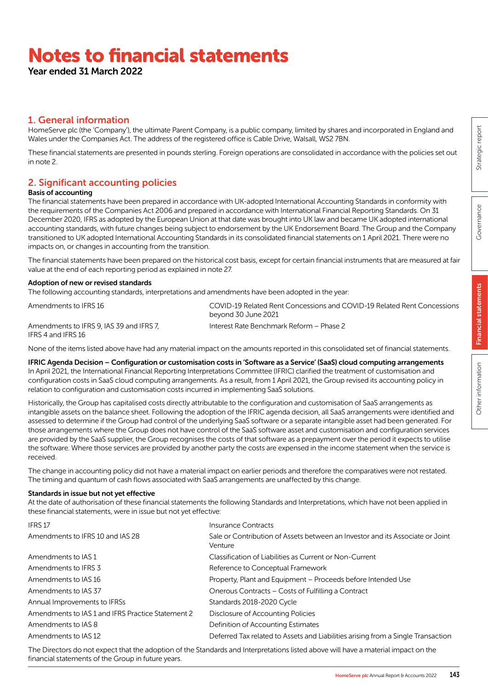# Notes to financial statements

Year ended 31 March 2022

## 1. General information

HomeServe plc (the 'Company'), the ultimate Parent Company, is a public company, limited by shares and incorporated in England and Wales under the Companies Act. The address of the registered office is Cable Drive, Walsall, WS2 7BN.

These financial statements are presented in pounds sterling. Foreign operations are consolidated in accordance with the policies set out in note 2.

## 2. Significant accounting policies

## Basis of accounting

The financial statements have been prepared in accordance with UK-adopted International Accounting Standards in conformity with the requirements of the Companies Act 2006 and prepared in accordance with International Financial Reporting Standards. On 31 December 2020, IFRS as adopted by the European Union at that date was brought into UK law and became UK adopted international accounting standards, with future changes being subject to endorsement by the UK Endorsement Board. The Group and the Company transitioned to UK adopted International Accounting Standards in its consolidated financial statements on 1 April 2021. There were no impacts on, or changes in accounting from the transition.

The financial statements have been prepared on the historical cost basis, except for certain financial instruments that are measured at fair value at the end of each reporting period as explained in note 27.

## Adoption of new or revised standards

The following accounting standards, interpretations and amendments have been adopted in the year:

| Amendments to IFRS 16                                          | COVID-19 Related Rent Concessions and COVID-19 Related Rent Concessions<br>beyond 30 June 2021 |
|----------------------------------------------------------------|------------------------------------------------------------------------------------------------|
| Amendments to IFRS 9, IAS 39 and IFRS 7,<br>IFRS 4 and IFRS 16 | Interest Rate Benchmark Reform – Phase 2                                                       |
|                                                                |                                                                                                |

None of the items listed above have had any material impact on the amounts reported in this consolidated set of financial statements.

## IFRIC Agenda Decision – Configuration or customisation costs in 'Software as a Service' (SaaS) cloud computing arrangements

In April 2021, the International Financial Reporting Interpretations Committee (IFRIC) clarified the treatment of customisation and configuration costs in SaaS cloud computing arrangements. As a result, from 1 April 2021, the Group revised its accounting policy in relation to configuration and customisation costs incurred in implementing SaaS solutions.

Historically, the Group has capitalised costs directly attributable to the configuration and customisation of SaaS arrangements as intangible assets on the balance sheet. Following the adoption of the IFRIC agenda decision, all SaaS arrangements were identified and assessed to determine if the Group had control of the underlying SaaS software or a separate intangible asset had been generated. For those arrangements where the Group does not have control of the SaaS software asset and customisation and configuration services are provided by the SaaS supplier, the Group recognises the costs of that software as a prepayment over the period it expects to utilise the software. Where those services are provided by another party the costs are expensed in the income statement when the service is received.

The change in accounting policy did not have a material impact on earlier periods and therefore the comparatives were not restated. The timing and quantum of cash flows associated with SaaS arrangements are unaffected by this change.

## Standards in issue but not yet effective

At the date of authorisation of these financial statements the following Standards and Interpretations, which have not been applied in these financial statements, were in issue but not yet effective:

| IFRS 17                                           | <b>Insurance Contracts</b>                                                               |
|---------------------------------------------------|------------------------------------------------------------------------------------------|
| Amendments to IFRS 10 and IAS 28                  | Sale or Contribution of Assets between an Investor and its Associate or Joint<br>Venture |
| Amendments to IAS 1                               | Classification of Liabilities as Current or Non-Current                                  |
| Amendments to IFRS 3                              | Reference to Conceptual Framework                                                        |
| Amendments to IAS 16                              | Property, Plant and Equipment - Proceeds before Intended Use                             |
| Amendments to IAS 37                              | Onerous Contracts – Costs of Fulfilling a Contract                                       |
| Annual Improvements to IFRSs                      | Standards 2018-2020 Cycle                                                                |
| Amendments to IAS 1 and IFRS Practice Statement 2 | Disclosure of Accounting Policies                                                        |
| Amendments to IAS 8                               | Definition of Accounting Estimates                                                       |
| Amendments to IAS 12                              | Deferred Tax related to Assets and Liabilities arising from a Single Transaction         |

The Directors do not expect that the adoption of the Standards and Interpretations listed above will have a material impact on the financial statements of the Group in future years.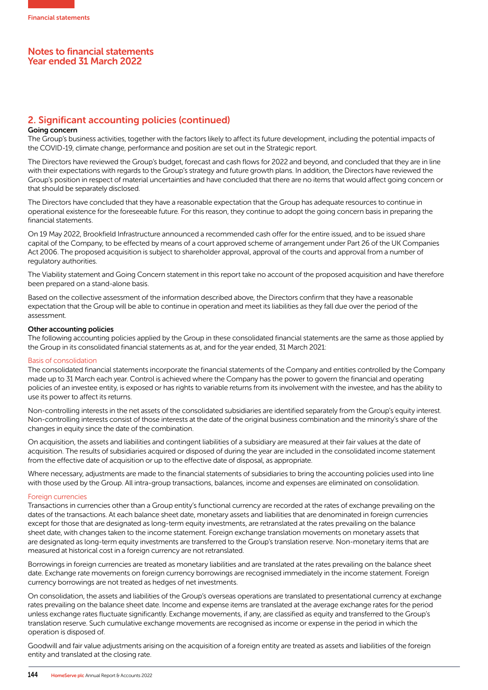# 2. Significant accounting policies (continued)

#### Going concern

The Group's business activities, together with the factors likely to affect its future development, including the potential impacts of the COVID-19, climate change, performance and position are set out in the Strategic report.

The Directors have reviewed the Group's budget, forecast and cash flows for 2022 and beyond, and concluded that they are in line with their expectations with regards to the Group's strategy and future growth plans. In addition, the Directors have reviewed the Group's position in respect of material uncertainties and have concluded that there are no items that would affect going concern or that should be separately disclosed.

The Directors have concluded that they have a reasonable expectation that the Group has adequate resources to continue in operational existence for the foreseeable future. For this reason, they continue to adopt the going concern basis in preparing the financial statements.

On 19 May 2022, Brookfield Infrastructure announced a recommended cash offer for the entire issued, and to be issued share capital of the Company, to be effected by means of a court approved scheme of arrangement under Part 26 of the UK Companies Act 2006. The proposed acquisition is subject to shareholder approval, approval of the courts and approval from a number of regulatory authorities.

The Viability statement and Going Concern statement in this report take no account of the proposed acquisition and have therefore been prepared on a stand-alone basis.

Based on the collective assessment of the information described above, the Directors confirm that they have a reasonable expectation that the Group will be able to continue in operation and meet its liabilities as they fall due over the period of the assessment.

#### Other accounting policies

The following accounting policies applied by the Group in these consolidated financial statements are the same as those applied by the Group in its consolidated financial statements as at, and for the year ended, 31 March 2021:

#### Basis of consolidation

The consolidated financial statements incorporate the financial statements of the Company and entities controlled by the Company made up to 31 March each year. Control is achieved where the Company has the power to govern the financial and operating policies of an investee entity, is exposed or has rights to variable returns from its involvement with the investee, and has the ability to use its power to affect its returns.

Non-controlling interests in the net assets of the consolidated subsidiaries are identified separately from the Group's equity interest. Non-controlling interests consist of those interests at the date of the original business combination and the minority's share of the changes in equity since the date of the combination.

On acquisition, the assets and liabilities and contingent liabilities of a subsidiary are measured at their fair values at the date of acquisition. The results of subsidiaries acquired or disposed of during the year are included in the consolidated income statement from the effective date of acquisition or up to the effective date of disposal, as appropriate.

Where necessary, adjustments are made to the financial statements of subsidiaries to bring the accounting policies used into line with those used by the Group. All intra-group transactions, balances, income and expenses are eliminated on consolidation.

#### Foreign currencies

Transactions in currencies other than a Group entity's functional currency are recorded at the rates of exchange prevailing on the dates of the transactions. At each balance sheet date, monetary assets and liabilities that are denominated in foreign currencies except for those that are designated as long-term equity investments, are retranslated at the rates prevailing on the balance sheet date, with changes taken to the income statement. Foreign exchange translation movements on monetary assets that are designated as long-term equity investments are transferred to the Group's translation reserve. Non-monetary items that are measured at historical cost in a foreign currency are not retranslated.

Borrowings in foreign currencies are treated as monetary liabilities and are translated at the rates prevailing on the balance sheet date. Exchange rate movements on foreign currency borrowings are recognised immediately in the income statement. Foreign currency borrowings are not treated as hedges of net investments.

On consolidation, the assets and liabilities of the Group's overseas operations are translated to presentational currency at exchange rates prevailing on the balance sheet date. Income and expense items are translated at the average exchange rates for the period unless exchange rates fluctuate significantly. Exchange movements, if any, are classified as equity and transferred to the Group's translation reserve. Such cumulative exchange movements are recognised as income or expense in the period in which the operation is disposed of.

Goodwill and fair value adjustments arising on the acquisition of a foreign entity are treated as assets and liabilities of the foreign entity and translated at the closing rate.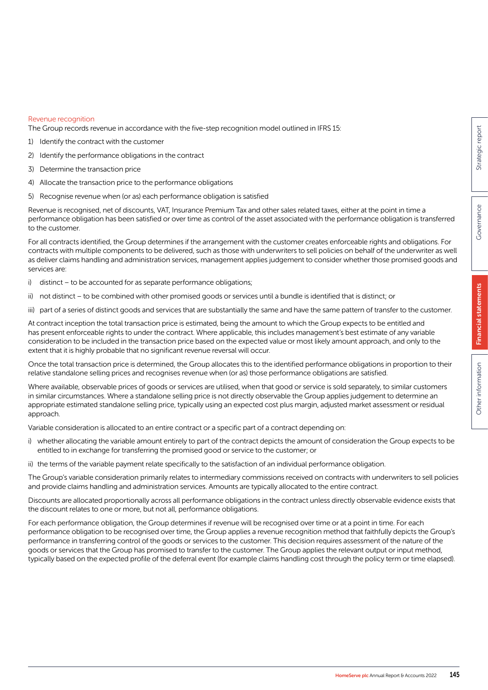## Revenue recognition

The Group records revenue in accordance with the five-step recognition model outlined in IFRS 15:

- 1) Identify the contract with the customer
- 2) Identify the performance obligations in the contract
- 3) Determine the transaction price
- 4) Allocate the transaction price to the performance obligations
- 5) Recognise revenue when (or as) each performance obligation is satisfied

Revenue is recognised, net of discounts, VAT, Insurance Premium Tax and other sales related taxes, either at the point in time a performance obligation has been satisfied or over time as control of the asset associated with the performance obligation is transferred to the customer.

For all contracts identified, the Group determines if the arrangement with the customer creates enforceable rights and obligations. For contracts with multiple components to be delivered, such as those with underwriters to sell policies on behalf of the underwriter as well as deliver claims handling and administration services, management applies judgement to consider whether those promised goods and services are:

- i) distinct to be accounted for as separate performance obligations;
- ii) not distinct to be combined with other promised goods or services until a bundle is identified that is distinct; or

iii) part of a series of distinct goods and services that are substantially the same and have the same pattern of transfer to the customer.

At contract inception the total transaction price is estimated, being the amount to which the Group expects to be entitled and has present enforceable rights to under the contract. Where applicable, this includes management's best estimate of any variable consideration to be included in the transaction price based on the expected value or most likely amount approach, and only to the extent that it is highly probable that no significant revenue reversal will occur.

Once the total transaction price is determined, the Group allocates this to the identified performance obligations in proportion to their relative standalone selling prices and recognises revenue when (or as) those performance obligations are satisfied.

Where available, observable prices of goods or services are utilised, when that good or service is sold separately, to similar customers in similar circumstances. Where a standalone selling price is not directly observable the Group applies judgement to determine an appropriate estimated standalone selling price, typically using an expected cost plus margin, adjusted market assessment or residual approach.

Variable consideration is allocated to an entire contract or a specific part of a contract depending on:

- i) whether allocating the variable amount entirely to part of the contract depicts the amount of consideration the Group expects to be entitled to in exchange for transferring the promised good or service to the customer; or
- ii) the terms of the variable payment relate specifically to the satisfaction of an individual performance obligation.

The Group's variable consideration primarily relates to intermediary commissions received on contracts with underwriters to sell policies and provide claims handling and administration services. Amounts are typically allocated to the entire contract.

Discounts are allocated proportionally across all performance obligations in the contract unless directly observable evidence exists that the discount relates to one or more, but not all, performance obligations.

For each performance obligation, the Group determines if revenue will be recognised over time or at a point in time. For each performance obligation to be recognised over time, the Group applies a revenue recognition method that faithfully depicts the Group's performance in transferring control of the goods or services to the customer. This decision requires assessment of the nature of the goods or services that the Group has promised to transfer to the customer. The Group applies the relevant output or input method, typically based on the expected profile of the deferral event (for example claims handling cost through the policy term or time elapsed).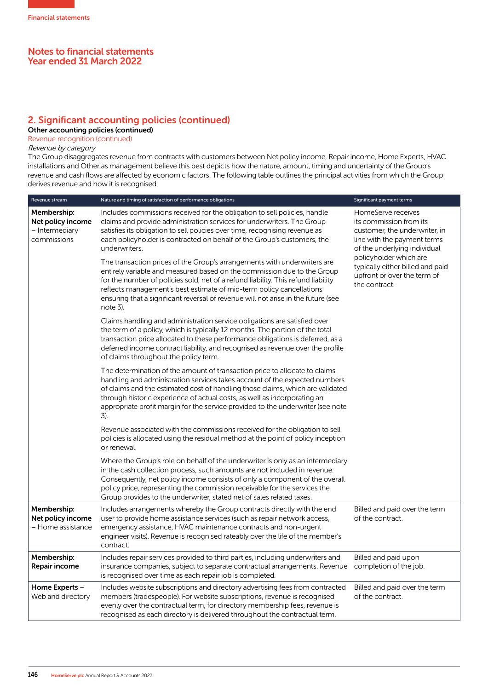## 2. Significant accounting policies (continued)

Other accounting policies (continued)

Revenue recognition (continued)

## Revenue by category

The Group disaggregates revenue from contracts with customers between Net policy income, Repair income, Home Experts, HVAC installations and Other as management believe this best depicts how the nature, amount, timing and uncertainty of the Group's revenue and cash flows are affected by economic factors. The following table outlines the principal activities from which the Group derives revenue and how it is recognised:

| Revenue stream                                                    | Nature and timing of satisfaction of performance obligations                                                                                                                                                                                                                                                                                                                                                                                                                                                                                                                                                                                       | Significant payment terms                                                                                                                                                                                                                                   |
|-------------------------------------------------------------------|----------------------------------------------------------------------------------------------------------------------------------------------------------------------------------------------------------------------------------------------------------------------------------------------------------------------------------------------------------------------------------------------------------------------------------------------------------------------------------------------------------------------------------------------------------------------------------------------------------------------------------------------------|-------------------------------------------------------------------------------------------------------------------------------------------------------------------------------------------------------------------------------------------------------------|
| Membership:<br>Net policy income<br>– Intermediary<br>commissions | Includes commissions received for the obligation to sell policies, handle<br>claims and provide administration services for underwriters. The Group<br>satisfies its obligation to sell policies over time, recognising revenue as<br>each policyholder is contracted on behalf of the Group's customers, the<br>underwriters.<br>The transaction prices of the Group's arrangements with underwriters are<br>entirely variable and measured based on the commission due to the Group<br>for the number of policies sold, net of a refund liability. This refund liability<br>reflects management's best estimate of mid-term policy cancellations | HomeServe receives<br>its commission from its<br>customer, the underwriter, in<br>line with the payment terms<br>of the underlying individual<br>policyholder which are<br>typically either billed and paid<br>upfront or over the term of<br>the contract. |
|                                                                   | ensuring that a significant reversal of revenue will not arise in the future (see<br>note 3).                                                                                                                                                                                                                                                                                                                                                                                                                                                                                                                                                      |                                                                                                                                                                                                                                                             |
|                                                                   | Claims handling and administration service obligations are satisfied over<br>the term of a policy, which is typically 12 months. The portion of the total<br>transaction price allocated to these performance obligations is deferred, as a<br>deferred income contract liability, and recognised as revenue over the profile<br>of claims throughout the policy term.                                                                                                                                                                                                                                                                             |                                                                                                                                                                                                                                                             |
|                                                                   | The determination of the amount of transaction price to allocate to claims<br>handling and administration services takes account of the expected numbers<br>of claims and the estimated cost of handling those claims, which are validated<br>through historic experience of actual costs, as well as incorporating an<br>appropriate profit margin for the service provided to the underwriter (see note<br>3).                                                                                                                                                                                                                                   |                                                                                                                                                                                                                                                             |
|                                                                   | Revenue associated with the commissions received for the obligation to sell<br>policies is allocated using the residual method at the point of policy inception<br>or renewal.                                                                                                                                                                                                                                                                                                                                                                                                                                                                     |                                                                                                                                                                                                                                                             |
|                                                                   | Where the Group's role on behalf of the underwriter is only as an intermediary<br>in the cash collection process, such amounts are not included in revenue.<br>Consequently, net policy income consists of only a component of the overall<br>policy price, representing the commission receivable for the services the<br>Group provides to the underwriter, stated net of sales related taxes.                                                                                                                                                                                                                                                   |                                                                                                                                                                                                                                                             |
| Membership:<br>Net policy income<br>- Home assistance             | Includes arrangements whereby the Group contracts directly with the end<br>user to provide home assistance services (such as repair network access,<br>emergency assistance, HVAC maintenance contracts and non-urgent<br>engineer visits). Revenue is recognised rateably over the life of the member's<br>contract.                                                                                                                                                                                                                                                                                                                              | Billed and paid over the term<br>of the contract.                                                                                                                                                                                                           |
| Membership:<br>Repair income                                      | Includes repair services provided to third parties, including underwriters and<br>insurance companies, subject to separate contractual arrangements. Revenue<br>is recognised over time as each repair job is completed.                                                                                                                                                                                                                                                                                                                                                                                                                           | Billed and paid upon<br>completion of the job.                                                                                                                                                                                                              |
| Home Experts -<br>Web and directory                               | Includes website subscriptions and directory advertising fees from contracted<br>members (tradespeople). For website subscriptions, revenue is recognised<br>evenly over the contractual term, for directory membership fees, revenue is<br>recognised as each directory is delivered throughout the contractual term.                                                                                                                                                                                                                                                                                                                             | Billed and paid over the term<br>of the contract.                                                                                                                                                                                                           |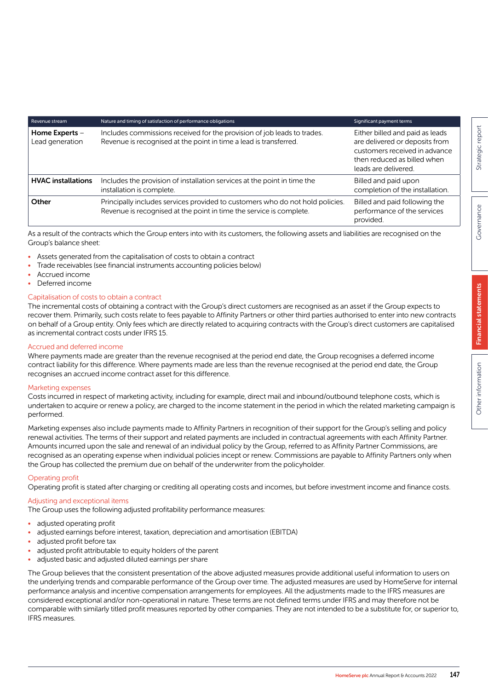| Revenue stream                    | Nature and timing of satisfaction of performance obligations                                                                                         | Significant payment terms                                                                                                                                 |
|-----------------------------------|------------------------------------------------------------------------------------------------------------------------------------------------------|-----------------------------------------------------------------------------------------------------------------------------------------------------------|
| Home Experts -<br>Lead generation | Includes commissions received for the provision of job leads to trades.<br>Revenue is recognised at the point in time a lead is transferred.         | Either billed and paid as leads<br>are delivered or deposits from<br>customers received in advance<br>then reduced as billed when<br>leads are delivered. |
| <b>HVAC</b> installations         | Includes the provision of installation services at the point in time the<br>installation is complete.                                                | Billed and paid upon<br>completion of the installation.                                                                                                   |
| Other                             | Principally includes services provided to customers who do not hold policies.<br>Revenue is recognised at the point in time the service is complete. | Billed and paid following the<br>performance of the services<br>provided.                                                                                 |

As a result of the contracts which the Group enters into with its customers, the following assets and liabilities are recognised on the Group's balance sheet:

- Assets generated from the capitalisation of costs to obtain a contract
- Trade receivables (see financial instruments accounting policies below)
- Accrued income
- Deferred income

#### Capitalisation of costs to obtain a contract

The incremental costs of obtaining a contract with the Group's direct customers are recognised as an asset if the Group expects to recover them. Primarily, such costs relate to fees payable to Affinity Partners or other third parties authorised to enter into new contracts on behalf of a Group entity. Only fees which are directly related to acquiring contracts with the Group's direct customers are capitalised as incremental contract costs under IFRS 15.

#### Accrued and deferred income

Where payments made are greater than the revenue recognised at the period end date, the Group recognises a deferred income contract liability for this difference. Where payments made are less than the revenue recognised at the period end date, the Group recognises an accrued income contract asset for this difference.

#### Marketing expenses

Costs incurred in respect of marketing activity, including for example, direct mail and inbound/outbound telephone costs, which is undertaken to acquire or renew a policy, are charged to the income statement in the period in which the related marketing campaign is performed.

Marketing expenses also include payments made to Affinity Partners in recognition of their support for the Group's selling and policy renewal activities. The terms of their support and related payments are included in contractual agreements with each Affinity Partner. Amounts incurred upon the sale and renewal of an individual policy by the Group, referred to as Affinity Partner Commissions, are recognised as an operating expense when individual policies incept or renew. Commissions are payable to Affinity Partners only when the Group has collected the premium due on behalf of the underwriter from the policyholder.

#### Operating profit

Operating profit is stated after charging or crediting all operating costs and incomes, but before investment income and finance costs.

#### Adjusting and exceptional items

The Group uses the following adjusted profitability performance measures:

- adjusted operating profit
- adjusted earnings before interest, taxation, depreciation and amortisation (EBITDA)
- adiusted profit before tax
- adjusted profit attributable to equity holders of the parent
- adjusted basic and adjusted diluted earnings per share

The Group believes that the consistent presentation of the above adjusted measures provide additional useful information to users on the underlying trends and comparable performance of the Group over time. The adjusted measures are used by HomeServe for internal performance analysis and incentive compensation arrangements for employees. All the adjustments made to the IFRS measures are considered exceptional and/or non-operational in nature. These terms are not defined terms under IFRS and may therefore not be comparable with similarly titled profit measures reported by other companies. They are not intended to be a substitute for, or superior to, IFRS measures.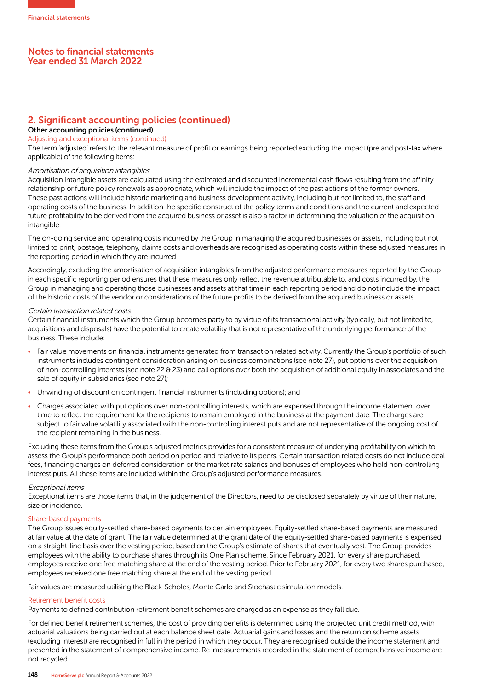# 2. Significant accounting policies (continued)

## Other accounting policies (continued)

## Adjusting and exceptional items (continued)

The term 'adjusted' refers to the relevant measure of profit or earnings being reported excluding the impact (pre and post-tax where applicable) of the following items:

#### Amortisation of acquisition intangibles

Acquisition intangible assets are calculated using the estimated and discounted incremental cash flows resulting from the affinity relationship or future policy renewals as appropriate, which will include the impact of the past actions of the former owners. These past actions will include historic marketing and business development activity, including but not limited to, the staff and operating costs of the business. In addition the specific construct of the policy terms and conditions and the current and expected future profitability to be derived from the acquired business or asset is also a factor in determining the valuation of the acquisition intangible.

The on-going service and operating costs incurred by the Group in managing the acquired businesses or assets, including but not limited to print, postage, telephony, claims costs and overheads are recognised as operating costs within these adjusted measures in the reporting period in which they are incurred.

Accordingly, excluding the amortisation of acquisition intangibles from the adjusted performance measures reported by the Group in each specific reporting period ensures that these measures only reflect the revenue attributable to, and costs incurred by, the Group in managing and operating those businesses and assets at that time in each reporting period and do not include the impact of the historic costs of the vendor or considerations of the future profits to be derived from the acquired business or assets.

#### Certain transaction related costs

Certain financial instruments which the Group becomes party to by virtue of its transactional activity (typically, but not limited to, acquisitions and disposals) have the potential to create volatility that is not representative of the underlying performance of the business. These include:

- Fair value movements on financial instruments generated from transaction related activity. Currently the Group's portfolio of such instruments includes contingent consideration arising on business combinations (see note 27), put options over the acquisition of non-controlling interests (see note 22 & 23) and call options over both the acquisition of additional equity in associates and the sale of equity in subsidiaries (see note 27);
- Unwinding of discount on contingent financial instruments (including options); and
- Charges associated with put options over non-controlling interests, which are expensed through the income statement over time to reflect the requirement for the recipients to remain employed in the business at the payment date. The charges are subject to fair value volatility associated with the non-controlling interest puts and are not representative of the ongoing cost of the recipient remaining in the business.

Excluding these items from the Group's adjusted metrics provides for a consistent measure of underlying profitability on which to assess the Group's performance both period on period and relative to its peers. Certain transaction related costs do not include deal fees, financing charges on deferred consideration or the market rate salaries and bonuses of employees who hold non-controlling interest puts. All these items are included within the Group's adjusted performance measures.

#### Exceptional items

Exceptional items are those items that, in the judgement of the Directors, need to be disclosed separately by virtue of their nature, size or incidence.

## Share-based payments

The Group issues equity-settled share-based payments to certain employees. Equity-settled share-based payments are measured at fair value at the date of grant. The fair value determined at the grant date of the equity-settled share-based payments is expensed on a straight-line basis over the vesting period, based on the Group's estimate of shares that eventually vest. The Group provides employees with the ability to purchase shares through its One Plan scheme. Since February 2021, for every share purchased, employees receive one free matching share at the end of the vesting period. Prior to February 2021, for every two shares purchased, employees received one free matching share at the end of the vesting period.

Fair values are measured utilising the Black-Scholes, Monte Carlo and Stochastic simulation models.

#### Retirement benefit costs

Payments to defined contribution retirement benefit schemes are charged as an expense as they fall due.

For defined benefit retirement schemes, the cost of providing benefits is determined using the projected unit credit method, with actuarial valuations being carried out at each balance sheet date. Actuarial gains and losses and the return on scheme assets (excluding interest) are recognised in full in the period in which they occur. They are recognised outside the income statement and presented in the statement of comprehensive income. Re-measurements recorded in the statement of comprehensive income are not recycled.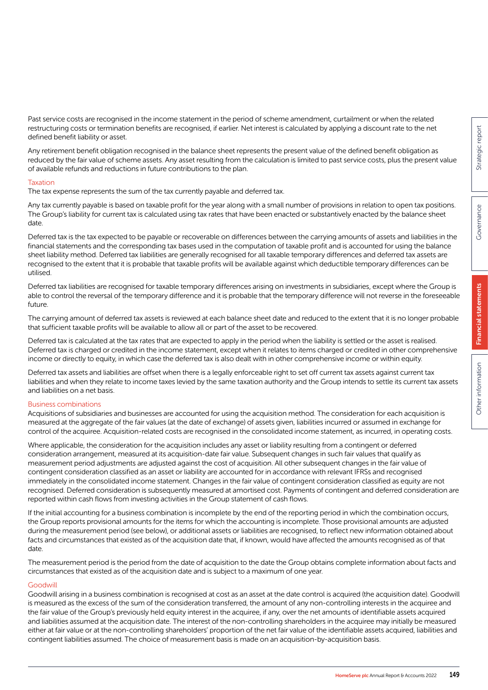Financial statements

**Financial statements** 

Governance

Other information

Other information

Past service costs are recognised in the income statement in the period of scheme amendment, curtailment or when the related restructuring costs or termination benefits are recognised, if earlier. Net interest is calculated by applying a discount rate to the net

Any retirement benefit obligation recognised in the balance sheet represents the present value of the defined benefit obligation as reduced by the fair value of scheme assets. Any asset resulting from the calculation is limited to past service costs, plus the present value of available refunds and reductions in future contributions to the plan.

## Taxation

defined benefit liability or asset.

The tax expense represents the sum of the tax currently payable and deferred tax.

Any tax currently payable is based on taxable profit for the year along with a small number of provisions in relation to open tax positions. The Group's liability for current tax is calculated using tax rates that have been enacted or substantively enacted by the balance sheet date.

Deferred tax is the tax expected to be payable or recoverable on differences between the carrying amounts of assets and liabilities in the financial statements and the corresponding tax bases used in the computation of taxable profit and is accounted for using the balance sheet liability method. Deferred tax liabilities are generally recognised for all taxable temporary differences and deferred tax assets are recognised to the extent that it is probable that taxable profits will be available against which deductible temporary differences can be utilised.

Deferred tax liabilities are recognised for taxable temporary differences arising on investments in subsidiaries, except where the Group is able to control the reversal of the temporary difference and it is probable that the temporary difference will not reverse in the foreseeable future.

The carrying amount of deferred tax assets is reviewed at each balance sheet date and reduced to the extent that it is no longer probable that sufficient taxable profits will be available to allow all or part of the asset to be recovered.

Deferred tax is calculated at the tax rates that are expected to apply in the period when the liability is settled or the asset is realised. Deferred tax is charged or credited in the income statement, except when it relates to items charged or credited in other comprehensive income or directly to equity, in which case the deferred tax is also dealt with in other comprehensive income or within equity.

Deferred tax assets and liabilities are offset when there is a legally enforceable right to set off current tax assets against current tax liabilities and when they relate to income taxes levied by the same taxation authority and the Group intends to settle its current tax assets and liabilities on a net basis.

## Business combinations

Acquisitions of subsidiaries and businesses are accounted for using the acquisition method. The consideration for each acquisition is measured at the aggregate of the fair values (at the date of exchange) of assets given, liabilities incurred or assumed in exchange for control of the acquiree. Acquisition-related costs are recognised in the consolidated income statement, as incurred, in operating costs.

Where applicable, the consideration for the acquisition includes any asset or liability resulting from a contingent or deferred consideration arrangement, measured at its acquisition-date fair value. Subsequent changes in such fair values that qualify as measurement period adjustments are adjusted against the cost of acquisition. All other subsequent changes in the fair value of contingent consideration classified as an asset or liability are accounted for in accordance with relevant IFRSs and recognised immediately in the consolidated income statement. Changes in the fair value of contingent consideration classified as equity are not recognised. Deferred consideration is subsequently measured at amortised cost. Payments of contingent and deferred consideration are reported within cash flows from investing activities in the Group statement of cash flows.

If the initial accounting for a business combination is incomplete by the end of the reporting period in which the combination occurs, the Group reports provisional amounts for the items for which the accounting is incomplete. Those provisional amounts are adjusted during the measurement period (see below), or additional assets or liabilities are recognised, to reflect new information obtained about facts and circumstances that existed as of the acquisition date that, if known, would have affected the amounts recognised as of that date.

The measurement period is the period from the date of acquisition to the date the Group obtains complete information about facts and circumstances that existed as of the acquisition date and is subject to a maximum of one year.

## Goodwill

Goodwill arising in a business combination is recognised at cost as an asset at the date control is acquired (the acquisition date). Goodwill is measured as the excess of the sum of the consideration transferred, the amount of any non-controlling interests in the acquiree and the fair value of the Group's previously held equity interest in the acquiree, if any, over the net amounts of identifiable assets acquired and liabilities assumed at the acquisition date. The interest of the non-controlling shareholders in the acquiree may initially be measured either at fair value or at the non-controlling shareholders' proportion of the net fair value of the identifiable assets acquired, liabilities and contingent liabilities assumed. The choice of measurement basis is made on an acquisition-by-acquisition basis.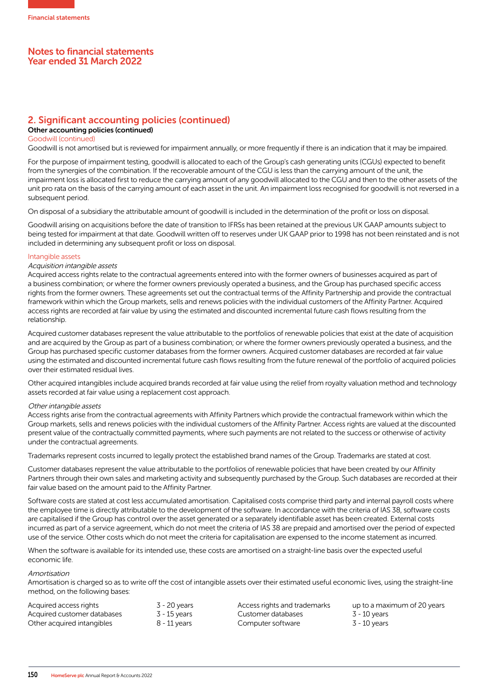## 2. Significant accounting policies (continued)

#### Other accounting policies (continued)

## Goodwill (continued)

Goodwill is not amortised but is reviewed for impairment annually, or more frequently if there is an indication that it may be impaired.

For the purpose of impairment testing, goodwill is allocated to each of the Group's cash generating units (CGUs) expected to benefit from the synergies of the combination. If the recoverable amount of the CGU is less than the carrying amount of the unit, the impairment loss is allocated first to reduce the carrying amount of any goodwill allocated to the CGU and then to the other assets of the unit pro rata on the basis of the carrying amount of each asset in the unit. An impairment loss recognised for goodwill is not reversed in a subsequent period.

On disposal of a subsidiary the attributable amount of goodwill is included in the determination of the profit or loss on disposal.

Goodwill arising on acquisitions before the date of transition to IFRSs has been retained at the previous UK GAAP amounts subject to being tested for impairment at that date. Goodwill written off to reserves under UK GAAP prior to 1998 has not been reinstated and is not included in determining any subsequent profit or loss on disposal.

#### Intangible assets

#### Acquisition intangible assets

Acquired access rights relate to the contractual agreements entered into with the former owners of businesses acquired as part of a business combination; or where the former owners previously operated a business, and the Group has purchased specific access rights from the former owners. These agreements set out the contractual terms of the Affinity Partnership and provide the contractual framework within which the Group markets, sells and renews policies with the individual customers of the Affinity Partner. Acquired access rights are recorded at fair value by using the estimated and discounted incremental future cash flows resulting from the relationship.

Acquired customer databases represent the value attributable to the portfolios of renewable policies that exist at the date of acquisition and are acquired by the Group as part of a business combination; or where the former owners previously operated a business, and the Group has purchased specific customer databases from the former owners. Acquired customer databases are recorded at fair value using the estimated and discounted incremental future cash flows resulting from the future renewal of the portfolio of acquired policies over their estimated residual lives.

Other acquired intangibles include acquired brands recorded at fair value using the relief from royalty valuation method and technology assets recorded at fair value using a replacement cost approach.

#### Other intangible assets

Access rights arise from the contractual agreements with Affinity Partners which provide the contractual framework within which the Group markets, sells and renews policies with the individual customers of the Affinity Partner. Access rights are valued at the discounted present value of the contractually committed payments, where such payments are not related to the success or otherwise of activity under the contractual agreements.

Trademarks represent costs incurred to legally protect the established brand names of the Group. Trademarks are stated at cost.

Customer databases represent the value attributable to the portfolios of renewable policies that have been created by our Affinity Partners through their own sales and marketing activity and subsequently purchased by the Group. Such databases are recorded at their fair value based on the amount paid to the Affinity Partner.

Software costs are stated at cost less accumulated amortisation. Capitalised costs comprise third party and internal payroll costs where the employee time is directly attributable to the development of the software. In accordance with the criteria of IAS 38, software costs are capitalised if the Group has control over the asset generated or a separately identifiable asset has been created. External costs incurred as part of a service agreement, which do not meet the criteria of IAS 38 are prepaid and amortised over the period of expected use of the service. Other costs which do not meet the criteria for capitalisation are expensed to the income statement as incurred.

When the software is available for its intended use, these costs are amortised on a straight-line basis over the expected useful economic life.

#### Amortisation

Amortisation is charged so as to write off the cost of intangible assets over their estimated useful economic lives, using the straight-line method, on the following bases:

up to a maximum of 20 years

| Acquired access rights      | 3 - 20 years | Access rights and trademarks | up to a max  |
|-----------------------------|--------------|------------------------------|--------------|
| Acquired customer databases | 3 - 15 years | Customer databases           | 3 - 10 years |
| Other acquired intangibles  | 8 - 11 years | Computer software            | 3 - 10 years |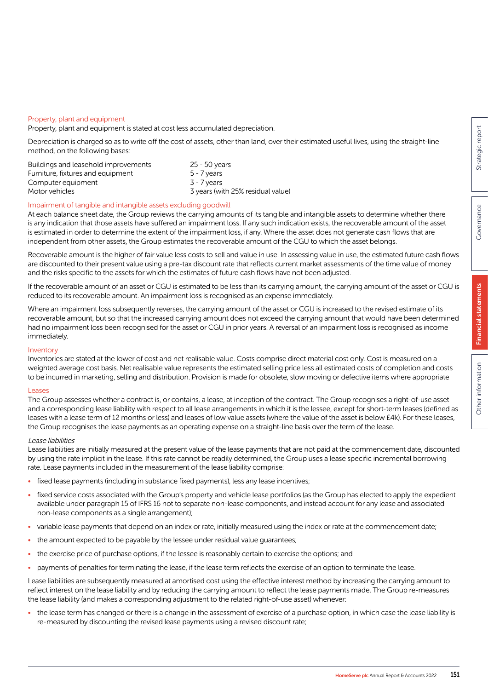## Property, plant and equipment

Property, plant and equipment is stated at cost less accumulated depreciation.

Depreciation is charged so as to write off the cost of assets, other than land, over their estimated useful lives, using the straight-line method, on the following bases:

| Buildings and leasehold improvements | 25 - 50 years                     |
|--------------------------------------|-----------------------------------|
| Furniture, fixtures and equipment    | 5 - 7 years                       |
| Computer equipment                   | 3 - 7 vears                       |
| Motor vehicles                       | 3 years (with 25% residual value) |

#### Impairment of tangible and intangible assets excluding goodwill

At each balance sheet date, the Group reviews the carrying amounts of its tangible and intangible assets to determine whether there is any indication that those assets have suffered an impairment loss. If any such indication exists, the recoverable amount of the asset is estimated in order to determine the extent of the impairment loss, if any. Where the asset does not generate cash flows that are independent from other assets, the Group estimates the recoverable amount of the CGU to which the asset belongs.

Recoverable amount is the higher of fair value less costs to sell and value in use. In assessing value in use, the estimated future cash flows are discounted to their present value using a pre-tax discount rate that reflects current market assessments of the time value of money and the risks specific to the assets for which the estimates of future cash flows have not been adjusted.

If the recoverable amount of an asset or CGU is estimated to be less than its carrying amount, the carrying amount of the asset or CGU is reduced to its recoverable amount. An impairment loss is recognised as an expense immediately.

Where an impairment loss subsequently reverses, the carrying amount of the asset or CGU is increased to the revised estimate of its recoverable amount, but so that the increased carrying amount does not exceed the carrying amount that would have been determined had no impairment loss been recognised for the asset or CGU in prior years. A reversal of an impairment loss is recognised as income immediately.

#### Inventory

Inventories are stated at the lower of cost and net realisable value. Costs comprise direct material cost only. Cost is measured on a weighted average cost basis. Net realisable value represents the estimated selling price less all estimated costs of completion and costs to be incurred in marketing, selling and distribution. Provision is made for obsolete, slow moving or defective items where appropriate

#### Leases

The Group assesses whether a contract is, or contains, a lease, at inception of the contract. The Group recognises a right-of-use asset and a corresponding lease liability with respect to all lease arrangements in which it is the lessee, except for short-term leases (defined as leases with a lease term of 12 months or less) and leases of low value assets (where the value of the asset is below £4k). For these leases, the Group recognises the lease payments as an operating expense on a straight-line basis over the term of the lease.

#### Lease liabilities

Lease liabilities are initially measured at the present value of the lease payments that are not paid at the commencement date, discounted by using the rate implicit in the lease. If this rate cannot be readily determined, the Group uses a lease specific incremental borrowing rate. Lease payments included in the measurement of the lease liability comprise:

- fixed lease payments (including in substance fixed payments), less any lease incentives;
- fixed service costs associated with the Group's property and vehicle lease portfolios (as the Group has elected to apply the expedient available under paragraph 15 of IFRS 16 not to separate non-lease components, and instead account for any lease and associated non-lease components as a single arrangement);
- variable lease payments that depend on an index or rate, initially measured using the index or rate at the commencement date;
- the amount expected to be payable by the lessee under residual value quarantees;
- the exercise price of purchase options, if the lessee is reasonably certain to exercise the options; and
- payments of penalties for terminating the lease, if the lease term reflects the exercise of an option to terminate the lease.

Lease liabilities are subsequently measured at amortised cost using the effective interest method by increasing the carrying amount to reflect interest on the lease liability and by reducing the carrying amount to reflect the lease payments made. The Group re-measures the lease liability (and makes a corresponding adjustment to the related right-of-use asset) whenever:

• the lease term has changed or there is a change in the assessment of exercise of a purchase option, in which case the lease liability is re-measured by discounting the revised lease payments using a revised discount rate;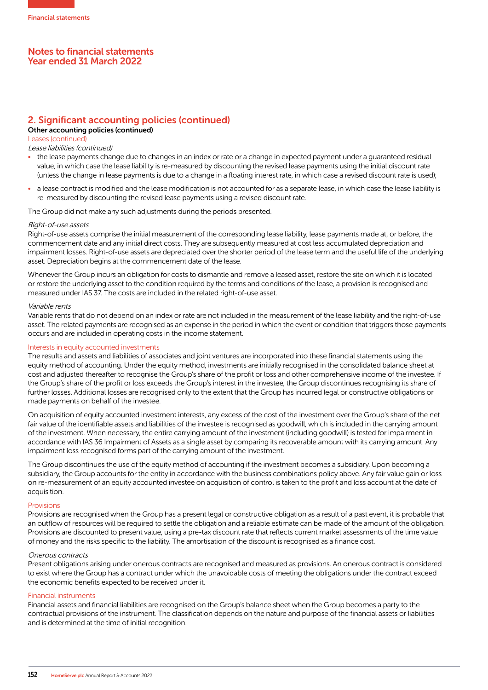## 2. Significant accounting policies (continued)

#### Other accounting policies (continued)

## Leases (continued)

#### Lease liabilities (continued)

- the lease payments change due to changes in an index or rate or a change in expected payment under a guaranteed residual value, in which case the lease liability is re-measured by discounting the revised lease payments using the initial discount rate (unless the change in lease payments is due to a change in a floating interest rate, in which case a revised discount rate is used);
- a lease contract is modified and the lease modification is not accounted for as a separate lease, in which case the lease liability is re-measured by discounting the revised lease payments using a revised discount rate.

The Group did not make any such adjustments during the periods presented.

#### Right-of-use assets

Right-of-use assets comprise the initial measurement of the corresponding lease liability, lease payments made at, or before, the commencement date and any initial direct costs. They are subsequently measured at cost less accumulated depreciation and impairment losses. Right-of-use assets are depreciated over the shorter period of the lease term and the useful life of the underlying asset. Depreciation begins at the commencement date of the lease.

Whenever the Group incurs an obligation for costs to dismantle and remove a leased asset, restore the site on which it is located or restore the underlying asset to the condition required by the terms and conditions of the lease, a provision is recognised and measured under IAS 37. The costs are included in the related right-of-use asset.

#### Variable rents

Variable rents that do not depend on an index or rate are not included in the measurement of the lease liability and the right-of-use asset. The related payments are recognised as an expense in the period in which the event or condition that triggers those payments occurs and are included in operating costs in the income statement.

#### Interests in equity accounted investments

The results and assets and liabilities of associates and joint ventures are incorporated into these financial statements using the equity method of accounting. Under the equity method, investments are initially recognised in the consolidated balance sheet at cost and adjusted thereafter to recognise the Group's share of the profit or loss and other comprehensive income of the investee. If the Group's share of the profit or loss exceeds the Group's interest in the investee, the Group discontinues recognising its share of further losses. Additional losses are recognised only to the extent that the Group has incurred legal or constructive obligations or made payments on behalf of the investee.

On acquisition of equity accounted investment interests, any excess of the cost of the investment over the Group's share of the net fair value of the identifiable assets and liabilities of the investee is recognised as goodwill, which is included in the carrying amount of the investment. When necessary, the entire carrying amount of the investment (including goodwill) is tested for impairment in accordance with IAS 36 Impairment of Assets as a single asset by comparing its recoverable amount with its carrying amount. Any impairment loss recognised forms part of the carrying amount of the investment.

The Group discontinues the use of the equity method of accounting if the investment becomes a subsidiary. Upon becoming a subsidiary, the Group accounts for the entity in accordance with the business combinations policy above. Any fair value gain or loss on re-measurement of an equity accounted investee on acquisition of control is taken to the profit and loss account at the date of acquisition.

#### Provisions

Provisions are recognised when the Group has a present legal or constructive obligation as a result of a past event, it is probable that an outflow of resources will be required to settle the obligation and a reliable estimate can be made of the amount of the obligation. Provisions are discounted to present value, using a pre-tax discount rate that reflects current market assessments of the time value of money and the risks specific to the liability. The amortisation of the discount is recognised as a finance cost.

#### Onerous contracts

Present obligations arising under onerous contracts are recognised and measured as provisions. An onerous contract is considered to exist where the Group has a contract under which the unavoidable costs of meeting the obligations under the contract exceed the economic benefits expected to be received under it.

#### Financial instruments

Financial assets and financial liabilities are recognised on the Group's balance sheet when the Group becomes a party to the contractual provisions of the instrument. The classification depends on the nature and purpose of the financial assets or liabilities and is determined at the time of initial recognition.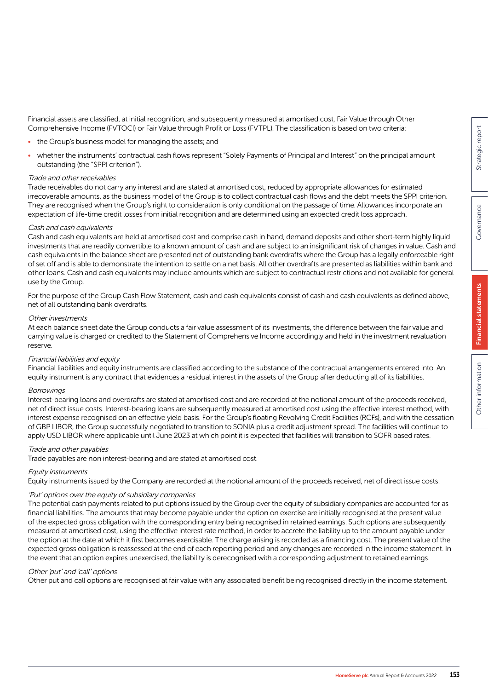Governance

Financial assets are classified, at initial recognition, and subsequently measured at amortised cost, Fair Value through Other Comprehensive Income (FVTOCI) or Fair Value through Profit or Loss (FVTPL). The classification is based on two criteria:

- the Group's business model for managing the assets; and
- whether the instruments' contractual cash flows represent "Solely Payments of Principal and Interest" on the principal amount outstanding (the "SPPI criterion").

## Trade and other receivables

Trade receivables do not carry any interest and are stated at amortised cost, reduced by appropriate allowances for estimated irrecoverable amounts, as the business model of the Group is to collect contractual cash flows and the debt meets the SPPI criterion. They are recognised when the Group's right to consideration is only conditional on the passage of time. Allowances incorporate an expectation of life-time credit losses from initial recognition and are determined using an expected credit loss approach.

## Cash and cash equivalents

Cash and cash equivalents are held at amortised cost and comprise cash in hand, demand deposits and other short-term highly liquid investments that are readily convertible to a known amount of cash and are subject to an insignificant risk of changes in value. Cash and cash equivalents in the balance sheet are presented net of outstanding bank overdrafts where the Group has a legally enforceable right of set off and is able to demonstrate the intention to settle on a net basis. All other overdrafts are presented as liabilities within bank and other loans. Cash and cash equivalents may include amounts which are subject to contractual restrictions and not available for general use by the Group.

For the purpose of the Group Cash Flow Statement, cash and cash equivalents consist of cash and cash equivalents as defined above, net of all outstanding bank overdrafts.

## Other investments

At each balance sheet date the Group conducts a fair value assessment of its investments, the difference between the fair value and carrying value is charged or credited to the Statement of Comprehensive Income accordingly and held in the investment revaluation reserve.

## Financial liabilities and equity

Financial liabilities and equity instruments are classified according to the substance of the contractual arrangements entered into. An equity instrument is any contract that evidences a residual interest in the assets of the Group after deducting all of its liabilities.

## Borrowings

Interest-bearing loans and overdrafts are stated at amortised cost and are recorded at the notional amount of the proceeds received, net of direct issue costs. Interest-bearing loans are subsequently measured at amortised cost using the effective interest method, with interest expense recognised on an effective yield basis. For the Group's floating Revolving Credit Facilities (RCFs), and with the cessation of GBP LIBOR, the Group successfully negotiated to transition to SONIA plus a credit adjustment spread. The facilities will continue to apply USD LIBOR where applicable until June 2023 at which point it is expected that facilities will transition to SOFR based rates.

## Trade and other payables

Trade payables are non interest-bearing and are stated at amortised cost.

## Equity instruments

Equity instruments issued by the Company are recorded at the notional amount of the proceeds received, net of direct issue costs.

## 'Put' options over the equity of subsidiary companies

The potential cash payments related to put options issued by the Group over the equity of subsidiary companies are accounted for as financial liabilities. The amounts that may become payable under the option on exercise are initially recognised at the present value of the expected gross obligation with the corresponding entry being recognised in retained earnings. Such options are subsequently measured at amortised cost, using the effective interest rate method, in order to accrete the liability up to the amount payable under the option at the date at which it first becomes exercisable. The charge arising is recorded as a financing cost. The present value of the expected gross obligation is reassessed at the end of each reporting period and any changes are recorded in the income statement. In the event that an option expires unexercised, the liability is derecognised with a corresponding adjustment to retained earnings.

## Other 'put' and 'call' options

Other put and call options are recognised at fair value with any associated benefit being recognised directly in the income statement.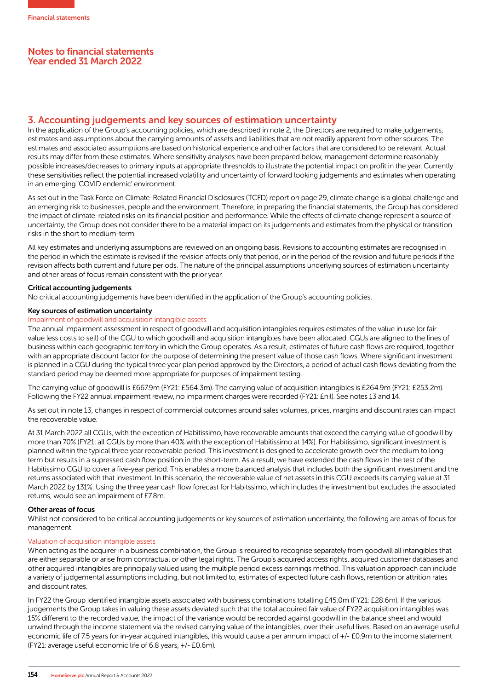## 3. Accounting judgements and key sources of estimation uncertainty

In the application of the Group's accounting policies, which are described in note 2, the Directors are required to make judgements, estimates and assumptions about the carrying amounts of assets and liabilities that are not readily apparent from other sources. The estimates and associated assumptions are based on historical experience and other factors that are considered to be relevant. Actual results may differ from these estimates. Where sensitivity analyses have been prepared below, management determine reasonably possible increases/decreases to primary inputs at appropriate thresholds to illustrate the potential impact on profit in the year. Currently these sensitivities reflect the potential increased volatility and uncertainty of forward looking judgements and estimates when operating in an emerging 'COVID endemic' environment.

As set out in the Task Force on Climate-Related Financial Disclosures (TCFD) report on page 29, climate change is a global challenge and an emerging risk to businesses, people and the environment. Therefore, in preparing the financial statements, the Group has considered the impact of climate-related risks on its financial position and performance. While the effects of climate change represent a source of uncertainty, the Group does not consider there to be a material impact on its judgements and estimates from the physical or transition risks in the short to medium-term.

All key estimates and underlying assumptions are reviewed on an ongoing basis. Revisions to accounting estimates are recognised in the period in which the estimate is revised if the revision affects only that period, or in the period of the revision and future periods if the revision affects both current and future periods. The nature of the principal assumptions underlying sources of estimation uncertainty and other areas of focus remain consistent with the prior year.

#### Critical accounting judgements

No critical accounting judgements have been identified in the application of the Group's accounting policies.

## Key sources of estimation uncertainty

## Impairment of goodwill and acquisition intangible assets

The annual impairment assessment in respect of goodwill and acquisition intangibles requires estimates of the value in use (or fair value less costs to sell) of the CGU to which goodwill and acquisition intangibles have been allocated. CGUs are aligned to the lines of business within each geographic territory in which the Group operates. As a result, estimates of future cash flows are required, together with an appropriate discount factor for the purpose of determining the present value of those cash flows. Where significant investment is planned in a CGU during the typical three year plan period approved by the Directors, a period of actual cash flows deviating from the standard period may be deemed more appropriate for purposes of impairment testing.

The carrying value of goodwill is £667.9m (FY21: £564.3m). The carrying value of acquisition intangibles is £264.9m (FY21: £253.2m). Following the FY22 annual impairment review, no impairment charges were recorded (FY21: £nil). See notes 13 and 14.

As set out in note 13, changes in respect of commercial outcomes around sales volumes, prices, margins and discount rates can impact the recoverable value.

At 31 March 2022 all CGUs, with the exception of Habitissimo, have recoverable amounts that exceed the carrying value of goodwill by more than 70% (FY21: all CGUs by more than 40% with the exception of Habitissimo at 14%). For Habitissimo, significant investment is planned within the typical three year recoverable period. This investment is designed to accelerate growth over the medium to longterm but results in a supressed cash flow position in the short-term. As a result, we have extended the cash flows in the test of the Habitissimo CGU to cover a five-year period. This enables a more balanced analysis that includes both the significant investment and the returns associated with that investment. In this scenario, the recoverable value of net assets in this CGU exceeds its carrying value at 31 March 2022 by 131%. Using the three year cash flow forecast for Habitssimo, which includes the investment but excludes the associated returns, would see an impairment of £7.8m.

#### Other areas of focus

Whilst not considered to be critical accounting judgements or key sources of estimation uncertainty, the following are areas of focus for management.

#### Valuation of acquisition intangible assets

When acting as the acquirer in a business combination, the Group is required to recognise separately from goodwill all intangibles that are either separable or arise from contractual or other legal rights. The Group's acquired access rights, acquired customer databases and other acquired intangibles are principally valued using the multiple period excess earnings method. This valuation approach can include a variety of judgemental assumptions including, but not limited to, estimates of expected future cash flows, retention or attrition rates and discount rates.

In FY22 the Group identified intangible assets associated with business combinations totalling £45.0m (FY21: £28.6m). If the various judgements the Group takes in valuing these assets deviated such that the total acquired fair value of FY22 acquisition intangibles was 15% different to the recorded value, the impact of the variance would be recorded against goodwill in the balance sheet and would unwind through the income statement via the revised carrying value of the intangibles, over their useful lives. Based on an average useful economic life of 7.5 years for in-year acquired intangibles, this would cause a per annum impact of +/- £0.9m to the income statement (FY21: average useful economic life of 6.8 years, +/- £0.6m).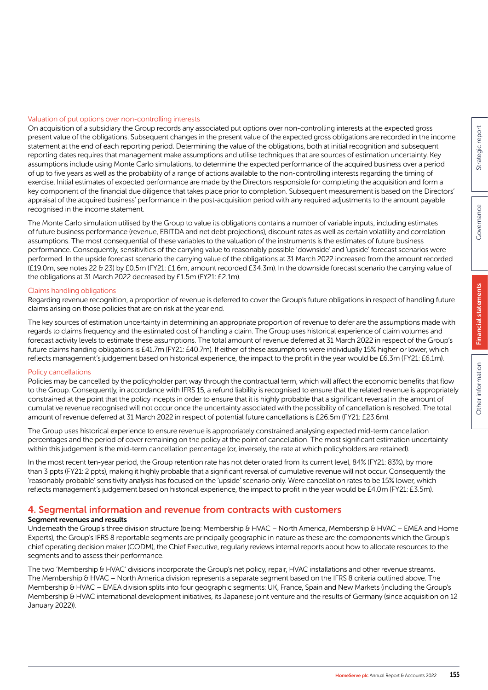#### Valuation of put options over non-controlling interests

On acquisition of a subsidiary the Group records any associated put options over non-controlling interests at the expected gross present value of the obligations. Subsequent changes in the present value of the expected gross obligations are recorded in the income statement at the end of each reporting period. Determining the value of the obligations, both at initial recognition and subsequent reporting dates requires that management make assumptions and utilise techniques that are sources of estimation uncertainty. Key assumptions include using Monte Carlo simulations, to determine the expected performance of the acquired business over a period of up to five years as well as the probability of a range of actions available to the non-controlling interests regarding the timing of exercise. Initial estimates of expected performance are made by the Directors responsible for completing the acquisition and form a key component of the financial due diligence that takes place prior to completion. Subsequent measurement is based on the Directors' appraisal of the acquired business' performance in the post-acquisition period with any required adjustments to the amount payable recognised in the income statement.

The Monte Carlo simulation utilised by the Group to value its obligations contains a number of variable inputs, including estimates of future business performance (revenue, EBITDA and net debt projections), discount rates as well as certain volatility and correlation assumptions. The most consequential of these variables to the valuation of the instruments is the estimates of future business performance. Consequently, sensitivities of the carrying value to reasonably possible 'downside' and 'upside' forecast scenarios were performed. In the upside forecast scenario the carrying value of the obligations at 31 March 2022 increased from the amount recorded (£19.0m, see notes 22 & 23) by £0.5m (FY21: £1.6m, amount recorded £34.3m). In the downside forecast scenario the carrying value of the obligations at 31 March 2022 decreased by £1.5m (FY21: £2.1m).

#### Claims handling obligations

Regarding revenue recognition, a proportion of revenue is deferred to cover the Group's future obligations in respect of handling future claims arising on those policies that are on risk at the year end.

The key sources of estimation uncertainty in determining an appropriate proportion of revenue to defer are the assumptions made with regards to claims frequency and the estimated cost of handling a claim. The Group uses historical experience of claim volumes and forecast activity levels to estimate these assumptions. The total amount of revenue deferred at 31 March 2022 in respect of the Group's future claims handing obligations is £41.7m (FY21: £40.7m). If either of these assumptions were individually 15% higher or lower, which reflects management's judgement based on historical experience, the impact to the profit in the year would be £6.3m (FY21: £6.1m).

#### Policy cancellations

Policies may be cancelled by the policyholder part way through the contractual term, which will affect the economic benefits that flow to the Group. Consequently, in accordance with IFRS 15, a refund liability is recognised to ensure that the related revenue is appropriately constrained at the point that the policy incepts in order to ensure that it is highly probable that a significant reversal in the amount of cumulative revenue recognised will not occur once the uncertainty associated with the possibility of cancellation is resolved. The total amount of revenue deferred at 31 March 2022 in respect of potential future cancellations is £26.5m (FY21: £23.6m).

The Group uses historical experience to ensure revenue is appropriately constrained analysing expected mid-term cancellation percentages and the period of cover remaining on the policy at the point of cancellation. The most significant estimation uncertainty within this judgement is the mid-term cancellation percentage (or, inversely, the rate at which policyholders are retained).

In the most recent ten-year period, the Group retention rate has not deteriorated from its current level, 84% (FY21: 83%), by more than 3 ppts (FY21: 2 ppts), making it highly probable that a significant reversal of cumulative revenue will not occur. Consequently the 'reasonably probable' sensitivity analysis has focused on the 'upside' scenario only. Were cancellation rates to be 15% lower, which reflects management's judgement based on historical experience, the impact to profit in the year would be £4.0m (FY21: £3.5m).

## 4. Segmental information and revenue from contracts with customers

#### Segment revenues and results

Underneath the Group's three division structure (being: Membership & HVAC – North America, Membership & HVAC – EMEA and Home Experts), the Group's IFRS 8 reportable segments are principally geographic in nature as these are the components which the Group's chief operating decision maker (CODM), the Chief Executive, regularly reviews internal reports about how to allocate resources to the segments and to assess their performance.

The two 'Membership & HVAC' divisions incorporate the Group's net policy, repair, HVAC installations and other revenue streams. The Membership & HVAC – North America division represents a separate segment based on the IFRS 8 criteria outlined above. The Membership & HVAC – EMEA division splits into four geographic segments: UK, France, Spain and New Markets (including the Group's Membership & HVAC international development initiatives, its Japanese joint venture and the results of Germany (since acquisition on 12 January 2022)).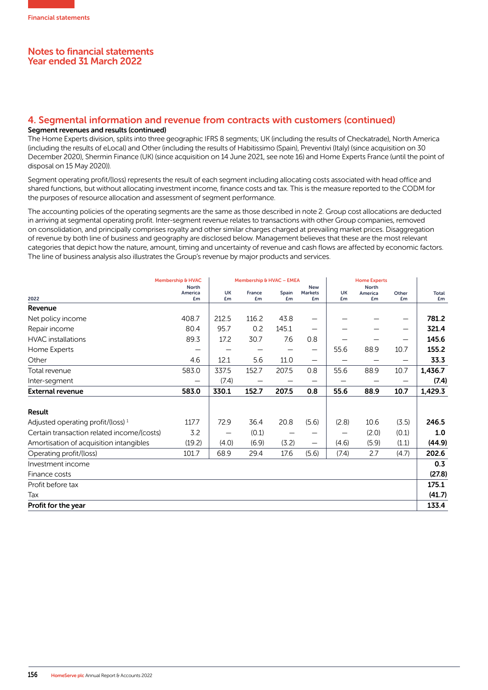## 4. Segmental information and revenue from contracts with customers (continued)

## Segment revenues and results (continued)

The Home Experts division, splits into three geographic IFRS 8 segments; UK (including the results of Checkatrade), North America (including the results of eLocal) and Other (including the results of Habitissimo (Spain), Preventivi (Italy) (since acquisition on 30 December 2020), Shermin Finance (UK) (since acquisition on 14 June 2021, see note 16) and Home Experts France (until the point of disposal on 15 May 2020)).

Segment operating profit/(loss) represents the result of each segment including allocating costs associated with head office and shared functions, but without allocating investment income, finance costs and tax. This is the measure reported to the CODM for the purposes of resource allocation and assessment of segment performance.

The accounting policies of the operating segments are the same as those described in note 2. Group cost allocations are deducted in arriving at segmental operating profit. Inter-segment revenue relates to transactions with other Group companies, removed on consolidation, and principally comprises royalty and other similar charges charged at prevailing market prices. Disaggregation of revenue by both line of business and geography are disclosed below. Management believes that these are the most relevant categories that depict how the nature, amount, timing and uncertainty of revenue and cash flows are affected by economic factors. The line of business analysis also illustrates the Group's revenue by major products and services.

|                                            | <b>Membership &amp; HVAC</b> | Membership & HVAC - EMEA |        |       |                              |           | <b>Home Experts</b>     |       |         |
|--------------------------------------------|------------------------------|--------------------------|--------|-------|------------------------------|-----------|-------------------------|-------|---------|
|                                            | <b>North</b><br>America      | <b>UK</b>                | France | Spain | <b>New</b><br><b>Markets</b> | <b>UK</b> | <b>North</b><br>America | Other | Total   |
| 2022                                       | £m                           | £m                       | £m     | £m    | £m                           | £m        | £m                      | £m    | £m      |
| Revenue                                    |                              |                          |        |       |                              |           |                         |       |         |
| Net policy income                          | 408.7                        | 212.5                    | 116.2  | 43.8  |                              |           |                         | -     | 781.2   |
| Repair income                              | 80.4                         | 95.7                     | 0.2    | 145.1 |                              |           |                         | —     | 321.4   |
| <b>HVAC</b> installations                  | 89.3                         | 17.2                     | 30.7   | 7.6   | 0.8                          |           |                         |       | 145.6   |
| Home Experts                               |                              |                          |        |       |                              | 55.6      | 88.9                    | 10.7  | 155.2   |
| Other                                      | 4.6                          | 12.1                     | 5.6    | 11.0  | —                            |           |                         |       | 33.3    |
| Total revenue                              | 583.0                        | 337.5                    | 152.7  | 207.5 | 0.8                          | 55.6      | 88.9                    | 10.7  | 1,436.7 |
| Inter-segment                              |                              | (7.4)                    |        |       |                              |           |                         |       | (7.4)   |
| <b>External revenue</b>                    | 583.0                        | 330.1                    | 152.7  | 207.5 | 0.8                          | 55.6      | 88.9                    | 10.7  | 1,429.3 |
|                                            |                              |                          |        |       |                              |           |                         |       |         |
| Result                                     |                              |                          |        |       |                              |           |                         |       |         |
| Adjusted operating profit/(loss) $1$       | 117.7                        | 72.9                     | 36.4   | 20.8  | (5.6)                        | (2.8)     | 10.6                    | (3.5) | 246.5   |
| Certain transaction related income/(costs) | 3.2                          |                          | (0.1)  |       |                              |           | (2.0)                   | (0.1) | 1.0     |
| Amortisation of acquisition intangibles    | (19.2)                       | (4.0)                    | (6.9)  | (3.2) | $\overline{\phantom{0}}$     | (4.6)     | (5.9)                   | (1.1) | (44.9)  |
| Operating profit/(loss)                    | 101.7                        | 68.9                     | 29.4   | 17.6  | (5.6)                        | (7.4)     | 2.7                     | (4.7) | 202.6   |
| Investment income                          |                              |                          |        |       |                              |           |                         |       | 0.3     |
| Finance costs                              |                              |                          |        |       |                              |           |                         |       | (27.8)  |
| Profit before tax                          |                              |                          |        |       |                              |           |                         |       | 175.1   |
| Tax                                        |                              |                          |        |       |                              |           |                         |       | (41.7)  |
| Profit for the year                        |                              |                          |        |       |                              |           |                         |       | 133.4   |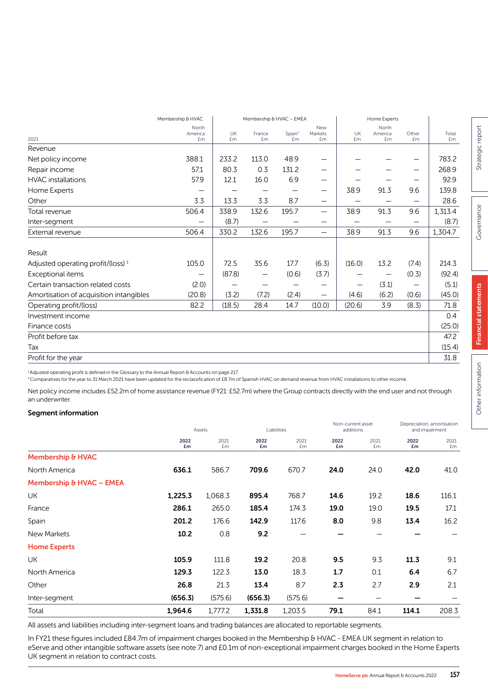|                                                                                                                                                                                                                                                                                                          | Membership & HVAC      |          | Membership & HVAC - EMEA |                             |                                 |          | Home Experts           |             |             |                             |
|----------------------------------------------------------------------------------------------------------------------------------------------------------------------------------------------------------------------------------------------------------------------------------------------------------|------------------------|----------|--------------------------|-----------------------------|---------------------------------|----------|------------------------|-------------|-------------|-----------------------------|
| 2021                                                                                                                                                                                                                                                                                                     | North<br>America<br>£m | UK<br>£m | France<br>£m             | $S$ pain <sup>2</sup><br>£m | New<br>Markets<br>£m            | UK<br>£m | North<br>America<br>£m | Other<br>£m | Total<br>£m | Strategic report            |
| Revenue                                                                                                                                                                                                                                                                                                  |                        |          |                          |                             |                                 |          |                        |             |             |                             |
| Net policy income                                                                                                                                                                                                                                                                                        | 388.1                  | 233.2    | 113.0                    | 48.9                        | -                               |          |                        | -           | 783.2       |                             |
| Repair income                                                                                                                                                                                                                                                                                            | 57.1                   | 80.3     | 0.3                      | 131.2                       |                                 |          |                        |             | 268.9       |                             |
| <b>HVAC</b> installations                                                                                                                                                                                                                                                                                | 57.9                   | 12.1     | 16.0                     | 6.9                         | —                               |          |                        |             | 92.9        |                             |
| Home Experts                                                                                                                                                                                                                                                                                             |                        |          |                          |                             | —                               | 38.9     | 91.3                   | 9.6         | 139.8       |                             |
| Other                                                                                                                                                                                                                                                                                                    | 3.3                    | 13.3     | 3.3                      | 8.7                         | $\overbrace{\phantom{1232211}}$ |          |                        |             | 28.6        |                             |
| Total revenue                                                                                                                                                                                                                                                                                            | 506.4                  | 338.9    | 132.6                    | 195.7                       | —                               | 38.9     | 91.3                   | 9.6         | 1,313.4     | Governance                  |
| Inter-segment                                                                                                                                                                                                                                                                                            |                        | (8.7)    |                          |                             | $\qquad \qquad$                 |          |                        |             | (8.7)       |                             |
| External revenue                                                                                                                                                                                                                                                                                         | 506.4                  | 330.2    | 132.6                    | 195.7                       |                                 | 38.9     | 91.3                   | 9.6         | 1,304.7     |                             |
| Result<br>Adjusted operating profit/(loss) $1$                                                                                                                                                                                                                                                           | 105.0                  | 72.5     | 35.6                     | 17.7                        | (6.3)                           | (16.0)   | 13.2                   | (7.4)       | 214.3       |                             |
| <b>Exceptional items</b>                                                                                                                                                                                                                                                                                 |                        | (87.8)   |                          | (0.6)                       | (3.7)                           |          |                        | (0.3)       | (92.4)      |                             |
| Certain transaction related costs                                                                                                                                                                                                                                                                        | (2.0)                  |          |                          |                             |                                 |          | (3.1)                  |             | (5.1)       |                             |
| Amortisation of acquisition intangibles                                                                                                                                                                                                                                                                  | (20.8)                 | (3.2)    | (7.2)                    | (2.4)                       | $\qquad \qquad -$               | (4.6)    | (6.2)                  | (0.6)       | (45.0)      | <b>Financial statements</b> |
| Operating profit/(loss)                                                                                                                                                                                                                                                                                  | 82.2                   | (18.5)   | 28.4                     | 14.7                        | (10.0)                          | (20.6)   | 3.9                    | (8.3)       | 71.8        |                             |
| Investment income                                                                                                                                                                                                                                                                                        |                        |          |                          |                             |                                 |          |                        |             | 0.4         |                             |
| Finance costs                                                                                                                                                                                                                                                                                            |                        |          |                          |                             |                                 |          |                        |             | (25.0)      |                             |
| Profit before tax                                                                                                                                                                                                                                                                                        |                        |          |                          |                             |                                 |          |                        |             | 47.2        |                             |
| Tax                                                                                                                                                                                                                                                                                                      |                        |          |                          |                             |                                 |          |                        |             | (15.4)      |                             |
| Profit for the year                                                                                                                                                                                                                                                                                      |                        |          |                          |                             |                                 |          |                        |             | 31.8        |                             |
| <sup>1</sup> Adjusted operating profit is defined in the Glossary to the Annual Report & Accounts on page 217.<br><sup>2</sup> Comparatives for the year to 31 March 2021 have been updated for the reclassification of £8.7m of Spanish HVAC on demand revenue from HVAC installations to other income. |                        |          |                          |                             |                                 |          |                        |             |             |                             |
| Net policy income includes £52.2m of home assistance revenue (FY21: £52.7m) where the Group contracts directly with the end user and not through<br>an underwriter.                                                                                                                                      |                        |          |                          |                             |                                 |          |                        |             |             | Other information           |
| Seament information                                                                                                                                                                                                                                                                                      |                        |          |                          |                             |                                 |          |                        |             |             |                             |

#### Segment information

|                              |            | Assets            |            | Liabilities       |            | Non-current asset<br>additions |            | Depreciation, amortisation<br>and impairment |
|------------------------------|------------|-------------------|------------|-------------------|------------|--------------------------------|------------|----------------------------------------------|
|                              | 2022<br>£m | 2021<br><b>£m</b> | 2022<br>£m | 2021<br><b>£m</b> | 2022<br>£m | 2021<br>£m                     | 2022<br>£m | 2021<br>£m                                   |
| <b>Membership &amp; HVAC</b> |            |                   |            |                   |            |                                |            |                                              |
| North America                | 636.1      | 586.7             | 709.6      | 670.7             | 24.0       | 24.0                           | 42.0       | 41.0                                         |
| Membership & HVAC - EMEA     |            |                   |            |                   |            |                                |            |                                              |
| <b>UK</b>                    | 1,225.3    | 1,068.3           | 895.4      | 768.7             | 14.6       | 19.2                           | 18.6       | 116.1                                        |
| France                       | 286.1      | 265.0             | 185.4      | 174.3             | 19.0       | 19.0                           | 19.5       | 17.1                                         |
| Spain                        | 201.2      | 176.6             | 142.9      | 117.6             | 8.0        | 9.8                            | 13.4       | 16.2                                         |
| <b>New Markets</b>           | 10.2       | 0.8               | 9.2        |                   |            |                                |            |                                              |
| <b>Home Experts</b>          |            |                   |            |                   |            |                                |            |                                              |
| <b>UK</b>                    | 105.9      | 111.8             | 19.2       | 20.8              | 9.5        | 9.3                            | 11.3       | 9.1                                          |
| North America                | 129.3      | 122.3             | 13.0       | 18.3              | 1.7        | 0.1                            | 6.4        | 6.7                                          |
| Other                        | 26.8       | 21.3              | 13.4       | 8.7               | 2.3        | 2.7                            | 2.9        | 2.1                                          |
| Inter-segment                | (656.3)    | (575.6)           | (656.3)    | (575.6)           |            |                                |            |                                              |
| Total                        | 1,964.6    | 1,777.2           | 1,331.8    | 1,203.5           | 79.1       | 84.1                           | 114.1      | 208.3                                        |

All assets and liabilities including inter-segment loans and trading balances are allocated to reportable segments.

In FY21 these figures included £84.7m of impairment charges booked in the Membership & HVAC - EMEA UK segment in relation to eServe and other intangible software assets (see note 7) and £0.1m of non-exceptional impairment charges booked in the Home Experts UK segment in relation to contract costs.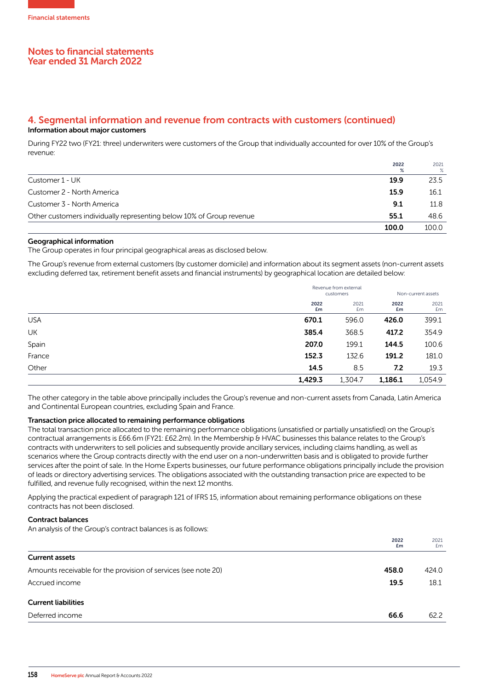# 4. Segmental information and revenue from contracts with customers (continued)

## Information about major customers

During FY22 two (FY21: three) underwriters were customers of the Group that individually accounted for over 10% of the Group's revenue:

|                                                                      | 2022<br>$\%$ | 2021<br>$\%$ |
|----------------------------------------------------------------------|--------------|--------------|
| Customer 1 - UK                                                      | 19.9         | 23.5         |
| Customer 2 - North America                                           | 15.9         | 16.1         |
| Customer 3 - North America                                           | 9.1          | 11.8         |
| Other customers individually representing below 10% of Group revenue | 55.1         | 48.6         |
|                                                                      | 100.0        | 100.0        |

## Geographical information

The Group operates in four principal geographical areas as disclosed below.

The Group's revenue from external customers (by customer domicile) and information about its segment assets (non-current assets excluding deferred tax, retirement benefit assets and financial instruments) by geographical location are detailed below:

|            |            | Revenue from external<br>customers |            | Non-current assets |
|------------|------------|------------------------------------|------------|--------------------|
|            | 2022<br>£m | 2021<br>£m                         | 2022<br>£m | 2021<br>£m         |
| <b>USA</b> | 670.1      | 596.0                              | 426.0      | 399.1              |
| UK         | 385.4      | 368.5                              | 417.2      | 354.9              |
| Spain      | 207.0      | 199.1                              | 144.5      | 100.6              |
| France     | 152.3      | 132.6                              | 191.2      | 181.0              |
| Other      | 14.5       | 8.5                                | 7.2        | 19.3               |
|            | 1,429.3    | 1,304.7                            | 1,186.1    | 1,054.9            |

The other category in the table above principally includes the Group's revenue and non-current assets from Canada, Latin America and Continental European countries, excluding Spain and France.

#### Transaction price allocated to remaining performance obligations

The total transaction price allocated to the remaining performance obligations (unsatisfied or partially unsatisfied) on the Group's contractual arrangements is £66.6m (FY21: £62.2m). In the Membership & HVAC businesses this balance relates to the Group's contracts with underwriters to sell policies and subsequently provide ancillary services, including claims handling, as well as scenarios where the Group contracts directly with the end user on a non-underwritten basis and is obligated to provide further services after the point of sale. In the Home Experts businesses, our future performance obligations principally include the provision of leads or directory advertising services. The obligations associated with the outstanding transaction price are expected to be fulfilled, and revenue fully recognised, within the next 12 months.

Applying the practical expedient of paragraph 121 of IFRS 15, information about remaining performance obligations on these contracts has not been disclosed.

#### Contract balances

An analysis of the Group's contract balances is as follows:

|                                                                | 2022<br>£m | 2021<br>£m |
|----------------------------------------------------------------|------------|------------|
| <b>Current assets</b>                                          |            |            |
| Amounts receivable for the provision of services (see note 20) | 458.0      | 424.0      |
| Accrued income                                                 | 19.5       | 18.1       |
| <b>Current liabilities</b>                                     |            |            |
| Deferred income                                                | 66.6       | 62.2       |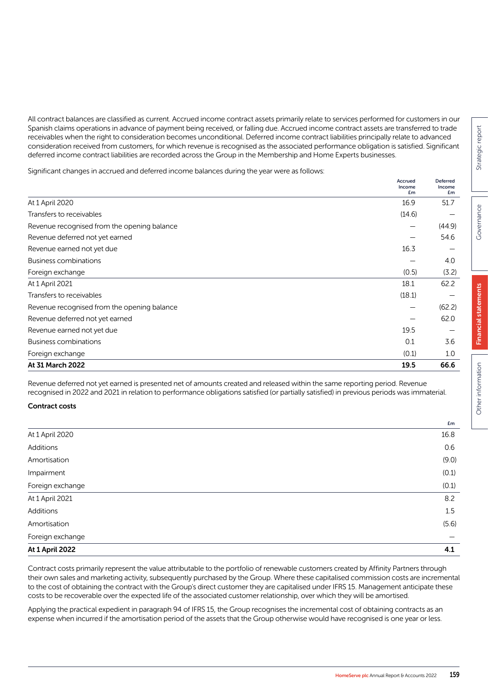All contract balances are classified as current. Accrued income contract assets primarily relate to services performed for customers in our Spanish claims operations in advance of payment being received, or falling due. Accrued income contract assets are transferred to trade receivables when the right to consideration becomes unconditional. Deferred income contract liabilities principally relate to advanced consideration received from customers, for which revenue is recognised as the associated performance obligation is satisfied. Significant deferred income contract liabilities are recorded across the Group in the Membership and Home Experts businesses.

Significant changes in accrued and deferred income balances during the year were as follows:

|                                             | Accrued<br>Income<br>£m | <b>Deferred</b><br>Income<br>£ <sub>m</sub> |
|---------------------------------------------|-------------------------|---------------------------------------------|
| At 1 April 2020                             | 16.9                    | 51.7                                        |
| Transfers to receivables                    | (14.6)                  |                                             |
| Revenue recognised from the opening balance |                         | (44.9)                                      |
| Revenue deferred not yet earned             |                         | 54.6                                        |
| Revenue earned not yet due                  | 16.3                    |                                             |
| <b>Business combinations</b>                |                         | 4.0                                         |
| Foreign exchange                            | (0.5)                   | (3.2)                                       |
| At 1 April 2021                             | 18.1                    | 62.2                                        |
| Transfers to receivables                    | (18.1)                  |                                             |
| Revenue recognised from the opening balance |                         | (62.2)                                      |
| Revenue deferred not yet earned             |                         | 62.0                                        |
| Revenue earned not yet due                  | 19.5                    |                                             |
| <b>Business combinations</b>                | 0.1                     | 3.6                                         |
| Foreign exchange                            | (0.1)                   | 1.0                                         |
| At 31 March 2022                            | 19.5                    | 66.6                                        |

Revenue deferred not yet earned is presented net of amounts created and released within the same reporting period. Revenue recognised in 2022 and 2021 in relation to performance obligations satisfied (or partially satisfied) in previous periods was immaterial.

## Contract costs

|                        | £m    |
|------------------------|-------|
| At 1 April 2020        | 16.8  |
| Additions              | 0.6   |
| Amortisation           | (9.0) |
| Impairment             | (0.1) |
| Foreign exchange       | (0.1) |
| At 1 April 2021        | 8.2   |
| Additions              | 1.5   |
| Amortisation           | (5.6) |
| Foreign exchange       |       |
| <b>At 1 April 2022</b> | 4.1   |

Contract costs primarily represent the value attributable to the portfolio of renewable customers created by Affinity Partners through their own sales and marketing activity, subsequently purchased by the Group. Where these capitalised commission costs are incremental to the cost of obtaining the contract with the Group's direct customer they are capitalised under IFRS 15. Management anticipate these costs to be recoverable over the expected life of the associated customer relationship, over which they will be amortised.

Applying the practical expedient in paragraph 94 of IFRS 15, the Group recognises the incremental cost of obtaining contracts as an expense when incurred if the amortisation period of the assets that the Group otherwise would have recognised is one year or less.

Financial statements

Governance ||<br>Strategic report

Governance

Strategic report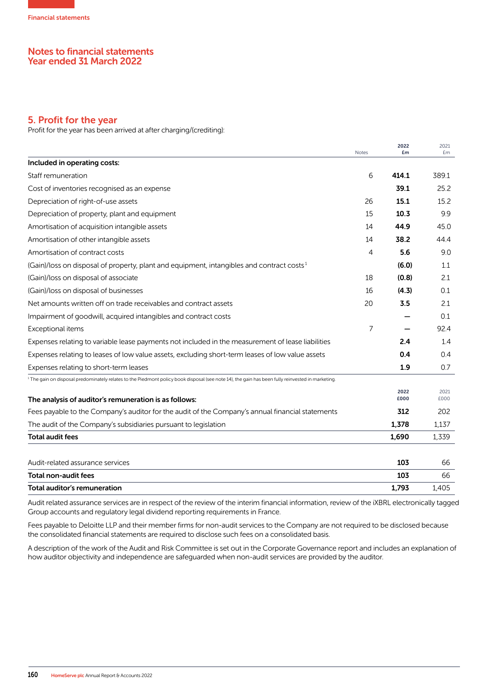## 5. Profit for the year

Profit for the year has been arrived at after charging/(crediting):

|                                                                                                                                                              | <b>Notes</b> | 2022<br>£m   | 2021<br>£m          |
|--------------------------------------------------------------------------------------------------------------------------------------------------------------|--------------|--------------|---------------------|
| Included in operating costs:                                                                                                                                 |              |              |                     |
| Staff remuneration                                                                                                                                           | 6            | 414.1        | 389.1               |
| Cost of inventories recognised as an expense                                                                                                                 |              | 39.1         | 25.2                |
| Depreciation of right-of-use assets                                                                                                                          | 26           | 15.1         | 15.2                |
| Depreciation of property, plant and equipment                                                                                                                | 15           | 10.3         | 9.9                 |
| Amortisation of acquisition intangible assets                                                                                                                | 14           | 44.9         | 45.0                |
| Amortisation of other intangible assets                                                                                                                      | 14           | 38.2         | 44.4                |
| Amortisation of contract costs                                                                                                                               | 4            | 5.6          | 9.0                 |
| (Gain)/loss on disposal of property, plant and equipment, intangibles and contract $costs1$                                                                  |              | (6.0)        | 1.1                 |
| (Gain)/loss on disposal of associate                                                                                                                         | 18           | (0.8)        | 2.1                 |
| (Gain)/loss on disposal of businesses                                                                                                                        | 16           | (4.3)        | 0.1                 |
| Net amounts written off on trade receivables and contract assets                                                                                             | 20           | 3.5          | 2.1                 |
| Impairment of goodwill, acquired intangibles and contract costs                                                                                              |              |              | 0.1                 |
| Exceptional items                                                                                                                                            | 7            |              | 92.4                |
| Expenses relating to variable lease payments not included in the measurement of lease liabilities                                                            |              | 2.4          | 1.4                 |
| Expenses relating to leases of low value assets, excluding short-term leases of low value assets                                                             |              | 0.4          | 0.4                 |
| Expenses relating to short-term leases                                                                                                                       |              | 1.9          | 0.7                 |
| <sup>1</sup> The gain on disposal predominately relates to the Piedmont policy book disposal (see note 14), the gain has been fully reinvested in marketing. |              |              |                     |
| The analysis of auditor's remuneration is as follows:                                                                                                        |              | 2022<br>£000 | 2021<br><b>F000</b> |
| Fees payable to the Company's auditor for the audit of the Company's annual financial statements                                                             |              | 312          | 202                 |
| The audit of the Company's subsidiaries pursuant to legislation                                                                                              |              | 1,378        | 1,137               |
| <b>Total audit fees</b>                                                                                                                                      |              | 1,690        | 1,339               |
| Audit-related assurance services                                                                                                                             |              | 103          | 66                  |
| <b>Total non-audit fees</b>                                                                                                                                  |              | 103          | 66                  |
| Total auditor's remuneration                                                                                                                                 |              | 1.793        | 1.405               |

Audit related assurance services are in respect of the review of the interim financial information, review of the iXBRL electronically tagged Group accounts and regulatory legal dividend reporting requirements in France.

Fees payable to Deloitte LLP and their member firms for non-audit services to the Company are not required to be disclosed because the consolidated financial statements are required to disclose such fees on a consolidated basis.

A description of the work of the Audit and Risk Committee is set out in the Corporate Governance report and includes an explanation of how auditor objectivity and independence are safeguarded when non-audit services are provided by the auditor.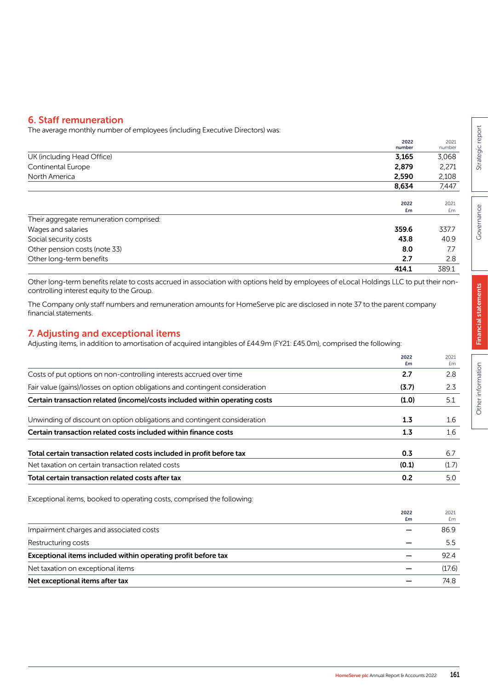## 6. Staff remuneration

| The average monthly number of employees (including Executive Directors) was: |                |                | report     |
|------------------------------------------------------------------------------|----------------|----------------|------------|
|                                                                              | 2022<br>number | 2021<br>number |            |
| UK (including Head Office)                                                   | 3.165          | 3,068          | Strategic  |
| Continental Europe                                                           | 2,879          | 2,271          |            |
| North America                                                                | 2,590          | 2,108          |            |
|                                                                              | 8,634          | 7,447          |            |
|                                                                              |                |                |            |
|                                                                              | 2022<br>£m     | 2021<br>£m     |            |
| Their aggregate remuneration comprised:                                      |                |                | Governance |
| Wages and salaries                                                           | 359.6          | 337.7          |            |
| Social security costs                                                        | 43.8           | 40.9           |            |
| Other pension costs (note 33)                                                | 8.0            | 7.7            |            |
| Other long-term benefits                                                     | 2.7            | 2.8            |            |
|                                                                              | 414.1          | 389.1          |            |

Other long-term benefits relate to costs accrued in association with options held by employees of eLocal Holdings LLC to put their noncontrolling interest equity to the Group.

The Company only staff numbers and remuneration amounts for HomeServe plc are disclosed in note 37 to the parent company financial statements.

## 7. Adjusting and exceptional items

Adjusting items, in addition to amortisation of acquired intangibles of £44.9m (FY21: £45.0m), comprised the following:

|                                                                              | 2022<br>£m | 2021<br>£m |
|------------------------------------------------------------------------------|------------|------------|
| Costs of put options on non-controlling interests accrued over time          | 2.7        | 2.8        |
| Fair value (gains)/losses on option obligations and contingent consideration | (3.7)      | 2.3        |
| Certain transaction related (income)/costs included within operating costs   | (1.0)      | 5.1        |
| Unwinding of discount on option obligations and contingent consideration     | 1.3        | 1.6        |
| Certain transaction related costs included within finance costs              | 1.3        | 1.6        |
| Total certain transaction related costs included in profit before tax        | 0.3        | 6.7        |
| Net taxation on certain transaction related costs                            | (0.1)      | (1.7)      |
| Total certain transaction related costs after tax                            | 0.2        | 5.0        |

Exceptional items, booked to operating costs, comprised the following:

| Net exceptional items after tax                               |            | 74.8       |
|---------------------------------------------------------------|------------|------------|
| Net taxation on exceptional items                             |            | (17.6)     |
| Exceptional items included within operating profit before tax |            | 92.4       |
| Restructuring costs                                           |            | 5.5        |
| Impairment charges and associated costs                       |            | 86.9       |
|                                                               | 2022<br>£m | 2021<br>£m |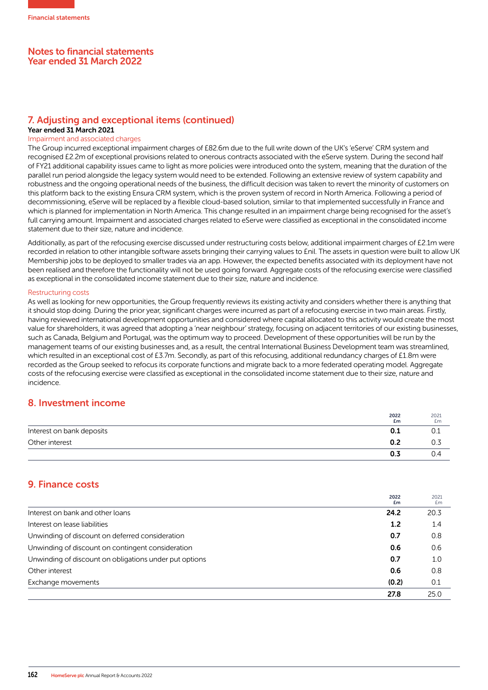# 7. Adjusting and exceptional items (continued)

## Year ended 31 March 2021

## Impairment and associated charges

The Group incurred exceptional impairment charges of £82.6m due to the full write down of the UK's 'eServe' CRM system and recognised £2.2m of exceptional provisions related to onerous contracts associated with the eServe system. During the second half of FY21 additional capability issues came to light as more policies were introduced onto the system, meaning that the duration of the parallel run period alongside the legacy system would need to be extended. Following an extensive review of system capability and robustness and the ongoing operational needs of the business, the difficult decision was taken to revert the minority of customers on this platform back to the existing Ensura CRM system, which is the proven system of record in North America. Following a period of decommissioning, eServe will be replaced by a flexible cloud-based solution, similar to that implemented successfully in France and which is planned for implementation in North America. This change resulted in an impairment charge being recognised for the asset's full carrying amount. Impairment and associated charges related to eServe were classified as exceptional in the consolidated income statement due to their size, nature and incidence.

Additionally, as part of the refocusing exercise discussed under restructuring costs below, additional impairment charges of £2.1m were recorded in relation to other intangible software assets bringing their carrying values to £nil. The assets in question were built to allow UK Membership jobs to be deployed to smaller trades via an app. However, the expected benefits associated with its deployment have not been realised and therefore the functionality will not be used going forward. Aggregate costs of the refocusing exercise were classified as exceptional in the consolidated income statement due to their size, nature and incidence.

#### Restructuring costs

As well as looking for new opportunities, the Group frequently reviews its existing activity and considers whether there is anything that it should stop doing. During the prior year, significant charges were incurred as part of a refocusing exercise in two main areas. Firstly, having reviewed international development opportunities and considered where capital allocated to this activity would create the most value for shareholders, it was agreed that adopting a 'near neighbour' strategy, focusing on adjacent territories of our existing businesses, such as Canada, Belgium and Portugal, was the optimum way to proceed. Development of these opportunities will be run by the management teams of our existing businesses and, as a result, the central International Business Development team was streamlined, which resulted in an exceptional cost of £3.7m. Secondly, as part of this refocusing, additional redundancy charges of £1.8m were recorded as the Group seeked to refocus its corporate functions and migrate back to a more federated operating model. Aggregate costs of the refocusing exercise were classified as exceptional in the consolidated income statement due to their size, nature and incidence.

## 8. Investment income

|                           | 2022<br>£m | 2021<br>£m |
|---------------------------|------------|------------|
| Interest on bank deposits | 0.1        | U.L        |
| Other interest            | 0.2        | U.J        |
|                           | 0.3        | 0.4        |

## 9. Finance costs

|                                                        | 2022<br>£m | 2021<br>£m |
|--------------------------------------------------------|------------|------------|
| Interest on bank and other loans                       | 24.2       | 20.3       |
| Interest on lease liabilities                          | 1.2        | 1.4        |
| Unwinding of discount on deferred consideration        | 0.7        | 0.8        |
| Unwinding of discount on contingent consideration      | 0.6        | 0.6        |
| Unwinding of discount on obligations under put options | 0.7        | 1.0        |
| Other interest                                         | 0.6        | 0.8        |
| Exchange movements                                     | (0.2)      | 0.1        |
|                                                        | 27.8       | 25.0       |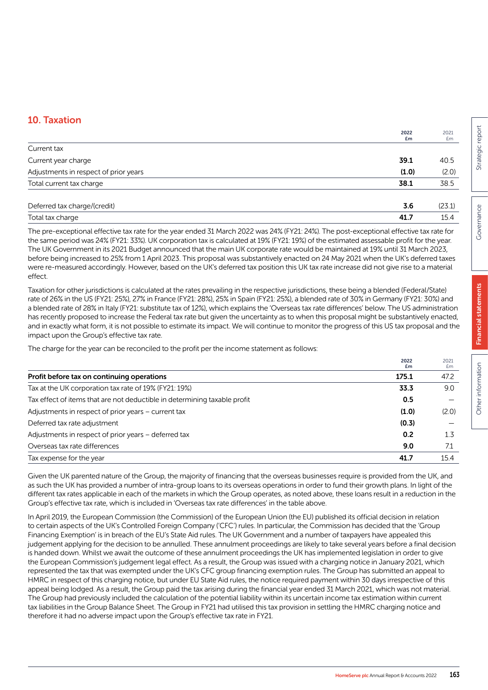# 10. Taxation

|                                       | 2022<br>£m | 2021<br>£m |
|---------------------------------------|------------|------------|
| Current tax                           |            |            |
| Current year charge                   | 39.1       | 40.5       |
| Adjustments in respect of prior years | (1.0)      | (2.0)      |
| Total current tax charge              | 38.1       | 38.5       |

| Deferred tax charge/(credit) | . |  |
|------------------------------|---|--|
| Total tax cr<br>charge       |   |  |

The pre-exceptional effective tax rate for the year ended 31 March 2022 was 24% (FY21: 24%). The post-exceptional effective tax rate for the same period was 24% (FY21: 33%). UK corporation tax is calculated at 19% (FY21: 19%) of the estimated assessable profit for the year. The UK Government in its 2021 Budget announced that the main UK corporate rate would be maintained at 19% until 31 March 2023, before being increased to 25% from 1 April 2023. This proposal was substantively enacted on 24 May 2021 when the UK's deferred taxes were re-measured accordingly. However, based on the UK's deferred tax position this UK tax rate increase did not give rise to a material effect.

Taxation for other jurisdictions is calculated at the rates prevailing in the respective jurisdictions, these being a blended (Federal/State) rate of 26% in the US (FY21: 25%), 27% in France (FY21: 28%), 25% in Spain (FY21: 25%), a blended rate of 30% in Germany (FY21: 30%) and a blended rate of 28% in Italy (FY21: substitute tax of 12%), which explains the 'Overseas tax rate differences' below. The US administration has recently proposed to increase the Federal tax rate but given the uncertainty as to when this proposal might be substantively enacted, and in exactly what form, it is not possible to estimate its impact. We will continue to monitor the progress of this US tax proposal and the impact upon the Group's effective tax rate.

The charge for the year can be reconciled to the profit per the income statement as follows:

|                                                                           | 2022<br>£m | 2021<br>£m |
|---------------------------------------------------------------------------|------------|------------|
| Profit before tax on continuing operations                                | 175.1      | 47.2       |
| Tax at the UK corporation tax rate of 19% (FY21: 19%)                     | 33.3       | 9.0        |
| Tax effect of items that are not deductible in determining taxable profit | 0.5        |            |
| Adjustments in respect of prior years – current tax                       | (1.0)      | (2.0)      |
| Deferred tax rate adjustment                                              | (0.3)      |            |
| Adjustments in respect of prior years – deferred tax                      | 0.2        | 1.3        |
| Overseas tax rate differences                                             | 9.0        | 7.1        |
| Tax expense for the year                                                  | 41.7       | 15.4       |

Given the UK parented nature of the Group, the majority of financing that the overseas businesses require is provided from the UK, and as such the UK has provided a number of intra-group loans to its overseas operations in order to fund their growth plans. In light of the different tax rates applicable in each of the markets in which the Group operates, as noted above, these loans result in a reduction in the Group's effective tax rate, which is included in 'Overseas tax rate differences' in the table above.

In April 2019, the European Commission (the Commission) of the European Union (the EU) published its official decision in relation to certain aspects of the UK's Controlled Foreign Company ('CFC') rules. In particular, the Commission has decided that the 'Group Financing Exemption' is in breach of the EU's State Aid rules. The UK Government and a number of taxpayers have appealed this judgement applying for the decision to be annulled. These annulment proceedings are likely to take several years before a final decision is handed down. Whilst we await the outcome of these annulment proceedings the UK has implemented legislation in order to give the European Commission's judgement legal effect. As a result, the Group was issued with a charging notice in January 2021, which represented the tax that was exempted under the UK's CFC group financing exemption rules. The Group has submitted an appeal to HMRC in respect of this charging notice, but under EU State Aid rules, the notice required payment within 30 days irrespective of this appeal being lodged. As a result, the Group paid the tax arising during the financial year ended 31 March 2021, which was not material. The Group had previously included the calculation of the potential liability within its uncertain income tax estimation within current tax liabilities in the Group Balance Sheet. The Group in FY21 had utilised this tax provision in settling the HMRC charging notice and therefore it had no adverse impact upon the Group's effective tax rate in FY21.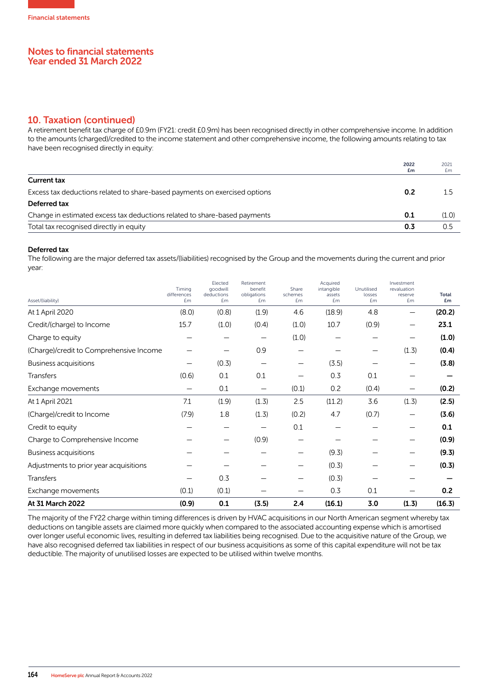## 10. Taxation (continued)

A retirement benefit tax charge of £0.9m (FY21: credit £0.9m) has been recognised directly in other comprehensive income. In addition to the amounts (charged)/credited to the income statement and other comprehensive income, the following amounts relating to tax have been recognised directly in equity:

|                                                                            | 2022<br>£m | 2021<br>£m |
|----------------------------------------------------------------------------|------------|------------|
| <b>Current tax</b>                                                         |            |            |
| Excess tax deductions related to share-based payments on exercised options | 0.2        |            |
| Deferred tax                                                               |            |            |
| Change in estimated excess tax deductions related to share-based payments  | 0.1        | (1.0)      |
| Total tax recognised directly in equity                                    | 0.3        | 0.5        |

## Deferred tax

The following are the major deferred tax assets/(liabilities) recognised by the Group and the movements during the current and prior year:

| Asset/(liability)                       | Timing<br>differences<br><b>£m</b> | Elected<br>goodwill<br>deductions<br><b>£m</b> | Retirement<br>benefit<br>obligations<br><b>£m</b> | Share<br>schemes<br><b>£m</b> | Acquired<br>intangible<br>assets<br><b>£m</b> | Unutilised<br>losses<br><b>£m</b> | Investment<br>revaluation<br>reserve<br>£m | <b>Total</b><br>£m |
|-----------------------------------------|------------------------------------|------------------------------------------------|---------------------------------------------------|-------------------------------|-----------------------------------------------|-----------------------------------|--------------------------------------------|--------------------|
| At 1 April 2020                         | (8.0)                              | (0.8)                                          | (1.9)                                             | 4.6                           | (18.9)                                        | 4.8                               |                                            | (20.2)             |
| Credit/(charge) to Income               | 15.7                               | (1.0)                                          | (0.4)                                             | (1.0)                         | 10.7                                          | (0.9)                             |                                            | 23.1               |
| Charge to equity                        |                                    |                                                |                                                   | (1.0)                         |                                               |                                   |                                            | (1.0)              |
| (Charge)/credit to Comprehensive Income |                                    |                                                | 0.9                                               |                               |                                               | —                                 | (1.3)                                      | (0.4)              |
| <b>Business acquisitions</b>            |                                    | (0.3)                                          |                                                   |                               | (3.5)                                         |                                   |                                            | (3.8)              |
| <b>Transfers</b>                        | (0.6)                              | 0.1                                            | 0.1                                               |                               | 0.3                                           | 0.1                               |                                            |                    |
| Exchange movements                      |                                    | 0.1                                            |                                                   | (0.1)                         | 0.2                                           | (0.4)                             |                                            | (0.2)              |
| At 1 April 2021                         | 7.1                                | (1.9)                                          | (1.3)                                             | 2.5                           | (11.2)                                        | 3.6                               | (1.3)                                      | (2.5)              |
| (Charge)/credit to Income               | (7.9)                              | 1.8                                            | (1.3)                                             | (0.2)                         | 4.7                                           | (0.7)                             | —                                          | (3.6)              |
| Credit to equity                        |                                    |                                                |                                                   | 0.1                           |                                               |                                   |                                            | 0.1                |
| Charge to Comprehensive Income          |                                    |                                                | (0.9)                                             |                               |                                               |                                   | —                                          | (0.9)              |
| <b>Business acquisitions</b>            |                                    |                                                |                                                   |                               | (9.3)                                         |                                   | —                                          | (9.3)              |
| Adjustments to prior year acquisitions  |                                    |                                                |                                                   |                               | (0.3)                                         |                                   |                                            | (0.3)              |
| <b>Transfers</b>                        |                                    | 0.3                                            |                                                   |                               | (0.3)                                         |                                   |                                            |                    |
| Exchange movements                      | (0.1)                              | (0.1)                                          |                                                   |                               | 0.3                                           | 0.1                               |                                            | 0.2                |
| At 31 March 2022                        | (0.9)                              | 0.1                                            | (3.5)                                             | 2.4                           | (16.1)                                        | 3.0                               | (1.3)                                      | (16.3)             |

The majority of the FY22 charge within timing differences is driven by HVAC acquisitions in our North American segment whereby tax deductions on tangible assets are claimed more quickly when compared to the associated accounting expense which is amortised over longer useful economic lives, resulting in deferred tax liabilities being recognised. Due to the acquisitive nature of the Group, we have also recognised deferred tax liabilities in respect of our business acquisitions as some of this capital expenditure will not be tax deductible. The majority of unutilised losses are expected to be utilised within twelve months.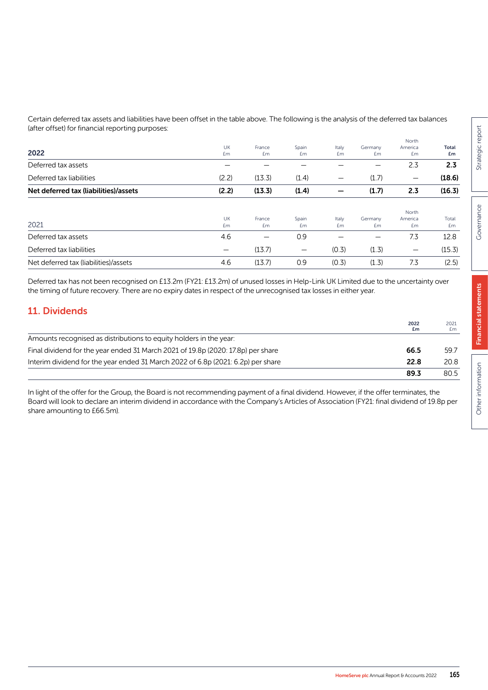Certain deferred tax assets and liabilities have been offset in the table above. The following is the analysis of the deferred tax balances (after offset) for financial reporting purposes:

| 2022                                  | UK<br>£m | France<br>£m | Spain<br>£m       | Italy<br>£m              | Germany<br>£m | North<br>America<br>£m | <b>Total</b><br>£m |
|---------------------------------------|----------|--------------|-------------------|--------------------------|---------------|------------------------|--------------------|
| Deferred tax assets                   |          |              |                   |                          |               | 2.3                    | 2.3                |
| Deferred tax liabilities              | (2.2)    | (13.3)       | (1.4)             | $\overline{\phantom{0}}$ | (1.7)         |                        | (18.6)             |
| Net deferred tax (liabilities)/assets | (2.2)    | (13.3)       | (1.4)             |                          | (1.7)         | 2.3                    | (16.3)             |
| 2021                                  | UK<br>£m | France<br>£m | Spain<br>£m       | Italy<br>£m              | Germany<br>£m | North<br>America<br>£m | Total<br>£m        |
| Deferred tax assets                   | 4.6      |              | 0.9               |                          |               | 7.3                    | 12.8               |
| Deferred tax liabilities              | —        | (13.7)       | $\qquad \qquad -$ | (0.3)                    | (1.3)         |                        | (15.3)             |
| Net deferred tax (liabilities)/assets | 4.6      | (13.7)       | 0.9               | (0.3)                    | (1.3)         | 7.3                    | (2.5)              |

Deferred tax has not been recognised on £13.2m (FY21: £13.2m) of unused losses in Help-Link UK Limited due to the uncertainty over the timing of future recovery. There are no expiry dates in respect of the unrecognised tax losses in either year.

# 11. Dividends

|                                                                                  | 2022<br>£m | 2021<br>£m |
|----------------------------------------------------------------------------------|------------|------------|
| Amounts recognised as distributions to equity holders in the year:               |            |            |
| Final dividend for the year ended 31 March 2021 of 19.8p (2020: 17.8p) per share | 66.5       | 59.7       |
| Interim dividend for the year ended 31 March 2022 of 6.8p (2021: 6.2p) per share | 22.8       | 20.8       |
|                                                                                  | 89.3       | 80.5       |

In light of the offer for the Group, the Board is not recommending payment of a final dividend. However, if the offer terminates, the Board will look to declare an interim dividend in accordance with the Company's Articles of Association (FY21: final dividend of 19.8p per share amounting to £66.5m).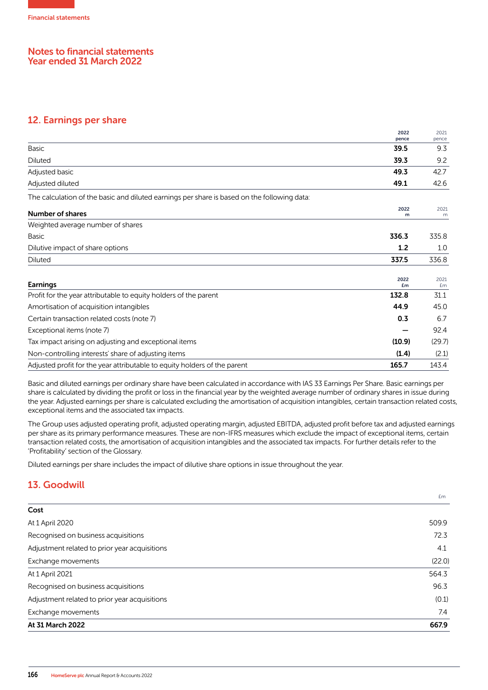# 12. Earnings per share

|                                                                                             | 2022<br>pence | 2021<br>pence     |
|---------------------------------------------------------------------------------------------|---------------|-------------------|
| <b>Basic</b>                                                                                | 39.5          | 9.3               |
| Diluted                                                                                     | 39.3          | 9.2               |
| Adjusted basic                                                                              | 49.3          | 42.7              |
| Adjusted diluted                                                                            | 49.1          | 42.6              |
| The calculation of the basic and diluted earnings per share is based on the following data: |               |                   |
| Number of shares                                                                            | 2022<br>m     | 2021<br>m         |
| Weighted average number of shares                                                           |               |                   |
| <b>Basic</b>                                                                                | 336.3         | 335.8             |
| Dilutive impact of share options                                                            | 1.2           | 1.0               |
| <b>Diluted</b>                                                                              | 337.5         | 336.8             |
| <b>Earnings</b>                                                                             | 2022<br>£m    | 2021<br><b>£m</b> |
| Profit for the year attributable to equity holders of the parent                            | 132.8         | 31.1              |
| Amortisation of acquisition intangibles                                                     | 44.9          | 45.0              |
| Certain transaction related costs (note 7)                                                  | 0.3           | 6.7               |
| Exceptional items (note 7)                                                                  |               | 92.4              |
| Tax impact arising on adjusting and exceptional items                                       | (10.9)        | (29.7)            |
| Non-controlling interests' share of adjusting items                                         | (1.4)         | (2.1)             |
| Adjusted profit for the year attributable to equity holders of the parent                   | 165.7         | 143.4             |

Basic and diluted earnings per ordinary share have been calculated in accordance with IAS 33 Earnings Per Share. Basic earnings per share is calculated by dividing the profit or loss in the financial year by the weighted average number of ordinary shares in issue during the year. Adjusted earnings per share is calculated excluding the amortisation of acquisition intangibles, certain transaction related costs, exceptional items and the associated tax impacts.

The Group uses adjusted operating profit, adjusted operating margin, adjusted EBITDA, adjusted profit before tax and adjusted earnings per share as its primary performance measures. These are non-IFRS measures which exclude the impact of exceptional items, certain transaction related costs, the amortisation of acquisition intangibles and the associated tax impacts. For further details refer to the 'Profitability' section of the Glossary.

Diluted earnings per share includes the impact of dilutive share options in issue throughout the year.

## 13. Goodwill

|                                               | £m     |
|-----------------------------------------------|--------|
| Cost                                          |        |
| At 1 April 2020                               | 509.9  |
| Recognised on business acquisitions           | 72.3   |
| Adjustment related to prior year acquisitions | 4.1    |
| Exchange movements                            | (22.0) |
| At 1 April 2021                               | 564.3  |
| Recognised on business acquisitions           | 96.3   |
| Adjustment related to prior year acquisitions | (0.1)  |
| Exchange movements                            | 7.4    |
| At 31 March 2022                              | 667.9  |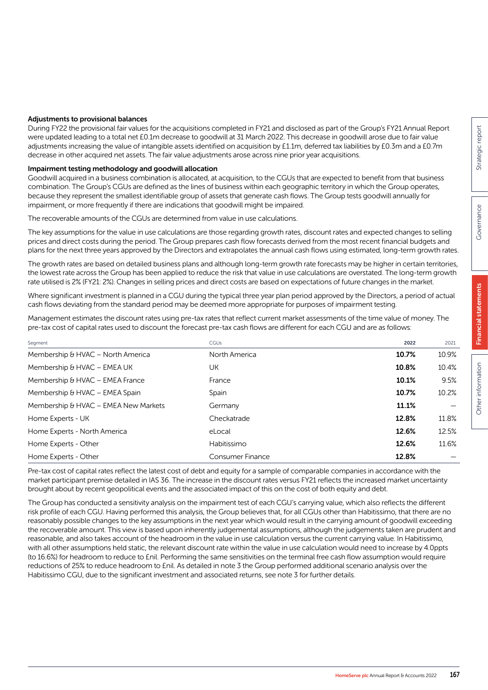## Adjustments to provisional balances

During FY22 the provisional fair values for the acquisitions completed in FY21 and disclosed as part of the Group's FY21 Annual Report were updated leading to a total net £0.1m decrease to goodwill at 31 March 2022. This decrease in goodwill arose due to fair value adjustments increasing the value of intangible assets identified on acquisition by £1.1m, deferred tax liabilities by £0.3m and a £0.7m decrease in other acquired net assets. The fair value adjustments arose across nine prior year acquisitions.

## Impairment testing methodology and goodwill allocation

Goodwill acquired in a business combination is allocated, at acquisition, to the CGUs that are expected to benefit from that business combination. The Group's CGUs are defined as the lines of business within each geographic territory in which the Group operates, because they represent the smallest identifiable group of assets that generate cash flows. The Group tests goodwill annually for impairment, or more frequently if there are indications that goodwill might be impaired.

The recoverable amounts of the CGUs are determined from value in use calculations.

The key assumptions for the value in use calculations are those regarding growth rates, discount rates and expected changes to selling prices and direct costs during the period. The Group prepares cash flow forecasts derived from the most recent financial budgets and plans for the next three years approved by the Directors and extrapolates the annual cash flows using estimated, long-term growth rates.

The growth rates are based on detailed business plans and although long-term growth rate forecasts may be higher in certain territories, the lowest rate across the Group has been applied to reduce the risk that value in use calculations are overstated. The long-term growth rate utilised is 2% (FY21: 2%). Changes in selling prices and direct costs are based on expectations of future changes in the market.

Where significant investment is planned in a CGU during the typical three year plan period approved by the Directors, a period of actual cash flows deviating from the standard period may be deemed more appropriate for purposes of impairment testing.

Management estimates the discount rates using pre-tax rates that reflect current market assessments of the time value of money. The pre-tax cost of capital rates used to discount the forecast pre-tax cash flows are different for each CGU and are as follows:

| Segment                              | <b>CGUs</b>      | 2022  | 2021  |
|--------------------------------------|------------------|-------|-------|
| Membership & HVAC - North America    | North America    | 10.7% | 10.9% |
| Membership & HVAC - EMEA UK          | UК               | 10.8% | 10.4% |
| Membership & HVAC - EMEA France      | France           | 10.1% | 9.5%  |
| Membership & HVAC - EMEA Spain       | Spain            | 10.7% | 10.2% |
| Membership & HVAC - EMEA New Markets | Germany          | 11.1% |       |
| Home Experts - UK                    | Checkatrade      | 12.8% | 11.8% |
| Home Experts - North America         | eLocal           | 12.6% | 12.5% |
| Home Experts - Other                 | Habitissimo      | 12.6% | 11.6% |
| Home Experts - Other                 | Consumer Finance | 12.8% |       |

Pre-tax cost of capital rates reflect the latest cost of debt and equity for a sample of comparable companies in accordance with the market participant premise detailed in IAS 36. The increase in the discount rates versus FY21 reflects the increased market uncertainty brought about by recent geopolitical events and the associated impact of this on the cost of both equity and debt.

The Group has conducted a sensitivity analysis on the impairment test of each CGU's carrying value, which also reflects the different risk profile of each CGU. Having performed this analysis, the Group believes that, for all CGUs other than Habitissimo, that there are no reasonably possible changes to the key assumptions in the next year which would result in the carrying amount of goodwill exceeding the recoverable amount. This view is based upon inherently judgemental assumptions, although the judgements taken are prudent and reasonable, and also takes account of the headroom in the value in use calculation versus the current carrying value. In Habitissimo, with all other assumptions held static, the relevant discount rate within the value in use calculation would need to increase by 4.0ppts (to 16.6%) for headroom to reduce to £nil. Performing the same sensitivities on the terminal free cash flow assumption would require reductions of 25% to reduce headroom to £nil. As detailed in note 3 the Group performed additional scenario analysis over the Habitissimo CGU, due to the significant investment and associated returns, see note 3 for further details.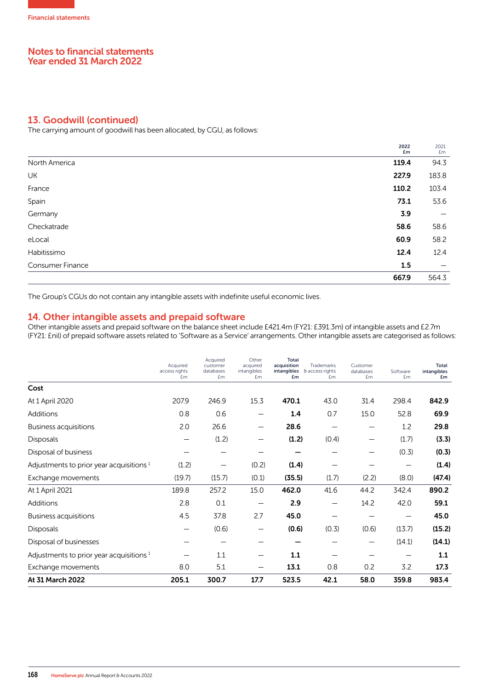## 13. Goodwill (continued)

The carrying amount of goodwill has been allocated, by CGU, as follows:

|                         | 2022<br>£m | 2021<br>£m |
|-------------------------|------------|------------|
| North America           | 119.4      | 94.3       |
| UK                      | 227.9      | 183.8      |
| France                  | 110.2      | 103.4      |
| Spain                   | 73.1       | 53.6       |
| Germany                 | 3.9        |            |
| Checkatrade             | 58.6       | 58.6       |
| eLocal                  | 60.9       | 58.2       |
| Habitissimo             | 12.4       | 12.4       |
| <b>Consumer Finance</b> | 1.5        |            |
|                         | 667.9      | 564.3      |

The Group's CGUs do not contain any intangible assets with indefinite useful economic lives.

## 14. Other intangible assets and prepaid software

Other intangible assets and prepaid software on the balance sheet include £421.4m (FY21: £391.3m) of intangible assets and £2.7m (FY21: £nil) of prepaid software assets related to 'Software as a Service' arrangements. Other intangible assets are categorised as follows:

|                                                     | Acquired<br>access rights<br>£m | Acquired<br>customer<br>databases<br>£m | Other<br>acquired<br>intangibles<br><b>£m</b> | <b>Total</b><br>acquisition<br>intangibles<br>£m | Trademarks<br>& access rights<br><b>£m</b> | Customer<br>databases<br><b>£m</b> | Software<br><b>£m</b> | Total<br>intangibles<br>£m |
|-----------------------------------------------------|---------------------------------|-----------------------------------------|-----------------------------------------------|--------------------------------------------------|--------------------------------------------|------------------------------------|-----------------------|----------------------------|
| Cost                                                |                                 |                                         |                                               |                                                  |                                            |                                    |                       |                            |
| At 1 April 2020                                     | 207.9                           | 246.9                                   | 15.3                                          | 470.1                                            | 43.0                                       | 31.4                               | 298.4                 | 842.9                      |
| Additions                                           | 0.8                             | 0.6                                     |                                               | 1.4                                              | 0.7                                        | 15.0                               | 52.8                  | 69.9                       |
| <b>Business acquisitions</b>                        | 2.0                             | 26.6                                    |                                               | 28.6                                             |                                            |                                    | 1.2                   | 29.8                       |
| Disposals                                           |                                 | (1.2)                                   |                                               | (1.2)                                            | (0.4)                                      |                                    | (1.7)                 | (3.3)                      |
| Disposal of business                                |                                 |                                         |                                               |                                                  |                                            |                                    | (0.3)                 | (0.3)                      |
| Adjustments to prior year acquisitions <sup>1</sup> | (1.2)                           |                                         | (0.2)                                         | (1.4)                                            |                                            |                                    |                       | (1.4)                      |
| Exchange movements                                  | (19.7)                          | (15.7)                                  | (0.1)                                         | (35.5)                                           | (1.7)                                      | (2.2)                              | (8.0)                 | (47.4)                     |
| At 1 April 2021                                     | 189.8                           | 257.2                                   | 15.0                                          | 462.0                                            | 41.6                                       | 44.2                               | 342.4                 | 890.2                      |
| Additions                                           | 2.8                             | 0.1                                     | -                                             | 2.9                                              | —                                          | 14.2                               | 42.0                  | 59.1                       |
| Business acquisitions                               | 4.5                             | 37.8                                    | 2.7                                           | 45.0                                             |                                            |                                    |                       | 45.0                       |
| <b>Disposals</b>                                    |                                 | (0.6)                                   |                                               | (0.6)                                            | (0.3)                                      | (0.6)                              | (13.7)                | (15.2)                     |
| Disposal of businesses                              |                                 |                                         |                                               |                                                  |                                            |                                    | (14.1)                | (14.1)                     |
| Adjustments to prior year acquisitions <sup>1</sup> |                                 | 1.1                                     |                                               | 1.1                                              |                                            |                                    |                       | 1.1                        |
| Exchange movements                                  | 8.0                             | 5.1                                     |                                               | 13.1                                             | 0.8                                        | 0.2                                | 3.2                   | 17.3                       |
| At 31 March 2022                                    | 205.1                           | 300.7                                   | 17.7                                          | 523.5                                            | 42.1                                       | 58.0                               | 359.8                 | 983.4                      |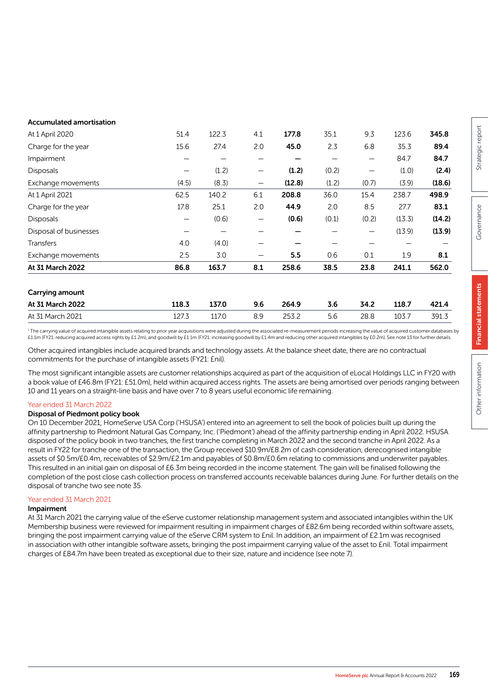| Accumulated amortisation |
|--------------------------|
|                          |
|                          |

| At 31 March 2022       | 86.8                            | 163.7 | 8.1                      | 258.6  | 38.5  | 23.8                              | 241.1  | 562.0  |
|------------------------|---------------------------------|-------|--------------------------|--------|-------|-----------------------------------|--------|--------|
| Exchange movements     | 2.5                             | 3.0   |                          | 5.5    | 0.6   | 0.1                               | 1.9    | 8.1    |
| <b>Transfers</b>       | 4.0                             | (4.0) |                          |        |       |                                   |        |        |
| Disposal of businesses |                                 |       |                          |        |       | $\overline{\phantom{m}}$          | (13.9) | (13.9) |
| <b>Disposals</b>       | $\hspace{0.1mm}-\hspace{0.1mm}$ | (0.6) | $\qquad \qquad -$        | (0.6)  | (0.1) | (0.2)                             | (13.3) | (14.2) |
| Charge for the year    | 17.8                            | 25.1  | 2.0                      | 44.9   | 2.0   | 8.5                               | 27.7   | 83.1   |
| At 1 April 2021        | 62.5                            | 140.2 | 6.1                      | 208.8  | 36.0  | 15.4                              | 238.7  | 498.9  |
| Exchange movements     | (4.5)                           | (8.3) | $\overline{\phantom{m}}$ | (12.8) | (1.2) | (0.7)                             | (3.9)  | (18.6) |
| <b>Disposals</b>       | $\hspace{0.1mm}-\hspace{0.1mm}$ | (1.2) |                          | (1.2)  | (0.2) | $\overbrace{\phantom{123221111}}$ | (1.0)  | (2.4)  |
| Impairment             |                                 | –     |                          |        | —     | $\overline{\phantom{m}}$          | 84.7   | 84.7   |
| Charge for the year    | 15.6                            | 27.4  | 2.0                      | 45.0   | 2.3   | 6.8                               | 35.3   | 89.4   |
| At 1 April 2020        | 51.4                            | 122.3 | 4.1                      | 177.8  | 35.1  | 9.3                               | 123.6  | 345.8  |

#### Carrying amount

| ---- <i>-,</i> --- <i>,</i> --------- |              |       |     |               |      |       |       |
|---------------------------------------|--------------|-------|-----|---------------|------|-------|-------|
| At 31 March 2022                      | 118.3        | 137.0 | 9.6 | 264.9         | 34.2 | 118.7 | 421.4 |
| At 31 March 2021                      | 77 Z<br>14.J |       | 8.9 | つらてつ<br>ے.ں ے | 28.8 | 103.7 | 391.3 |
|                                       |              |       |     |               |      |       |       |

<sup>1</sup> The carrying value of acquired intangible assets relating to prior year acquisitions were adjusted during the associated re-measurement periods increasing the value of acquired customer databases by £1.1m (FY21: reducing acquired access rights by £1.2m), and goodwill by £1.1m (FY21: increasing goodwill by £1.4m and reducing other acquired intangibles by £0.2m). See note 13 for further details.

Other acquired intangibles include acquired brands and technology assets. At the balance sheet date, there are no contractual commitments for the purchase of intangible assets (FY21: £nil).

The most significant intangible assets are customer relationships acquired as part of the acquisition of eLocal Holdings LLC in FY20 with a book value of £46.8m (FY21: £51.0m), held within acquired access rights. The assets are being amortised over periods ranging between 10 and 11 years on a straight-line basis and have over 7 to 8 years useful economic life remaining.

#### Year ended 31 March 2022

#### Disposal of Piedmont policy book

On 10 December 2021, HomeServe USA Corp ('HSUSA') entered into an agreement to sell the book of policies built up during the affinity partnership to Piedmont Natural Gas Company, Inc. ('Piedmont') ahead of the affinity partnership ending in April 2022. HSUSA disposed of the policy book in two tranches, the first tranche completing in March 2022 and the second tranche in April 2022. As a result in FY22 for tranche one of the transaction, the Group received \$10.9m/£8.2m of cash consideration, derecognised intangible assets of \$0.5m/£0.4m, receivables of \$2.9m/£2.1m and payables of \$0.8m/£0.6m relating to commissions and underwriter payables. This resulted in an initial gain on disposal of £6.3m being recorded in the income statement. The gain will be finalised following the completion of the post close cash collection process on transferred accounts receivable balances during June. For further details on the disposal of tranche two see note 35.

#### Year ended 31 March 2021

#### Impairment

At 31 March 2021 the carrying value of the eServe customer relationship management system and associated intangibles within the UK Membership business were reviewed for impairment resulting in impairment charges of £82.6m being recorded within software assets, bringing the post impairment carrying value of the eServe CRM system to £nil. In addition, an impairment of £2.1m was recognised in association with other intangible software assets, bringing the post impairment carrying value of the asset to £nil. Total impairment charges of £84.7m have been treated as exceptional due to their size, nature and incidence (see note 7).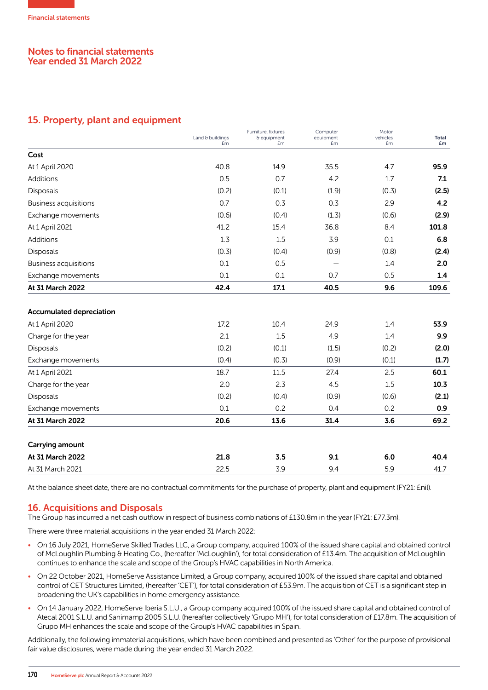# 15. Property, plant and equipment

|                                 | Land & buildings<br>£m | Furniture, fixtures<br>& equipment<br>£m | Computer<br>equipment<br>£m | Motor<br>vehicles<br>£m | Total<br>£m |
|---------------------------------|------------------------|------------------------------------------|-----------------------------|-------------------------|-------------|
| Cost                            |                        |                                          |                             |                         |             |
| At 1 April 2020                 | 40.8                   | 14.9                                     | 35.5                        | 4.7                     | 95.9        |
| Additions                       | 0.5                    | 0.7                                      | 4.2                         | 1.7                     | 7.1         |
| Disposals                       | (0.2)                  | (0.1)                                    | (1.9)                       | (0.3)                   | (2.5)       |
| <b>Business acquisitions</b>    | 0.7                    | 0.3                                      | 0.3                         | 2.9                     | 4.2         |
| Exchange movements              | (0.6)                  | (0.4)                                    | (1.3)                       | (0.6)                   | (2.9)       |
| At 1 April 2021                 | 41.2                   | 15.4                                     | 36.8                        | 8.4                     | 101.8       |
| Additions                       | 1.3                    | 1.5                                      | 3.9                         | 0.1                     | 6.8         |
| Disposals                       | (0.3)                  | (0.4)                                    | (0.9)                       | (0.8)                   | (2.4)       |
| <b>Business acquisitions</b>    | 0.1                    | 0.5                                      |                             | 1.4                     | 2.0         |
| Exchange movements              | 0.1                    | 0.1                                      | 0.7                         | 0.5                     | 1.4         |
| At 31 March 2022                | 42.4                   | 17.1                                     | 40.5                        | 9.6                     | 109.6       |
| <b>Accumulated depreciation</b> |                        |                                          |                             |                         |             |
| At 1 April 2020                 | 17.2                   | 10.4                                     | 24.9                        | 1.4                     | 53.9        |
| Charge for the year             | 2.1                    | 1.5                                      | 4.9                         | 1.4                     | 9.9         |
| <b>Disposals</b>                | (0.2)                  | (0.1)                                    | (1.5)                       | (0.2)                   | (2.0)       |
| Exchange movements              | (0.4)                  | (0.3)                                    | (0.9)                       | (0.1)                   | (1.7)       |
| At 1 April 2021                 | 18.7                   | 11.5                                     | 27.4                        | 2.5                     | 60.1        |
| Charge for the year             | 2.0                    | 2.3                                      | 4.5                         | 1.5                     | 10.3        |
| Disposals                       | (0.2)                  | (0.4)                                    | (0.9)                       | (0.6)                   | (2.1)       |
| Exchange movements              | 0.1                    | 0.2                                      | 0.4                         | 0.2                     | 0.9         |
| At 31 March 2022                | 20.6                   | 13.6                                     | 31.4                        | 3.6                     | 69.2        |
| Carrying amount                 |                        |                                          |                             |                         |             |
| At 31 March 2022                | 21.8                   | 3.5                                      | 9.1                         | 6.0                     | 40.4        |
| At 31 March 2021                | 22.5                   | 3.9                                      | 9.4                         | 5.9                     | 41.7        |

At the balance sheet date, there are no contractual commitments for the purchase of property, plant and equipment (FY21: £nil).

## 16. Acquisitions and Disposals

The Group has incurred a net cash outflow in respect of business combinations of £130.8m in the year (FY21: £77.3m).

There were three material acquisitions in the year ended 31 March 2022:

- On 16 July 2021, HomeServe Skilled Trades LLC, a Group company, acquired 100% of the issued share capital and obtained control of McLoughlin Plumbing & Heating Co., (hereafter 'McLoughlin'), for total consideration of £13.4m. The acquisition of McLoughlin continues to enhance the scale and scope of the Group's HVAC capabilities in North America.
- On 22 October 2021, HomeServe Assistance Limited, a Group company, acquired 100% of the issued share capital and obtained control of CET Structures Limited, (hereafter 'CET'), for total consideration of £53.9m. The acquisition of CET is a significant step in broadening the UK's capabilities in home emergency assistance.
- On 14 January 2022, HomeServe Iberia S.L.U., a Group company acquired 100% of the issued share capital and obtained control of Atecal 2001 S.L.U. and Sanimamp 2005 S.L.U. (hereafter collectively 'Grupo MH'), for total consideration of £17.8m. The acquisition of Grupo MH enhances the scale and scope of the Group's HVAC capabilities in Spain.

Additionally, the following immaterial acquisitions, which have been combined and presented as 'Other' for the purpose of provisional fair value disclosures, were made during the year ended 31 March 2022.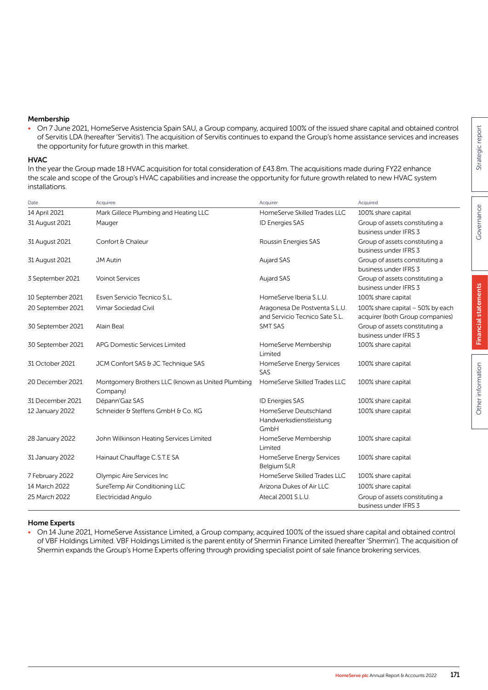• On 7 June 2021, HomeServe Asistencia Spain SAU, a Group company, acquired 100% of the issued share capital and obtained control of Servitis LDA (hereafter 'Servitis'). The acquisition of Servitis continues to expand the Group's home assistance services and increases the opportunity for future growth in this market.

#### **HVAC**

In the year the Group made 18 HVAC acquisition for total consideration of £43.8m. The acquisitions made during FY22 enhance the scale and scope of the Group's HVAC capabilities and increase the opportunity for future growth related to new HVAC system installations.

| Date              | Acquiree                                                      | Acquirer                       | Acquired                         |
|-------------------|---------------------------------------------------------------|--------------------------------|----------------------------------|
| 14 April 2021     | Mark Gillece Plumbing and Heating LLC                         | HomeServe Skilled Trades LLC   | 100% share capital               |
| 31 August 2021    | Mauger                                                        | ID Energies SAS                | Group of assets constituting a   |
|                   |                                                               |                                | business under IFRS 3            |
| 31 August 2021    | Confort & Chaleur                                             | Roussin Energies SAS           | Group of assets constituting a   |
|                   |                                                               |                                | business under IFRS 3            |
| 31 August 2021    | <b>JM Autin</b>                                               | <b>Aujard SAS</b>              | Group of assets constituting a   |
|                   |                                                               |                                | business under IFRS 3            |
| 3 September 2021  | <b>Voinot Services</b>                                        | <b>Aujard SAS</b>              | Group of assets constituting a   |
|                   |                                                               |                                | business under IFRS 3            |
| 10 September 2021 | Esven Servicio Tecnico S.L.                                   | HomeServe Iberia S.L.U.        | 100% share capital               |
| 20 September 2021 | Vimar Sociedad Civil                                          | Aragonesa De Postventa S.L.U.  | 100% share capital - 50% by each |
|                   |                                                               | and Servicio Tecnico Sate S.L. | acquirer (both Group companies)  |
| 30 September 2021 | Alain Beal                                                    | <b>SMT SAS</b>                 | Group of assets constituting a   |
|                   |                                                               |                                | business under IFRS 3            |
| 30 September 2021 | <b>APG Domestic Services Limited</b>                          | HomeServe Membership           | 100% share capital               |
|                   |                                                               | Limited                        |                                  |
| 31 October 2021   | JCM Confort SAS & JC Technique SAS                            | HomeServe Energy Services      | 100% share capital               |
|                   |                                                               | SAS                            |                                  |
| 20 December 2021  | Montgomery Brothers LLC (known as United Plumbing<br>Company) | HomeServe Skilled Trades LLC   | 100% share capital               |
| 31 December 2021  | Dépann'Gaz SAS                                                | <b>ID Energies SAS</b>         | 100% share capital               |
| 12 January 2022   | Schneider & Steffens GmbH & Co. KG                            | HomeServe Deutschland          | 100% share capital               |
|                   |                                                               | Handwerksdienstleistung        |                                  |
|                   |                                                               | GmbH                           |                                  |
| 28 January 2022   | John Wilkinson Heating Services Limited                       | HomeServe Membership           | 100% share capital               |
|                   |                                                               | Limited                        |                                  |
| 31 January 2022   | Hainaut Chauffage C.S.T.E SA                                  | HomeServe Energy Services      | 100% share capital               |
|                   |                                                               | <b>Belgium SLR</b>             |                                  |
| 7 February 2022   | Olympic Aire Services Inc                                     | HomeServe Skilled Trades LLC   | 100% share capital               |
| 14 March 2022     | SureTemp Air Conditioning LLC                                 | Arizona Dukes of Air LLC       | 100% share capital               |
| 25 March 2022     | <b>Electricidad Angulo</b>                                    | Atecal 2001 S.L.U.             | Group of assets constituting a   |
|                   |                                                               |                                | business under IFRS 3            |

#### Home Experts

• On 14 June 2021, HomeServe Assistance Limited, a Group company, acquired 100% of the issued share capital and obtained control of VBF Holdings Limited. VBF Holdings Limited is the parent entity of Shermin Finance Limited (hereafter 'Shermin'). The acquisition of Shermin expands the Group's Home Experts offering through providing specialist point of sale finance brokering services.

Governance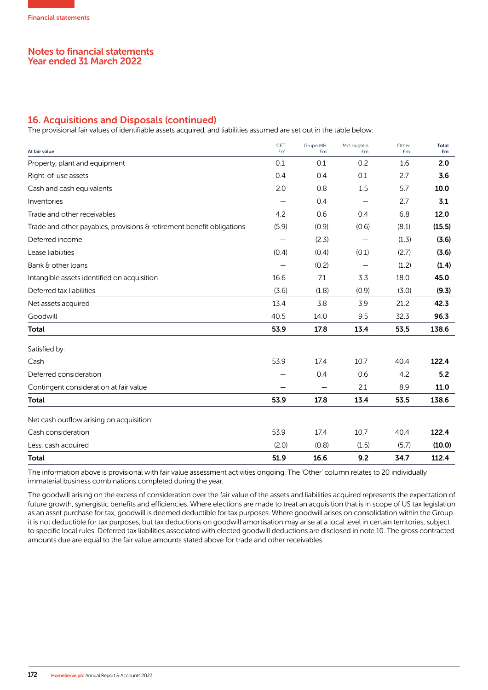## 16. Acquisitions and Disposals (continued)

The provisional fair values of identifiable assets acquired, and liabilities assumed are set out in the table below:

| At fair value                                                         | <b>CET</b><br>£m | Grupo MH<br>£m | McLoughlin<br>£m                | Other<br>£m | <b>Total</b><br>£m |
|-----------------------------------------------------------------------|------------------|----------------|---------------------------------|-------------|--------------------|
| Property, plant and equipment                                         | 0.1              | 0.1            | 0.2                             | 1.6         | 2.0                |
| Right-of-use assets                                                   | 0.4              | 0.4            | 0.1                             | 2.7         | 3.6                |
| Cash and cash equivalents                                             | 2.0              | 0.8            | 1.5                             | 5.7         | 10.0               |
| Inventories                                                           |                  | 0.4            | $\overbrace{\phantom{1232211}}$ | 2.7         | 3.1                |
| Trade and other receivables                                           | 4.2              | 0.6            | 0.4                             | 6.8         | 12.0               |
| Trade and other payables, provisions & retirement benefit obligations | (5.9)            | (0.9)          | (0.6)                           | (8.1)       | (15.5)             |
| Deferred income                                                       |                  | (2.3)          |                                 | (1.3)       | (3.6)              |
| Lease liabilities                                                     | (0.4)            | (0.4)          | (0.1)                           | (2.7)       | (3.6)              |
| Bank & other loans                                                    |                  | (0.2)          |                                 | (1.2)       | (1.4)              |
| Intangible assets identified on acquisition                           | 16.6             | 7.1            | 3.3                             | 18.0        | 45.0               |
| Deferred tax liabilities                                              | (3.6)            | (1.8)          | (0.9)                           | (3.0)       | (9.3)              |
| Net assets acquired                                                   | 13.4             | 3.8            | 3.9                             | 21.2        | 42.3               |
| Goodwill                                                              | 40.5             | 14.0           | 9.5                             | 32.3        | 96.3               |
| Total                                                                 | 53.9             | 17.8           | 13.4                            | 53.5        | 138.6              |
| Satisfied by:                                                         |                  |                |                                 |             |                    |
| Cash                                                                  | 53.9             | 17.4           | 10.7                            | 40.4        | 122.4              |
| Deferred consideration                                                |                  | 0.4            | 0.6                             | 4.2         | 5.2                |
| Contingent consideration at fair value                                |                  |                | 2.1                             | 8.9         | 11.0               |
| Total                                                                 | 53.9             | 17.8           | 13.4                            | 53.5        | 138.6              |
| Net cash outflow arising on acquisition:                              |                  |                |                                 |             |                    |
| Cash consideration                                                    | 53.9             | 17.4           | 10.7                            | 40.4        | 122.4              |
| Less: cash acquired                                                   | (2.0)            | (0.8)          | (1.5)                           | (5.7)       | (10.0)             |
| Total                                                                 | 51.9             | 16.6           | 9.2                             | 34.7        | 112.4              |

The information above is provisional with fair value assessment activities ongoing. The 'Other' column relates to 20 individually immaterial business combinations completed during the year.

The goodwill arising on the excess of consideration over the fair value of the assets and liabilities acquired represents the expectation of future growth, synergistic benefits and efficiencies. Where elections are made to treat an acquisition that is in scope of US tax legislation as an asset purchase for tax, goodwill is deemed deductible for tax purposes. Where goodwill arises on consolidation within the Group it is not deductible for tax purposes, but tax deductions on goodwill amortisation may arise at a local level in certain territories, subject to specific local rules. Deferred tax liabilities associated with elected goodwill deductions are disclosed in note 10. The gross contracted amounts due are equal to the fair value amounts stated above for trade and other receivables.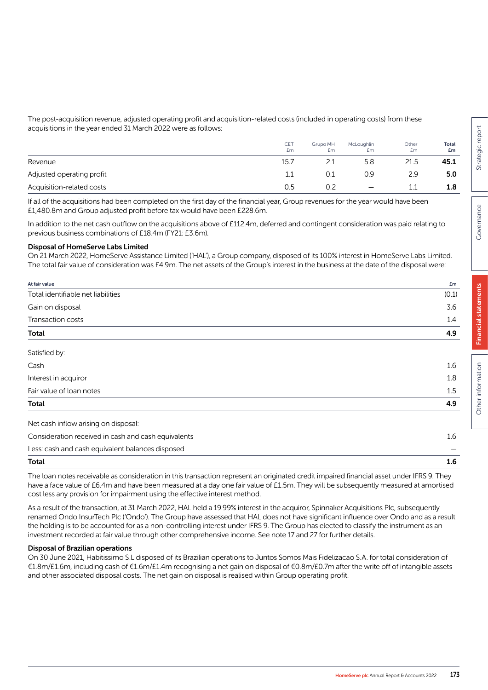The post-acquisition revenue, adjusted operating profit and acquisition-related costs (included in operating costs) from these acquisitions in the year ended 31 March 2022 were as follows:

|                           | <b>CET</b><br>£m | Grupo MH<br>£m | McLoughlin<br>£m         | Other<br>£m | <b>Total</b><br>£m |
|---------------------------|------------------|----------------|--------------------------|-------------|--------------------|
| Revenue                   | 15.7             |                | 5.8                      | 21.5        | 45.1               |
| Adjusted operating profit | 1.1              |                | 0.9                      | 2.9         | 5.0                |
| Acquisition-related costs | 0.5              |                | $\overline{\phantom{m}}$ |             |                    |

If all of the acquisitions had been completed on the first day of the financial year, Group revenues for the year would have been £1,480.8m and Group adjusted profit before tax would have been £228.6m.

In addition to the net cash outflow on the acquisitions above of £112.4m, deferred and contingent consideration was paid relating to previous business combinations of £18.4m (FY21: £3.6m).

#### Disposal of HomeServe Labs Limited

On 21 March 2022, HomeServe Assistance Limited ('HAL'), a Group company, disposed of its 100% interest in HomeServe Labs Limited. The total fair value of consideration was £4.9m. The net assets of the Group's interest in the business at the date of the disposal were:

| At fair value                                       | £m    |
|-----------------------------------------------------|-------|
| Total identifiable net liabilities                  | (0.1) |
| Gain on disposal                                    | 3.6   |
| <b>Transaction costs</b>                            | 1.4   |
| Total                                               | 4.9   |
| Satisfied by:                                       |       |
| Cash                                                | 1.6   |
| Interest in acquiror                                | 1.8   |
| Fair value of loan notes                            | 1.5   |
| Total                                               | 4.9   |
| Net cash inflow arising on disposal:                |       |
| Consideration received in cash and cash equivalents | 1.6   |
| Less: cash and cash equivalent balances disposed    |       |
| Total                                               | 1.6   |

The loan notes receivable as consideration in this transaction represent an originated credit impaired financial asset under IFRS 9. They have a face value of £6.4m and have been measured at a day one fair value of £1.5m. They will be subsequently measured at amortised cost less any provision for impairment using the effective interest method.

As a result of the transaction, at 31 March 2022, HAL held a 19.99% interest in the acquiror, Spinnaker Acquisitions Plc, subsequently renamed Ondo InsurTech Plc ('Ondo'). The Group have assessed that HAL does not have significant influence over Ondo and as a result the holding is to be accounted for as a non-controlling interest under IFRS 9. The Group has elected to classify the instrument as an investment recorded at fair value through other comprehensive income. See note 17 and 27 for further details.

#### Disposal of Brazilian operations

On 30 June 2021, Habitissimo S.L disposed of its Brazilian operations to Juntos Somos Mais Fidelizacao S.A. for total consideration of €1.8m/£1.6m, including cash of €1.6m/£1.4m recognising a net gain on disposal of €0.8m/£0.7m after the write off of intangible assets and other associated disposal costs. The net gain on disposal is realised within Group operating profit.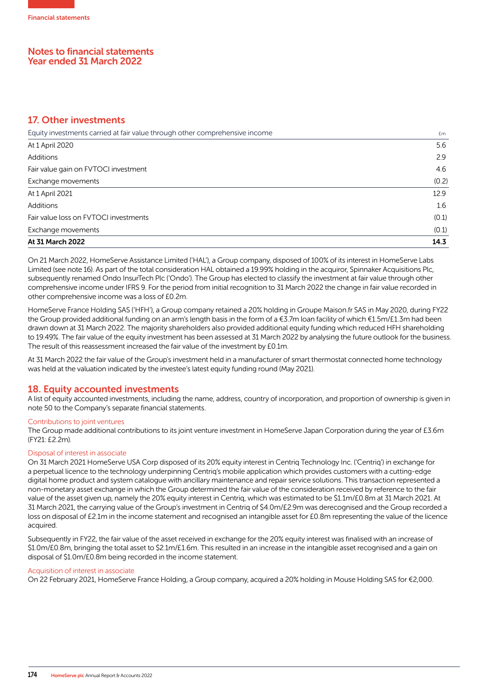## 17. Other investments

| Equity investments carried at fair value through other comprehensive income | <b>£m</b> |
|-----------------------------------------------------------------------------|-----------|
| At 1 April 2020                                                             | 5.6       |
| <b>Additions</b>                                                            | 2.9       |
| Fair value gain on FVTOCI investment                                        | 4.6       |
| Exchange movements                                                          | (0.2)     |
| At 1 April 2021                                                             | 12.9      |
| <b>Additions</b>                                                            | 1.6       |
| Fair value loss on FVTOCI investments                                       | (0.1)     |
| Exchange movements                                                          | (0.1)     |
| At 31 March 2022                                                            | 14.3      |

On 21 March 2022, HomeServe Assistance Limited ('HAL'), a Group company, disposed of 100% of its interest in HomeServe Labs Limited (see note 16). As part of the total consideration HAL obtained a 19.99% holding in the acquiror, Spinnaker Acquisitions Plc, subsequently renamed Ondo InsurTech Plc ('Ondo'). The Group has elected to classify the investment at fair value through other comprehensive income under IFRS 9. For the period from initial recognition to 31 March 2022 the change in fair value recorded in other comprehensive income was a loss of £0.2m.

HomeServe France Holding SAS ('HFH'), a Group company retained a 20% holding in Groupe Maison.fr SAS in May 2020, during FY22 the Group provided additional funding on an arm's length basis in the form of a €3.7m loan facility of which €1.5m/£1.3m had been drawn down at 31 March 2022. The majority shareholders also provided additional equity funding which reduced HFH shareholding to 19.49%. The fair value of the equity investment has been assessed at 31 March 2022 by analysing the future outlook for the business. The result of this reassessment increased the fair value of the investment by £0.1m.

At 31 March 2022 the fair value of the Group's investment held in a manufacturer of smart thermostat connected home technology was held at the valuation indicated by the investee's latest equity funding round (May 2021).

## 18. Equity accounted investments

A list of equity accounted investments, including the name, address, country of incorporation, and proportion of ownership is given in note 50 to the Company's separate financial statements.

#### Contributions to joint ventures

The Group made additional contributions to its joint venture investment in HomeServe Japan Corporation during the year of £3.6m (FY21: £2.2m).

#### Disposal of interest in associate

On 31 March 2021 HomeServe USA Corp disposed of its 20% equity interest in Centriq Technology Inc. ('Centriq') in exchange for a perpetual licence to the technology underpinning Centriq's mobile application which provides customers with a cutting-edge digital home product and system catalogue with ancillary maintenance and repair service solutions. This transaction represented a non-monetary asset exchange in which the Group determined the fair value of the consideration received by reference to the fair value of the asset given up, namely the 20% equity interest in Centriq, which was estimated to be \$1.1m/£0.8m at 31 March 2021. At 31 March 2021, the carrying value of the Group's investment in Centriq of \$4.0m/£2.9m was derecognised and the Group recorded a loss on disposal of £2.1m in the income statement and recognised an intangible asset for £0.8m representing the value of the licence acquired.

Subsequently in FY22, the fair value of the asset received in exchange for the 20% equity interest was finalised with an increase of \$1.0m/£0.8m, bringing the total asset to \$2.1m/£1.6m. This resulted in an increase in the intangible asset recognised and a gain on disposal of \$1.0m/£0.8m being recorded in the income statement.

#### Acquisition of interest in associate

On 22 February 2021, HomeServe France Holding, a Group company, acquired a 20% holding in Mouse Holding SAS for €2,000.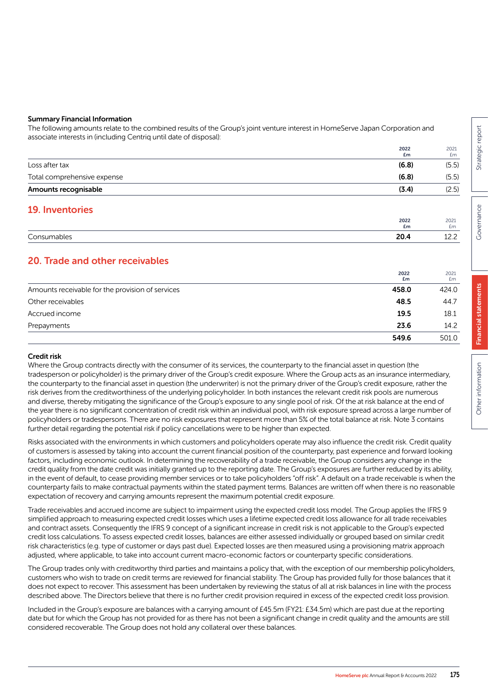#### Summary Financial Information

The following amounts relate to the combined results of the Group's joint venture interest in HomeServe Japan Corporation and associate interests in (including Centriq until date of disposal):

| (6.8) | (5.5) |
|-------|-------|
| (6.8) | (5.5) |
| (3.4) | (2.5) |
|       |       |

|                                                      | 2022<br>£m | 2021<br>km |
|------------------------------------------------------|------------|------------|
| $\overline{\phantom{0}}$<br>CON <sup>c</sup><br>bles | 20<br>20.4 | $+$ $ -$   |

## 20. Trade and other receivables

|                                                  | 2022  | 2021  |
|--------------------------------------------------|-------|-------|
|                                                  | £m    | £m    |
| Amounts receivable for the provision of services | 458.0 | 424.0 |
| Other receivables                                | 48.5  | 44.7  |
| Accrued income                                   | 19.5  | 18.1  |
| Prepayments                                      | 23.6  | 14.2  |
|                                                  | 549.6 | 501.0 |

#### Credit risk

Where the Group contracts directly with the consumer of its services, the counterparty to the financial asset in question (the tradesperson or policyholder) is the primary driver of the Group's credit exposure. Where the Group acts as an insurance intermediary, the counterparty to the financial asset in question (the underwriter) is not the primary driver of the Group's credit exposure, rather the risk derives from the creditworthiness of the underlying policyholder. In both instances the relevant credit risk pools are numerous and diverse, thereby mitigating the significance of the Group's exposure to any single pool of risk. Of the at risk balance at the end of the year there is no significant concentration of credit risk within an individual pool, with risk exposure spread across a large number of policyholders or tradespersons. There are no risk exposures that represent more than 5% of the total balance at risk. Note 3 contains further detail regarding the potential risk if policy cancellations were to be higher than expected.

Risks associated with the environments in which customers and policyholders operate may also influence the credit risk. Credit quality of customers is assessed by taking into account the current financial position of the counterparty, past experience and forward looking factors, including economic outlook. In determining the recoverability of a trade receivable, the Group considers any change in the credit quality from the date credit was initially granted up to the reporting date. The Group's exposures are further reduced by its ability, in the event of default, to cease providing member services or to take policyholders "off risk". A default on a trade receivable is when the counterparty fails to make contractual payments within the stated payment terms. Balances are written off when there is no reasonable expectation of recovery and carrying amounts represent the maximum potential credit exposure.

Trade receivables and accrued income are subject to impairment using the expected credit loss model. The Group applies the IFRS 9 simplified approach to measuring expected credit losses which uses a lifetime expected credit loss allowance for all trade receivables and contract assets. Consequently the IFRS 9 concept of a significant increase in credit risk is not applicable to the Group's expected credit loss calculations. To assess expected credit losses, balances are either assessed individually or grouped based on similar credit risk characteristics (e.g. type of customer or days past due). Expected losses are then measured using a provisioning matrix approach adjusted, where applicable, to take into account current macro-economic factors or counterparty specific considerations.

The Group trades only with creditworthy third parties and maintains a policy that, with the exception of our membership policyholders, customers who wish to trade on credit terms are reviewed for financial stability. The Group has provided fully for those balances that it does not expect to recover. This assessment has been undertaken by reviewing the status of all at risk balances in line with the process described above. The Directors believe that there is no further credit provision required in excess of the expected credit loss provision.

Included in the Group's exposure are balances with a carrying amount of £45.5m (FY21: £34.5m) which are past due at the reporting date but for which the Group has not provided for as there has not been a significant change in credit quality and the amounts are still considered recoverable. The Group does not hold any collateral over these balances.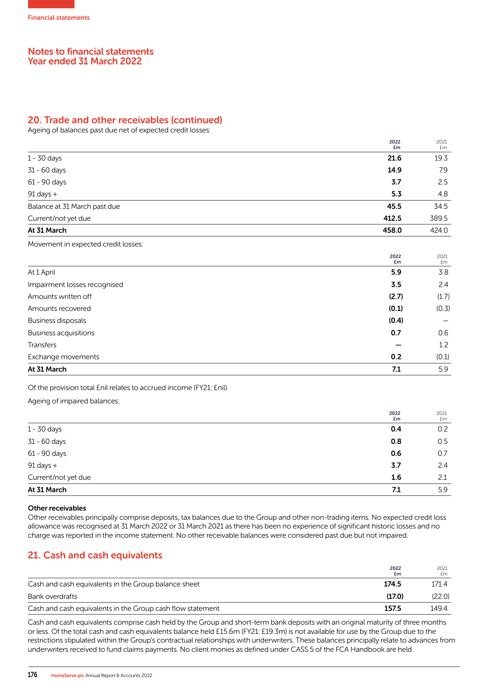## 20. Trade and other receivables (continued)

Ageing of balances past due net of expected credit losses:

|                                     | 2022<br>£m | 2021<br>£m |
|-------------------------------------|------------|------------|
| $1 - 30$ days                       | 21.6       | 19.3       |
| 31 - 60 days                        | 14.9       | 7.9        |
| 61 - 90 days                        | 3.7        | 2.5        |
| $91$ days +                         | 5.3        | 4.8        |
| Balance at 31 March past due        | 45.5       | 34.5       |
| Current/not yet due                 | 412.5      | 389.5      |
| At 31 March                         | 458.0      | 424.0      |
| Movement in expected credit losses: |            |            |
|                                     | 2022<br>£m | 2021<br>£m |
| At 1 April                          | 5.9        | 3.8        |
| Impairment losses recognised        | 3.5        | 2.4        |
| Amounts written off                 | (2.7)      | (1.7)      |
| Amounts recovered                   | (0.1)      | (0.3)      |
| Business disposals                  | (0.4)      |            |
| <b>Business acquisitions</b>        | 0.7        | 0.6        |
| <b>Transfers</b>                    |            | 1.2        |
| Exchange movements                  | 0.2        | (0.1)      |
| At 31 March                         | 7.1        | 5.9        |

Of the provision total £nil relates to accrued income (FY21: £nil).

Ageing of impaired balances:

| At 31 March         | 7.1        | 5.9        |
|---------------------|------------|------------|
| Current/not yet due | 1.6        | 2.1        |
| $91$ days $+$       | 3.7        | 2.4        |
| 61 - 90 days        | 0.6        | 0.7        |
| 31 - 60 days        | 0.8        | 0.5        |
| 1 - 30 days         | 0.4        | 0.2        |
|                     | 2022<br>£m | 2021<br>£m |

#### Other receivables

Other receivables principally comprise deposits, tax balances due to the Group and other non-trading items. No expected credit loss allowance was recognised at 31 March 2022 or 31 March 2021 as there has been no experience of significant historic losses and no charge was reported in the income statement. No other receivable balances were considered past due but not impaired.

## 21. Cash and cash equivalents

|                                                            | 2022<br>£m | 2021<br>f m |
|------------------------------------------------------------|------------|-------------|
| Cash and cash equivalents in the Group balance sheet       | 174.5      | 1714        |
| Bank overdrafts                                            | (17.0)     | (22.0)      |
| Cash and cash equivalents in the Group cash flow statement | 157.5      | 149.4       |

Cash and cash equivalents comprise cash held by the Group and short-term bank deposits with an original maturity of three months or less. Of the total cash and cash equivalents balance held £15.6m (FY21: £19.3m) is not available for use by the Group due to the restrictions stipulated within the Group's contractual relationships with underwriters. These balances principally relate to advances from underwriters received to fund claims payments. No client monies as defined under CASS 5 of the FCA Handbook are held.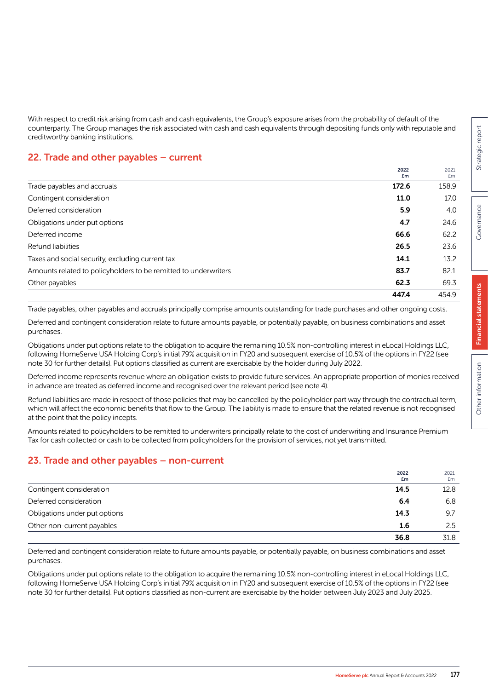Governance ||<br>Strategic report Strategic report

With respect to credit risk arising from cash and cash equivalents, the Group's exposure arises from the probability of default of the counterparty. The Group manages the risk associated with cash and cash equivalents through depositing funds only with reputable and creditworthy banking institutions.

## 22. Trade and other payables – current

|                                                                 | 2022<br>£m | 2021<br>£m |
|-----------------------------------------------------------------|------------|------------|
| Trade payables and accruals                                     | 172.6      | 158.9      |
| Contingent consideration                                        | 11.0       | 17.0       |
| Deferred consideration                                          | 5.9        | 4.0        |
| Obligations under put options                                   | 4.7        | 24.6       |
| Deferred income                                                 | 66.6       | 62.2       |
| Refund liabilities                                              | 26.5       | 23.6       |
| Taxes and social security, excluding current tax                | 14.1       | 13.2       |
| Amounts related to policyholders to be remitted to underwriters | 83.7       | 82.1       |
| Other payables                                                  | 62.3       | 69.3       |
|                                                                 | 447.4      | 454.9      |

Trade payables, other payables and accruals principally comprise amounts outstanding for trade purchases and other ongoing costs.

Deferred and contingent consideration relate to future amounts payable, or potentially payable, on business combinations and asset purchases.

Obligations under put options relate to the obligation to acquire the remaining 10.5% non-controlling interest in eLocal Holdings LLC, following HomeServe USA Holding Corp's initial 79% acquisition in FY20 and subsequent exercise of 10.5% of the options in FY22 (see note 30 for further details). Put options classified as current are exercisable by the holder during July 2022.

Deferred income represents revenue where an obligation exists to provide future services. An appropriate proportion of monies received in advance are treated as deferred income and recognised over the relevant period (see note 4).

Refund liabilities are made in respect of those policies that may be cancelled by the policyholder part way through the contractual term, which will affect the economic benefits that flow to the Group. The liability is made to ensure that the related revenue is not recognised at the point that the policy incepts.

Amounts related to policyholders to be remitted to underwriters principally relate to the cost of underwriting and Insurance Premium Tax for cash collected or cash to be collected from policyholders for the provision of services, not yet transmitted.

## 23. Trade and other payables – non-current

|                               | 2022<br>£m | 2021<br>£m |
|-------------------------------|------------|------------|
| Contingent consideration      | 14.5       | 12.8       |
| Deferred consideration        | 6.4        | 6.8        |
| Obligations under put options | 14.3       | 9.7        |
| Other non-current payables    | 1.6        | 2.5        |
|                               | 36.8       | 31.8       |

Deferred and contingent consideration relate to future amounts payable, or potentially payable, on business combinations and asset purchases.

Obligations under put options relate to the obligation to acquire the remaining 10.5% non-controlling interest in eLocal Holdings LLC, following HomeServe USA Holding Corp's initial 79% acquisition in FY20 and subsequent exercise of 10.5% of the options in FY22 (see note 30 for further details). Put options classified as non-current are exercisable by the holder between July 2023 and July 2025.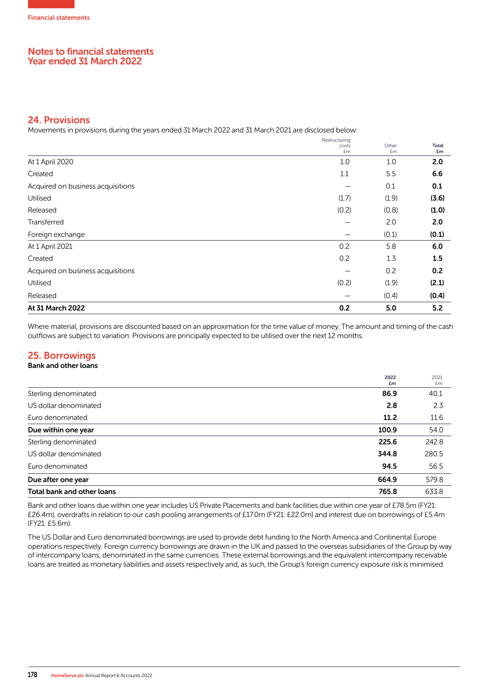## 24. Provisions

Movements in provisions during the years ended 31 March 2022 and 31 March 2021 are disclosed below:

| Utilised                          | (1.7) | (1.9) | (3.6) |
|-----------------------------------|-------|-------|-------|
| Released                          | (0.2) | (0.8) | (1.0) |
| Transferred                       |       | 2.0   | 2.0   |
| Foreign exchange                  | –     | (0.1) | (0.1) |
| At 1 April 2021                   | 0.2   | 5.8   | 6.0   |
| Created                           | 0.2   | 1.3   | 1.5   |
| Acquired on business acquisitions |       | 0.2   | 0.2   |
| Utilised                          | (0.2) | (1.9) | (2.1) |
| Released                          |       | (0.4) | (0.4) |
| At 31 March 2022                  | 0.2   | 5.0   | 5.2   |

Where material, provisions are discounted based on an approximation for the time value of money. The amount and timing of the cash outflows are subject to variation. Provisions are principally expected to be utilised over the next 12 months.

## 25. Borrowings

### Bank and other loans

|                            | 2022<br>£m | 2021<br><b>£m</b> |
|----------------------------|------------|-------------------|
| Sterling denominated       | 86.9       | 40.1              |
| US dollar denominated      | 2.8        | 2.3               |
| Euro denominated           | 11.2       | 11.6              |
| Due within one year        | 100.9      | 54.0              |
| Sterling denominated       | 225.6      | 242.8             |
| US dollar denominated      | 344.8      | 280.5             |
| Euro denominated           | 94.5       | 56.5              |
| Due after one year         | 664.9      | 579.8             |
| Total bank and other loans | 765.8      | 633.8             |

Bank and other loans due within one year includes US Private Placements and bank facilities due within one year of £78.5m (FY21: £26.4m), overdrafts in relation to our cash pooling arrangements of £17.0m (FY21: £22.0m) and interest due on borrowings of £5.4m (FY21: £5.6m).

The US Dollar and Euro denominated borrowings are used to provide debt funding to the North America and Continental Europe operations respectively. Foreign currency borrowings are drawn in the UK and passed to the overseas subsidiaries of the Group by way of intercompany loans, denominated in the same currencies. These external borrowings and the equivalent intercompany receivable loans are treated as monetary liabilities and assets respectively and, as such, the Group's foreign currency exposure risk is minimised.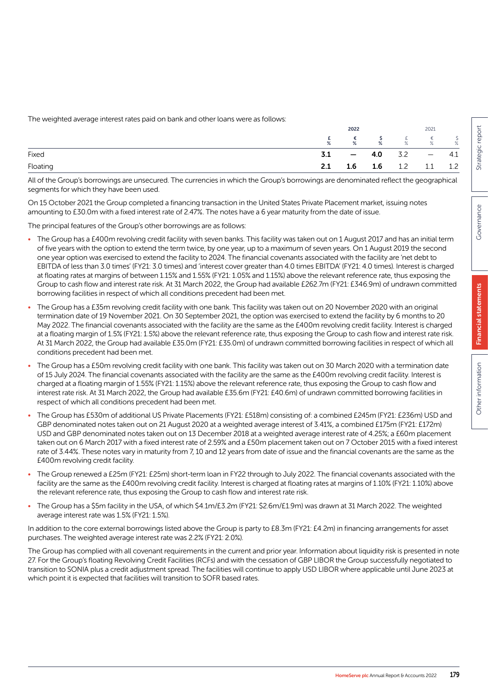The weighted average interest rates paid on bank and other loans were as follows:

|          |     | 2022 |        |                     | 2021         |     |
|----------|-----|------|--------|---------------------|--------------|-----|
|          |     |      |        |                     |              |     |
| Fixed    | 3.1 |      | $-4.0$ | 3.2                 | $\sim$ $  -$ | 4.1 |
| Floating | 2.1 |      |        | 1.6 1.6 1.2 1.1 1.2 |              |     |

All of the Group's borrowings are unsecured. The currencies in which the Group's borrowings are denominated reflect the geographical segments for which they have been used.

On 15 October 2021 the Group completed a financing transaction in the United States Private Placement market, issuing notes amounting to £30.0m with a fixed interest rate of 2.47%. The notes have a 6 year maturity from the date of issue.

The principal features of the Group's other borrowings are as follows:

- The Group has a £400m revolving credit facility with seven banks. This facility was taken out on 1 August 2017 and has an initial term of five years with the option to extend the term twice, by one year, up to a maximum of seven years. On 1 August 2019 the second one year option was exercised to extend the facility to 2024. The financial covenants associated with the facility are 'net debt to EBITDA of less than 3.0 times' (FY21: 3.0 times) and 'interest cover greater than 4.0 times EBITDA' (FY21: 4.0 times). Interest is charged at floating rates at margins of between 1.15% and 1.55% (FY21: 1.05% and 1.15%) above the relevant reference rate, thus exposing the Group to cash flow and interest rate risk. At 31 March 2022, the Group had available £262.7m (FY21: £346.9m) of undrawn committed borrowing facilities in respect of which all conditions precedent had been met.
- The Group has a £35m revolving credit facility with one bank. This facility was taken out on 20 November 2020 with an original termination date of 19 November 2021. On 30 September 2021, the option was exercised to extend the facility by 6 months to 20 May 2022. The financial covenants associated with the facility are the same as the £400m revolving credit facility. Interest is charged at a floating margin of 1.5% (FY21: 1.5%) above the relevant reference rate, thus exposing the Group to cash flow and interest rate risk. At 31 March 2022, the Group had available £35.0m (FY21: £35.0m) of undrawn committed borrowing facilities in respect of which all conditions precedent had been met.
- The Group has a £50m revolving credit facility with one bank. This facility was taken out on 30 March 2020 with a termination date of 15 July 2024. The financial covenants associated with the facility are the same as the £400m revolving credit facility. Interest is charged at a floating margin of 1.55% (FY21: 1.15%) above the relevant reference rate, thus exposing the Group to cash flow and interest rate risk. At 31 March 2022, the Group had available £35.6m (FY21: £40.6m) of undrawn committed borrowing facilities in respect of which all conditions precedent had been met.
- The Group has £530m of additional US Private Placements (FY21: £518m) consisting of: a combined £245m (FY21: £236m) USD and GBP denominated notes taken out on 21 August 2020 at a weighted average interest of 3.41%, a combined £175m (FY21: £172m) USD and GBP denominated notes taken out on 13 December 2018 at a weighted average interest rate of 4.25%; a £60m placement taken out on 6 March 2017 with a fixed interest rate of 2.59% and a £50m placement taken out on 7 October 2015 with a fixed interest rate of 3.44%. These notes vary in maturity from 7, 10 and 12 years from date of issue and the financial covenants are the same as the £400m revolving credit facility.
- The Group renewed a £25m (FY21: £25m) short-term loan in FY22 through to July 2022. The financial covenants associated with the facility are the same as the £400m revolving credit facility. Interest is charged at floating rates at margins of 1.10% (FY21: 1.10%) above the relevant reference rate, thus exposing the Group to cash flow and interest rate risk.
- The Group has a \$5m facility in the USA, of which \$4.1m/£3.2m (FY21: \$2.6m/£1.9m) was drawn at 31 March 2022. The weighted average interest rate was 1.5% (FY21: 1.5%).

In addition to the core external borrowings listed above the Group is party to £8.3m (FY21: £4.2m) in financing arrangements for asset purchases. The weighted average interest rate was 2.2% (FY21: 2.0%).

The Group has complied with all covenant requirements in the current and prior year. Information about liquidity risk is presented in note 27. For the Group's floating Revolving Credit Facilities (RCFs) and with the cessation of GBP LIBOR the Group successfully negotiated to transition to SONIA plus a credit adjustment spread. The facilities will continue to apply USD LIBOR where applicable until June 2023 at which point it is expected that facilities will transition to SOFR based rates.

Other information

Other information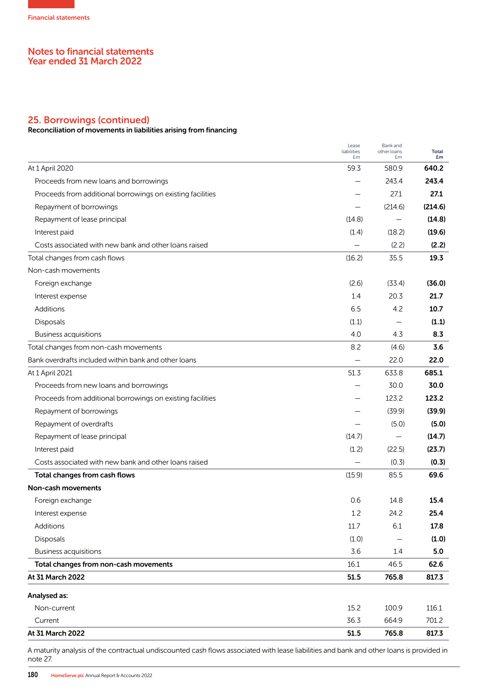## 25. Borrowings (continued)

#### Reconciliation of movements in liabilities arising from financing

|                                                            | Lease<br>liabilities<br>£m | Bank and<br>other loans<br>£m | Total<br>£m |
|------------------------------------------------------------|----------------------------|-------------------------------|-------------|
| At 1 April 2020                                            | 59.3                       | 580.9                         | 640.2       |
| Proceeds from new loans and borrowings                     |                            | 243.4                         | 243.4       |
| Proceeds from additional borrowings on existing facilities |                            | 27.1                          | 27.1        |
| Repayment of borrowings                                    |                            | (214.6)                       | (214.6)     |
| Repayment of lease principal                               | (14.8)                     |                               | (14.8)      |
| Interest paid                                              | (1.4)                      | (18.2)                        | (19.6)      |
| Costs associated with new bank and other loans raised      | —                          | (2.2)                         | (2.2)       |
| Total changes from cash flows                              | (16.2)                     | 35.5                          | 19.3        |
| Non-cash movements                                         |                            |                               |             |
| Foreign exchange                                           | (2.6)                      | (33.4)                        | (36.0)      |
| Interest expense                                           | 1.4                        | 20.3                          | 21.7        |
| Additions                                                  | 6.5                        | 4.2                           | 10.7        |
| Disposals                                                  | (1.1)                      |                               | (1.1)       |
| <b>Business acquisitions</b>                               | 4.0                        | 4.3                           | 8.3         |
| Total changes from non-cash movements                      | 8.2                        | (4.6)                         | 3.6         |
| Bank overdrafts included within bank and other loans       |                            | 22.0                          | 22.0        |
| At 1 April 2021                                            | 51.3                       | 633.8                         | 685.1       |
| Proceeds from new loans and borrowings                     |                            | 30.0                          | 30.0        |
| Proceeds from additional borrowings on existing facilities |                            | 123.2                         | 123.2       |
| Repayment of borrowings                                    |                            | (39.9)                        | (39.9)      |
| Repayment of overdrafts                                    |                            | (5.0)                         | (5.0)       |
| Repayment of lease principal                               | (14.7)                     | $\overline{\phantom{0}}$      | (14.7)      |
| Interest paid                                              | (1.2)                      | (22.5)                        | (23.7)      |
| Costs associated with new bank and other loans raised      |                            | (0.3)                         | (0.3)       |
| Total changes from cash flows                              | (15.9)                     | 85.5                          | 69.6        |
| Non-cash movements                                         |                            |                               |             |
| Foreign exchange                                           | 0.6                        | 14.8                          | 15.4        |
| Interest expense                                           | 1.2                        | 24.2                          | 25.4        |
| Additions                                                  | 11.7                       | 6.1                           | 17.8        |
| Disposals                                                  | (1.0)                      |                               | (1.0)       |
| <b>Business acquisitions</b>                               | 3.6                        | 1.4                           | $5.0$       |
| Total changes from non-cash movements                      | 16.1                       | 46.5                          | 62.6        |
| At 31 March 2022                                           | 51.5                       | 765.8                         | 817.3       |
| Analysed as:                                               |                            |                               |             |
| Non-current                                                | 15.2                       | 100.9                         | 116.1       |
| Current                                                    | 36.3                       | 664.9                         | 701.2       |
| At 31 March 2022                                           | 51.5                       | 765.8                         | 817.3       |

A maturity analysis of the contractual undiscounted cash flows associated with lease liabilities and bank and other loans is provided in note 27.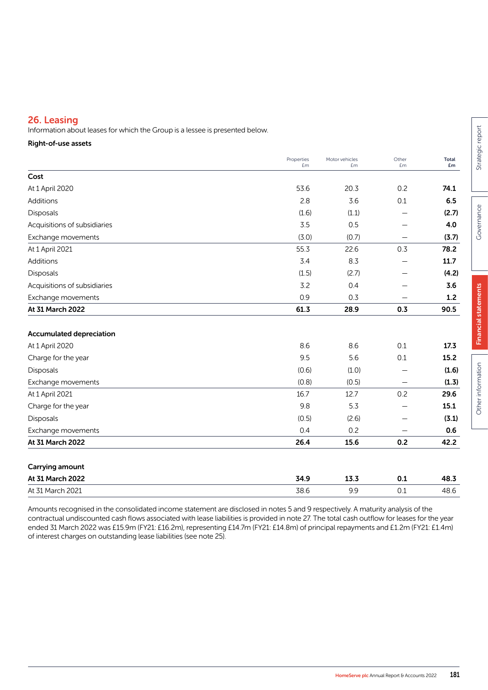## 26. Leasing

Information about leases for which the Group is a lessee is presented below.

#### Right-of-use assets

|                                 | Properties<br>£m | Motor vehicles<br>£m | Other<br>£m              | Total<br>£m |
|---------------------------------|------------------|----------------------|--------------------------|-------------|
| Cost                            |                  |                      |                          |             |
| At 1 April 2020                 | 53.6             | 20.3                 | 0.2                      | 74.1        |
| Additions                       | 2.8              | 3.6                  | 0.1                      | 6.5         |
| Disposals                       | (1.6)            | (1.1)                |                          | (2.7)       |
| Acquisitions of subsidiaries    | 3.5              | 0.5                  |                          | 4.0         |
| Exchange movements              | (3.0)            | (0.7)                | $\overline{\phantom{0}}$ | (3.7)       |
| At 1 April 2021                 | 55.3             | 22.6                 | 0.3                      | 78.2        |
| Additions                       | 3.4              | 8.3                  |                          | 11.7        |
| Disposals                       | (1.5)            | (2.7)                |                          | (4.2)       |
| Acquisitions of subsidiaries    | 3.2              | 0.4                  |                          | 3.6         |
| Exchange movements              | 0.9              | 0.3                  |                          | 1.2         |
| At 31 March 2022                | 61.3             | 28.9                 | 0.3                      | 90.5        |
| <b>Accumulated depreciation</b> |                  |                      |                          |             |
| At 1 April 2020                 | 8.6              | 8.6                  | 0.1                      | 17.3        |
| Charge for the year             | 9.5              | 5.6                  | 0.1                      | 15.2        |
| Disposals                       | (0.6)            | (1.0)                |                          | (1.6)       |
| Exchange movements              | (0.8)            | (0.5)                | $\overline{\phantom{0}}$ | (1.3)       |
| At 1 April 2021                 | 16.7             | 12.7                 | 0.2                      | 29.6        |
| Charge for the year             | 9.8              | 5.3                  |                          | 15.1        |
| <b>Disposals</b>                | (0.5)            | (2.6)                |                          | (3.1)       |
| Exchange movements              | 0.4              | 0.2                  |                          | 0.6         |
| At 31 March 2022                | 26.4             | 15.6                 | 0.2                      | 42.2        |
| Carrying amount                 |                  |                      |                          |             |
| At 31 March 2022                | 34.9             | 13.3                 | 0.1                      | 48.3        |
| At 31 March 2021                | 38.6             | 9.9                  | 0.1                      | 48.6        |

Amounts recognised in the consolidated income statement are disclosed in notes 5 and 9 respectively. A maturity analysis of the contractual undiscounted cash flows associated with lease liabilities is provided in note 27. The total cash outflow for leases for the year ended 31 March 2022 was £15.9m (FY21: £16.2m), representing £14.7m (FY21: £14.8m) of principal repayments and £1.2m (FY21: £1.4m) of interest charges on outstanding lease liabilities (see note 25).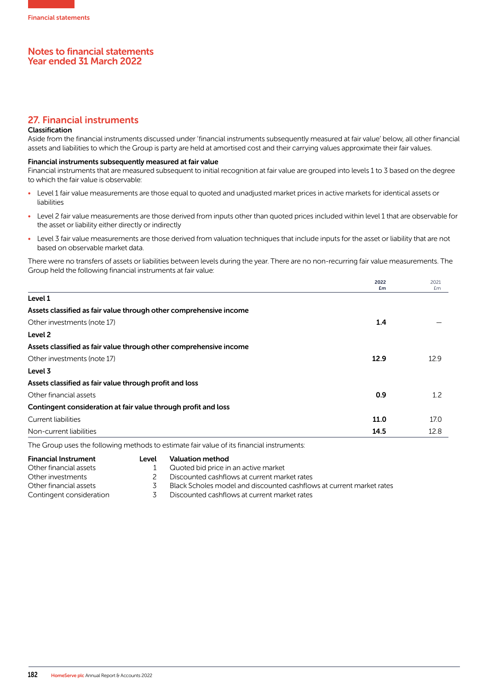## 27. Financial instruments

#### Classification

Aside from the financial instruments discussed under 'financial instruments subsequently measured at fair value' below, all other financial assets and liabilities to which the Group is party are held at amortised cost and their carrying values approximate their fair values.

#### Financial instruments subsequently measured at fair value

Financial instruments that are measured subsequent to initial recognition at fair value are grouped into levels 1 to 3 based on the degree to which the fair value is observable:

- Level 1 fair value measurements are those equal to quoted and unadjusted market prices in active markets for identical assets or liabilities
- Level 2 fair value measurements are those derived from inputs other than quoted prices included within level 1 that are observable for the asset or liability either directly or indirectly
- Level 3 fair value measurements are those derived from valuation techniques that include inputs for the asset or liability that are not based on observable market data.

There were no transfers of assets or liabilities between levels during the year. There are no non-recurring fair value measurements. The Group held the following financial instruments at fair value:

2022

|                                                                    | 2022<br>£m | 2021<br>£m |
|--------------------------------------------------------------------|------------|------------|
| Level 1                                                            |            |            |
| Assets classified as fair value through other comprehensive income |            |            |
| Other investments (note 17)                                        | 1.4        |            |
| Level 2                                                            |            |            |
| Assets classified as fair value through other comprehensive income |            |            |
| Other investments (note 17)                                        | 12.9       | 12.9       |
| Level 3                                                            |            |            |
| Assets classified as fair value through profit and loss            |            |            |
| Other financial assets                                             | 0.9        | 1.2        |
| Contingent consideration at fair value through profit and loss     |            |            |
| Current liabilities                                                | 11.0       | 17.0       |
| Non-current liabilities                                            | 14.5       | 12.8       |

The Group uses the following methods to estimate fair value of its financial instruments:

Financial Instrument Level Valuation method

Other financial assets 1 Quoted bid price in an active market

Other investments 2 Discounted cashflows at current market rates

Other financial assets 3 Black Scholes model and discounted cashflows at current market rates

Contingent consideration 3 Discounted cashflows at current market rates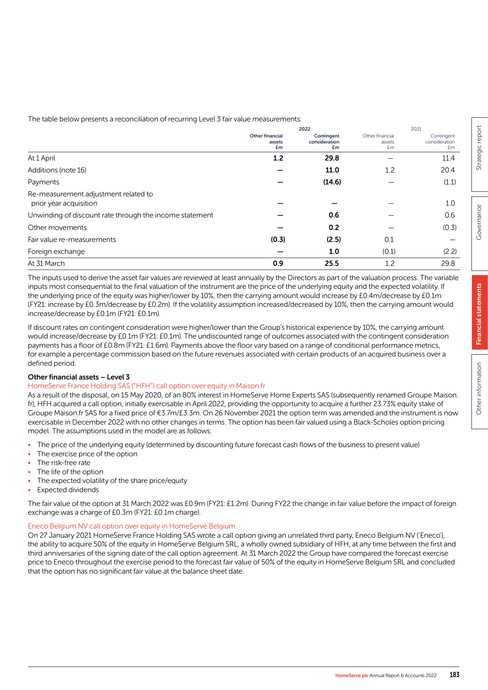The table below presents a reconciliation of recurring Level 3 fair value measurements:

|                                                                |                                 | 2022                              |                                        | 2021                              |
|----------------------------------------------------------------|---------------------------------|-----------------------------------|----------------------------------------|-----------------------------------|
|                                                                | Other financial<br>assets<br>£m | Contingent<br>consideration<br>£m | Other financial<br>assets<br><b>£m</b> | Contingent<br>consideration<br>£m |
| At 1 April                                                     | 1.2                             | 29.8                              |                                        | 11.4                              |
| Additions (note 16)                                            |                                 | 11.0                              | 1.2                                    | 20.4                              |
| Payments                                                       |                                 | (14.6)                            |                                        | (1.1)                             |
| Re-measurement adjustment related to<br>prior year acquisition |                                 |                                   |                                        | 1.0                               |
| Unwinding of discount rate through the income statement        |                                 | 0.6                               |                                        | 0.6                               |
| Other movements                                                |                                 | 0.2                               |                                        | (0.3)                             |
| Fair value re-measurements                                     | (0.3)                           | (2.5)                             | 0.1                                    |                                   |
| Foreign exchange                                               |                                 | 1.0                               | (0.1)                                  | (2.2)                             |
| At 31 March                                                    | 0.9                             | 25.5                              | 1.2                                    | 29.8                              |

The inputs used to derive the asset fair values are reviewed at least annually by the Directors as part of the valuation process. The variable inputs most consequential to the final valuation of the instrument are the price of the underlying equity and the expected volatility. If the underlying price of the equity was higher/lower by 10%, then the carrying amount would increase by £0.4m/decrease by £0.1m (FY21: increase by £0.3m/decrease by £0.2m). If the volatility assumption increased/decreased by 10%, then the carrying amount would increase/decrease by £0.1m (FY21: £0.1m).

If discount rates on contingent consideration were higher/lower than the Group's historical experience by 10%, the carrying amount would increase/decrease by £0.1m (FY21: £0.1m). The undiscounted range of outcomes associated with the contingent consideration payments has a floor of £0.8m (FY21: £1.6m). Payments above the floor vary based on a range of conditional performance metrics, for example a percentage commission based on the future revenues associated with certain products of an acquired business over a defined period.

#### Other financial assets – Level 3

#### HomeServe France Holding SAS ("HFH") call option over equity in Maison.fr

As a result of the disposal, on 15 May 2020, of an 80% interest in HomeServe Home Experts SAS (subsequently renamed Groupe Maison. fr), HFH acquired a call option, initially exercisable in April 2022, providing the opportunity to acquire a further 23.73% equity stake of Groupe Maison.fr SAS for a fixed price of €3.7m/£3.3m. On 26 November 2021 the option term was amended and the instrument is now exercisable in December 2022 with no other changes in terms. The option has been fair valued using a Black-Scholes option pricing model. The assumptions used in the model are as follows:

- The price of the underlying equity (determined by discounting future forecast cash flows of the business to present value)
- The exercise price of the option
- The risk-free rate
- The life of the option
- The expected volatility of the share price/equity
- Expected dividends

The fair value of the option at 31 March 2022 was £0.9m (FY21: £1.2m). During FY22 the change in fair value before the impact of foreign exchange was a charge of £0.3m (FY21: £0.1m charge).

#### Eneco Belgium NV call option over equity in HomeServe Belgium

On 27 January 2021 HomeServe France Holding SAS wrote a call option giving an unrelated third party, Eneco Belgium NV ('Eneco'), the ability to acquire 50% of the equity in HomeServe Belgium SRL, a wholly owned subsidiary of HFH, at any time between the first and third anniversaries of the signing date of the call option agreement. At 31 March 2022 the Group have compared the forecast exercise price to Eneco throughout the exercise period to the forecast fair value of 50% of the equity in HomeServe Belgium SRL and concluded that the option has no significant fair value at the balance sheet date.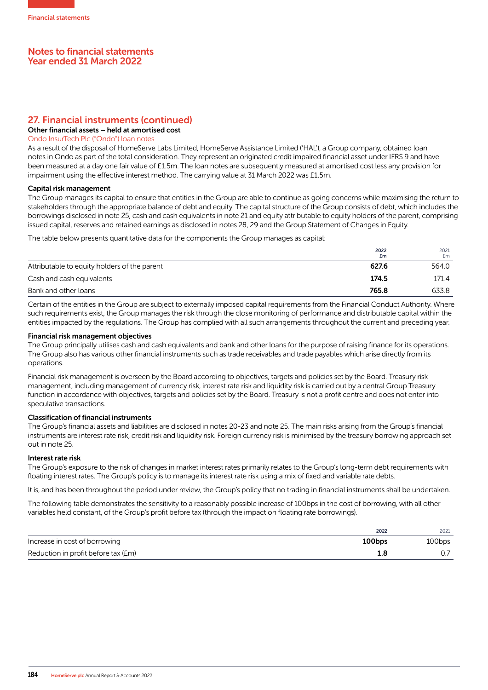## 27. Financial instruments (continued)

## Other financial assets – held at amortised cost

#### Ondo InsurTech Plc ("Ondo") loan notes

As a result of the disposal of HomeServe Labs Limited, HomeServe Assistance Limited ('HAL'), a Group company, obtained loan notes in Ondo as part of the total consideration. They represent an originated credit impaired financial asset under IFRS 9 and have been measured at a day one fair value of £1.5m. The loan notes are subsequently measured at amortised cost less any provision for impairment using the effective interest method. The carrying value at 31 March 2022 was £1.5m.

#### Capital risk management

The Group manages its capital to ensure that entities in the Group are able to continue as going concerns while maximising the return to stakeholders through the appropriate balance of debt and equity. The capital structure of the Group consists of debt, which includes the borrowings disclosed in note 25, cash and cash equivalents in note 21 and equity attributable to equity holders of the parent, comprising issued capital, reserves and retained earnings as disclosed in notes 28, 29 and the Group Statement of Changes in Equity.

The table below presents quantitative data for the components the Group manages as capital:

|                                              | 2022<br>£m | 2021<br>£m |
|----------------------------------------------|------------|------------|
| Attributable to equity holders of the parent | 627.6      | 564.0      |
| Cash and cash equivalents                    | 174.5      | 171 4      |
| Bank and other loans                         | 765.8      | 633.8      |

Certain of the entities in the Group are subject to externally imposed capital requirements from the Financial Conduct Authority. Where such requirements exist, the Group manages the risk through the close monitoring of performance and distributable capital within the entities impacted by the regulations. The Group has complied with all such arrangements throughout the current and preceding year.

#### Financial risk management objectives

The Group principally utilises cash and cash equivalents and bank and other loans for the purpose of raising finance for its operations. The Group also has various other financial instruments such as trade receivables and trade payables which arise directly from its operations.

Financial risk management is overseen by the Board according to objectives, targets and policies set by the Board. Treasury risk management, including management of currency risk, interest rate risk and liquidity risk is carried out by a central Group Treasury function in accordance with objectives, targets and policies set by the Board. Treasury is not a profit centre and does not enter into speculative transactions.

#### Classification of financial instruments

The Group's financial assets and liabilities are disclosed in notes 20-23 and note 25. The main risks arising from the Group's financial instruments are interest rate risk, credit risk and liquidity risk. Foreign currency risk is minimised by the treasury borrowing approach set out in note 25.

#### Interest rate risk

The Group's exposure to the risk of changes in market interest rates primarily relates to the Group's long-term debt requirements with floating interest rates. The Group's policy is to manage its interest rate risk using a mix of fixed and variable rate debts.

It is, and has been throughout the period under review, the Group's policy that no trading in financial instruments shall be undertaken.

The following table demonstrates the sensitivity to a reasonably possible increase of 100bps in the cost of borrowing, with all other variables held constant, of the Group's profit before tax (through the impact on floating rate borrowings).

|                                     | 2022   | 2021   |
|-------------------------------------|--------|--------|
| Increase in cost of borrowing       | 100bps | 100bps |
| Reduction in profit before tax (Em) |        |        |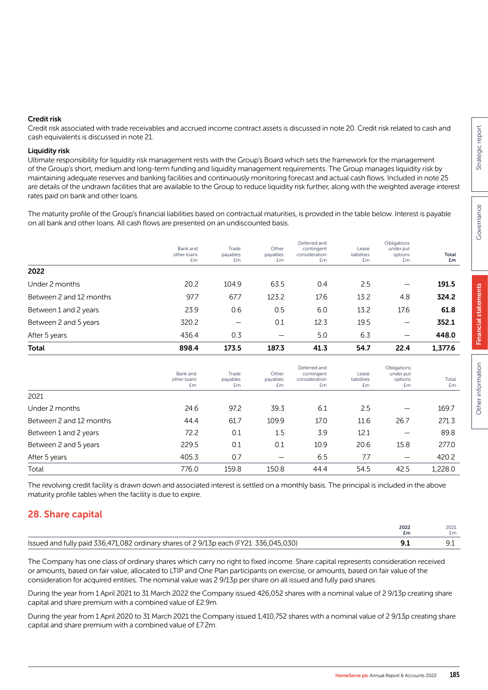#### Credit risk

Credit risk associated with trade receivables and accrued income contract assets is discussed in note 20. Credit risk related to cash and cash equivalents is discussed in note 21.

#### Liquidity risk

Ultimate responsibility for liquidity risk management rests with the Group's Board which sets the framework for the management of the Group's short, medium and long-term funding and liquidity management requirements. The Group manages liquidity risk by maintaining adequate reserves and banking facilities and continuously monitoring forecast and actual cash flows. Included in note 25 are details of the undrawn facilities that are available to the Group to reduce liquidity risk further, along with the weighted average interest rates paid on bank and other loans.

The maturity profile of the Group's financial liabilities based on contractual maturities, is provided in the table below. Interest is payable on all bank and other loans. All cash flows are presented on an undiscounted basis.

|                         | Bank and<br>other loans<br>£m | Trade<br>payables<br>£m  | Other<br>payables<br>£m | Deferred and<br>contingent<br>consideration<br>£m | Lease<br>liabilities<br>£m | Obligations<br>under put<br>options<br>£m | Total<br>£m |
|-------------------------|-------------------------------|--------------------------|-------------------------|---------------------------------------------------|----------------------------|-------------------------------------------|-------------|
| 2022                    |                               |                          |                         |                                                   |                            |                                           |             |
| Under 2 months          | 20.2                          | 104.9                    | 63.5                    | 0.4                                               | 2.5                        |                                           | 191.5       |
| Between 2 and 12 months | 97.7                          | 67.7                     | 123.2                   | 17.6                                              | 13.2                       | 4.8                                       | 324.2       |
| Between 1 and 2 years   | 23.9                          | 0.6                      | 0.5                     | 6.0                                               | 13.2                       | 17.6                                      | 61.8        |
| Between 2 and 5 years   | 320.2                         | $\overline{\phantom{0}}$ | 0.1                     | 12.3                                              | 19.5                       |                                           | 352.1       |
| After 5 years           | 436.4                         | 0.3                      |                         | 5.0                                               | 6.3                        |                                           | 448.0       |
| <b>Total</b>            | 898.4                         | 173.5                    | 187.3                   | 41.3                                              | 54.7                       | 22.4                                      | 1.377.6     |

|                         | Bank and<br>other loans<br>£m | Trade<br>payables<br>£m | Other<br>payables<br>£m | Deferred and<br>contingent<br>consideration<br>£m | Lease<br>liabilities<br>£m | Obligations<br>under put<br>options<br>£m | Total<br>£m |
|-------------------------|-------------------------------|-------------------------|-------------------------|---------------------------------------------------|----------------------------|-------------------------------------------|-------------|
| 2021                    |                               |                         |                         |                                                   |                            |                                           |             |
| Under 2 months          | 24.6                          | 97.2                    | 39.3                    | 6.1                                               | 2.5                        |                                           | 169.7       |
| Between 2 and 12 months | 44.4                          | 61.7                    | 109.9                   | 17.0                                              | 11.6                       | 26.7                                      | 271.3       |
| Between 1 and 2 years   | 72.2                          | 0.1                     | 1.5                     | 3.9                                               | 12.1                       |                                           | 89.8        |
| Between 2 and 5 years   | 229.5                         | 0.1                     | 0.1                     | 10.9                                              | 20.6                       | 15.8                                      | 277.0       |
| After 5 years           | 405.3                         | 0.7                     |                         | 6.5                                               | 7.7                        |                                           | 420.2       |
| Total                   | 776.0                         | 159.8                   | 150.8                   | 44.4                                              | 54.5                       | 42.5                                      | 1,228.0     |

The revolving credit facility is drawn down and associated interest is settled on a monthly basis. The principal is included in the above maturity profile tables when the facility is due to expire.

## 28. Share capital

|                                                                                       | 2022 | 2021 |
|---------------------------------------------------------------------------------------|------|------|
|                                                                                       | £m   | +m   |
| Issued and fully paid 336,471,082 ordinary shares of 2 9/13p each (FY21: 336,045,030) |      |      |

The Company has one class of ordinary shares which carry no right to fixed income. Share capital represents consideration received or amounts, based on fair value, allocated to LTIP and One Plan participants on exercise, or amounts, based on fair value of the consideration for acquired entities. The nominal value was 2 9/13p per share on all issued and fully paid shares.

During the year from 1 April 2021 to 31 March 2022 the Company issued 426,052 shares with a nominal value of 2 9/13p creating share capital and share premium with a combined value of £2.9m.

During the year from 1 April 2020 to 31 March 2021 the Company issued 1,410,752 shares with a nominal value of 2 9/13p creating share capital and share premium with a combined value of £7.2m.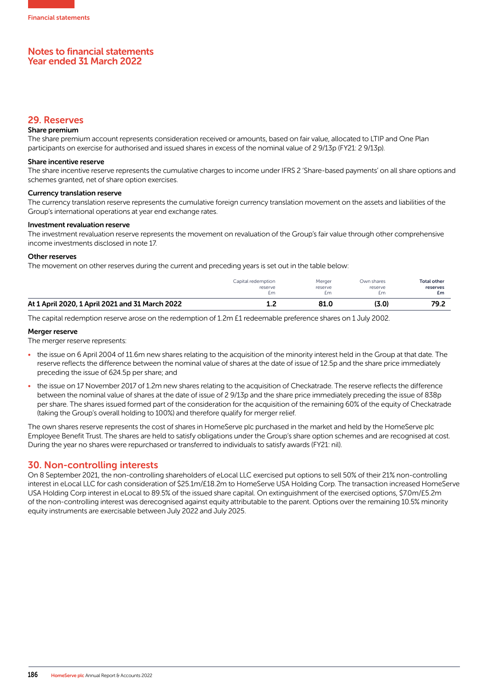## 29. Reserves

#### Share premium

The share premium account represents consideration received or amounts, based on fair value, allocated to LTIP and One Plan participants on exercise for authorised and issued shares in excess of the nominal value of 2 9/13p (FY21: 2 9/13p).

#### Share incentive reserve

The share incentive reserve represents the cumulative charges to income under IFRS 2 'Share-based payments' on all share options and schemes granted, net of share option exercises.

#### Currency translation reserve

The currency translation reserve represents the cumulative foreign currency translation movement on the assets and liabilities of the Group's international operations at year end exchange rates.

#### Investment revaluation reserve

The investment revaluation reserve represents the movement on revaluation of the Group's fair value through other comprehensive income investments disclosed in note 17.

#### Other reserves

The movement on other reserves during the current and preceding years is set out in the table below:

|                                                 | Capital redemption | Merger  | Own shares | <b>Total other</b> |
|-------------------------------------------------|--------------------|---------|------------|--------------------|
|                                                 | reserve            | reserve | reserve    | reserves           |
|                                                 | Łт                 | £т      | £m         | £m                 |
| At 1 April 2020, 1 April 2021 and 31 March 2022 | ---                | 81.C    | (3.0،      | 70 2               |

The capital redemption reserve arose on the redemption of 1.2m £1 redeemable preference shares on 1 July 2002.

#### Merger reserve

The merger reserve represents:

- the issue on 6 April 2004 of 11.6m new shares relating to the acquisition of the minority interest held in the Group at that date. The reserve reflects the difference between the nominal value of shares at the date of issue of 12.5p and the share price immediately preceding the issue of 624.5p per share; and
- the issue on 17 November 2017 of 1.2m new shares relating to the acquisition of Checkatrade. The reserve reflects the difference between the nominal value of shares at the date of issue of 2 9/13p and the share price immediately preceding the issue of 838p per share. The shares issued formed part of the consideration for the acquisition of the remaining 60% of the equity of Checkatrade (taking the Group's overall holding to 100%) and therefore qualify for merger relief.

The own shares reserve represents the cost of shares in HomeServe plc purchased in the market and held by the HomeServe plc Employee Benefit Trust. The shares are held to satisfy obligations under the Group's share option schemes and are recognised at cost. During the year no shares were repurchased or transferred to individuals to satisfy awards (FY21: nil).

## 30. Non-controlling interests

On 8 September 2021, the non-controlling shareholders of eLocal LLC exercised put options to sell 50% of their 21% non-controlling interest in eLocal LLC for cash consideration of \$25.1m/£18.2m to HomeServe USA Holding Corp. The transaction increased HomeServe USA Holding Corp interest in eLocal to 89.5% of the issued share capital. On extinguishment of the exercised options, \$7.0m/£5.2m of the non-controlling interest was derecognised against equity attributable to the parent. Options over the remaining 10.5% minority equity instruments are exercisable between July 2022 and July 2025.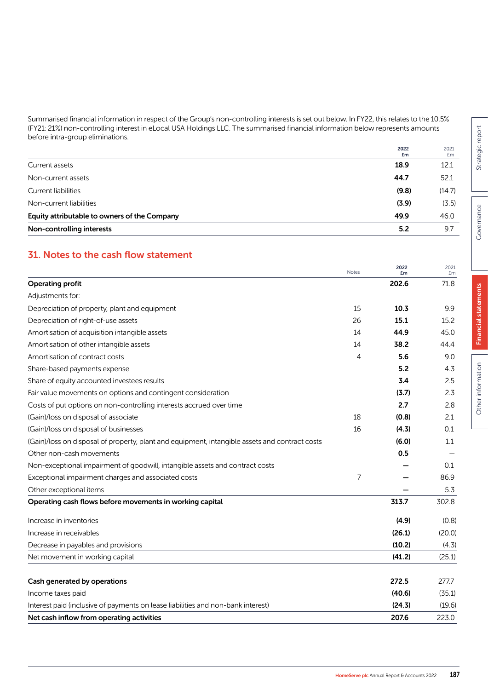Summarised financial information in respect of the Group's non-controlling interests is set out below. In FY22, this relates to the 10.5% (FY21: 21%) non-controlling interest in eLocal USA Holdings LLC. The summarised financial information below represents amounts before intra-group eliminations.

|                                              | 2022<br>£m | 2021<br>£m |
|----------------------------------------------|------------|------------|
| Current assets                               | 18.9       | 12.1       |
| Non-current assets                           | 44.7       | 52.1       |
| Current liabilities                          | (9.8)      | (14.7)     |
| Non-current liabilities                      | (3.9)      | (3.5)      |
| Equity attributable to owners of the Company | 49.9       | 46.0       |
| Non-controlling interests                    | 5.2        | 9.7        |

## 31. Notes to the cash flow statement

|                                                                                                | Notes | 2022<br>£m | 2021<br>£m |
|------------------------------------------------------------------------------------------------|-------|------------|------------|
| <b>Operating profit</b>                                                                        |       | 202.6      | 71.8       |
| Adjustments for:                                                                               |       |            |            |
| Depreciation of property, plant and equipment                                                  | 15    | 10.3       | 99         |
| Depreciation of right-of-use assets                                                            | 26    | 15.1       | 15.2       |
| Amortisation of acquisition intangible assets                                                  | 14    | 44.9       | 45.0       |
| Amortisation of other intangible assets                                                        | 14    | 38.2       | 44.4       |
| Amortisation of contract costs                                                                 | 4     | 5.6        | 9.0        |
| Share-based payments expense                                                                   |       | 5.2        | 4.3        |
| Share of equity accounted investees results                                                    |       | 3.4        | 2.5        |
| Fair value movements on options and contingent consideration                                   |       | (3.7)      | 2.3        |
| Costs of put options on non-controlling interests accrued over time                            |       | 2.7        | 2.8        |
| (Gain)/loss on disposal of associate                                                           | 18    | (0.8)      | 2.1        |
| (Gain)/loss on disposal of businesses                                                          | 16    | (4.3)      | 0.1        |
| (Gain)/loss on disposal of property, plant and equipment, intangible assets and contract costs |       | (6.0)      | 1.1        |
| Other non-cash movements                                                                       |       | 0.5        |            |
| Non-exceptional impairment of goodwill, intangible assets and contract costs                   |       |            | 0.1        |
| Exceptional impairment charges and associated costs                                            | 7     |            | 86.9       |
| Other exceptional items                                                                        |       |            | 5.3        |
| Operating cash flows before movements in working capital                                       |       | 313.7      | 302.8      |
| Increase in inventories                                                                        |       | (4.9)      | (0.8)      |
| Increase in receivables                                                                        |       | (26.1)     | (20.0)     |
| Decrease in payables and provisions                                                            |       | (10.2)     | (4.3)      |
| Net movement in working capital                                                                |       | (41.2)     | (25.1)     |
| Cash generated by operations                                                                   |       | 272.5      | 277.7      |
| Income taxes paid                                                                              |       | (40.6)     | (35.1)     |
| Interest paid (inclusive of payments on lease liabilities and non-bank interest)               |       | (24.3)     | (19.6)     |
| Net cash inflow from operating activities                                                      |       | 207.6      | 223.0      |

Strategic report Governance ||<br>Strategic report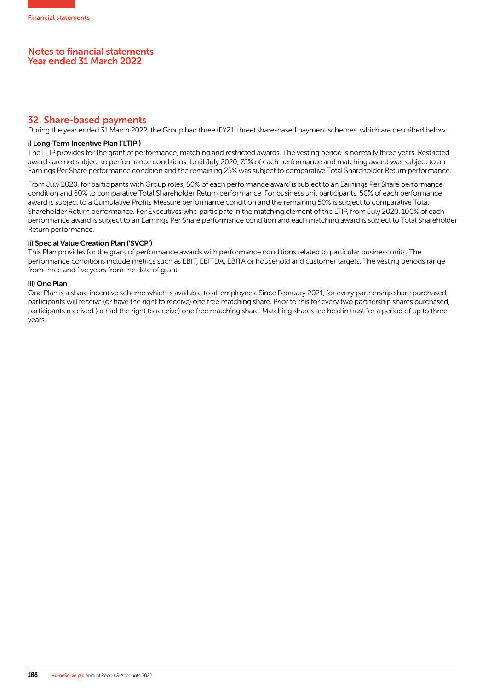## 32. Share-based payments

During the year ended 31 March 2022, the Group had three (FY21: three) share-based payment schemes, which are described below:

#### i) Long-Term Incentive Plan ('LTIP')

The LTIP provides for the grant of performance, matching and restricted awards. The vesting period is normally three years. Restricted awards are not subject to performance conditions. Until July 2020, 75% of each performance and matching award was subject to an Earnings Per Share performance condition and the remaining 25% was subject to comparative Total Shareholder Return performance.

From July 2020, for participants with Group roles, 50% of each performance award is subject to an Earnings Per Share performance condition and 50% to comparative Total Shareholder Return performance. For business unit participants, 50% of each performance award is subject to a Cumulative Profits Measure performance condition and the remaining 50% is subject to comparative Total Shareholder Return performance. For Executives who participate in the matching element of the LTIP, from July 2020, 100% of each performance award is subject to an Earnings Per Share performance condition and each matching award is subject to Total Shareholder Return performance.

#### ii) Special Value Creation Plan ('SVCP')

This Plan provides for the grant of performance awards with performance conditions related to particular business units. The performance conditions include metrics such as EBIT, EBITDA, EBITA or household and customer targets. The vesting periods range from three and five years from the date of grant.

#### iii) One Plan

One Plan is a share incentive scheme which is available to all employees. Since February 2021, for every partnership share purchased, participants will receive (or have the right to receive) one free matching share. Prior to this for every two partnership shares purchased participants received (or had the right to receive) one free matching share. Matching shares are held in trust for a period of up to three years.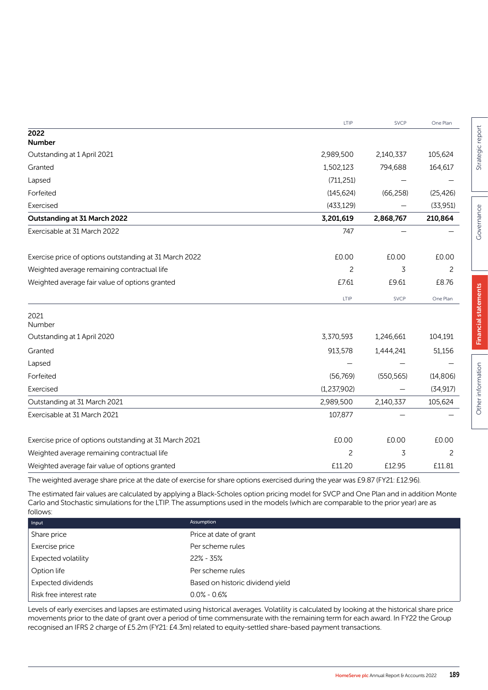|                                                        | LTIP        | <b>SVCP</b> | One Plan  |
|--------------------------------------------------------|-------------|-------------|-----------|
| 2022<br><b>Number</b>                                  |             |             |           |
| Outstanding at 1 April 2021                            | 2,989,500   | 2,140,337   | 105,624   |
| Granted                                                | 1,502,123   | 794,688     | 164,617   |
| Lapsed                                                 | (711, 251)  |             |           |
| Forfeited                                              | (145, 624)  | (66, 258)   | (25, 426) |
| Exercised                                              | (433, 129)  |             | (33,951)  |
| Outstanding at 31 March 2022                           | 3,201,619   | 2,868,767   | 210,864   |
| Exercisable at 31 March 2022                           | 747         |             |           |
| Exercise price of options outstanding at 31 March 2022 | £0.00       | £0.00       | £0.00     |
| Weighted average remaining contractual life            | 2           | 3           | 2         |
| Weighted average fair value of options granted         | £7.61       | £9.61       | £8.76     |
|                                                        | LTIP        | <b>SVCP</b> | One Plan  |
| 2021<br>Number                                         |             |             |           |
| Outstanding at 1 April 2020                            | 3,370,593   | 1,246,661   | 104,191   |
| Granted                                                | 913,578     | 1,444,241   | 51,156    |
| Lapsed                                                 |             |             |           |
| Forfeited                                              | (56, 769)   | (550, 565)  | (14, 806) |
| Exercised                                              | (1,237,902) |             | (34, 917) |
| Outstanding at 31 March 2021                           | 2,989,500   | 2,140,337   | 105,624   |
| Exercisable at 31 March 2021                           | 107,877     |             |           |
| Exercise price of options outstanding at 31 March 2021 | £0.00       | £0.00       | £0.00     |
| Weighted average remaining contractual life            | 2           | 3           | 2         |
| Weighted average fair value of options granted         | £11.20      | £12.95      | £11.81    |

The weighted average share price at the date of exercise for share options exercised during the year was £9.87 (FY21: £12.96).

The estimated fair values are calculated by applying a Black-Scholes option pricing model for SVCP and One Plan and in addition Monte Carlo and Stochastic simulations for the LTIP. The assumptions used in the models (which are comparable to the prior year) are as follows:

| Input                   | Assumption                       |
|-------------------------|----------------------------------|
| Share price             | Price at date of grant           |
| Exercise price          | Per scheme rules                 |
| Expected volatility     | $22\% - 35\%$                    |
| Option life             | Per scheme rules                 |
| Expected dividends      | Based on historic dividend yield |
| Risk free interest rate | $0.0\% - 0.6\%$                  |

Levels of early exercises and lapses are estimated using historical averages. Volatility is calculated by looking at the historical share price movements prior to the date of grant over a period of time commensurate with the remaining term for each award. In FY22 the Group recognised an IFRS 2 charge of £5.2m (FY21: £4.3m) related to equity-settled share-based payment transactions.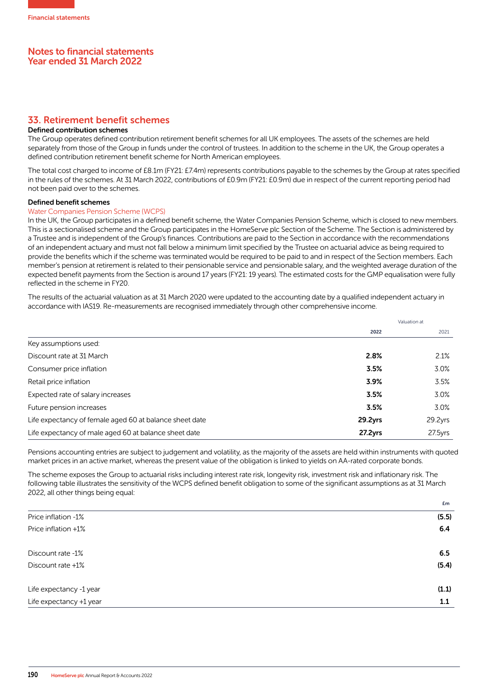## 33. Retirement benefit schemes

#### Defined contribution schemes

The Group operates defined contribution retirement benefit schemes for all UK employees. The assets of the schemes are held separately from those of the Group in funds under the control of trustees. In addition to the scheme in the UK, the Group operates a defined contribution retirement benefit scheme for North American employees.

The total cost charged to income of £8.1m (FY21: £7.4m) represents contributions payable to the schemes by the Group at rates specified in the rules of the schemes. At 31 March 2022, contributions of £0.9m (FY21: £0.9m) due in respect of the current reporting period had not been paid over to the schemes.

#### Defined benefit schemes

#### Water Companies Pension Scheme (WCPS)

In the UK, the Group participates in a defined benefit scheme, the Water Companies Pension Scheme, which is closed to new members. This is a sectionalised scheme and the Group participates in the HomeServe plc Section of the Scheme. The Section is administered by a Trustee and is independent of the Group's finances. Contributions are paid to the Section in accordance with the recommendations of an independent actuary and must not fall below a minimum limit specified by the Trustee on actuarial advice as being required to provide the benefits which if the scheme was terminated would be required to be paid to and in respect of the Section members. Each member's pension at retirement is related to their pensionable service and pensionable salary, and the weighted average duration of the expected benefit payments from the Section is around 17 years (FY21: 19 years). The estimated costs for the GMP equalisation were fully reflected in the scheme in FY20.

The results of the actuarial valuation as at 31 March 2020 were updated to the accounting date by a qualified independent actuary in accordance with IAS19. Re-measurements are recognised immediately through other comprehensive income.

|                                                         | Valuation at |         |
|---------------------------------------------------------|--------------|---------|
|                                                         | 2022         | 2021    |
| Key assumptions used:                                   |              |         |
| Discount rate at 31 March                               | 2.8%         | $2.1\%$ |
| Consumer price inflation                                | 3.5%         | 3.0%    |
| Retail price inflation                                  | 3.9%         | 3.5%    |
| Expected rate of salary increases                       | 3.5%         | 3.0%    |
| Future pension increases                                | 3.5%         | 3.0%    |
| Life expectancy of female aged 60 at balance sheet date | $29.2$ yrs   | 29.2yrs |
| Life expectancy of male aged 60 at balance sheet date   | 27.2yrs      | 27.5yrs |

Pensions accounting entries are subject to judgement and volatility, as the majority of the assets are held within instruments with quoted market prices in an active market, whereas the present value of the obligation is linked to yields on AA-rated corporate bonds.

The scheme exposes the Group to actuarial risks including interest rate risk, longevity risk, investment risk and inflationary risk. The following table illustrates the sensitivity of the WCPS defined benefit obligation to some of the significant assumptions as at 31 March 2022, all other things being equal:

| £m    |
|-------|
| (5.5) |
| 6.4   |
| 6.5   |
| (5.4) |
| (1.1) |
| 1.1   |
|       |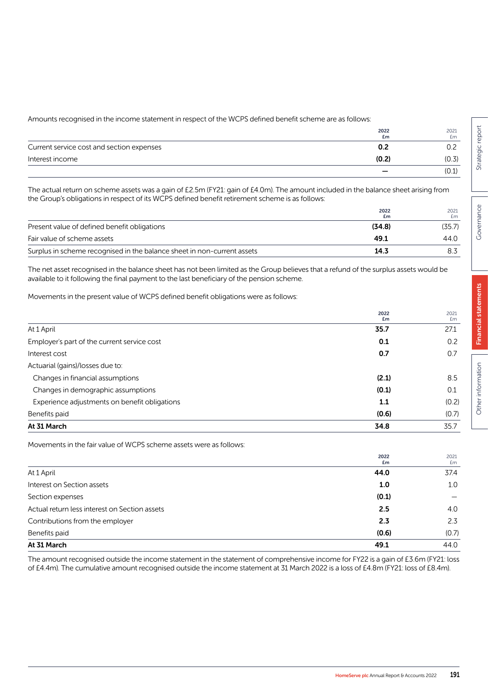#### Amounts recognised in the income statement in respect of the WCPS defined benefit scheme are as follows:

|                                           | 2022<br>£m | 2021<br>£m |
|-------------------------------------------|------------|------------|
| Current service cost and section expenses | 0.2        | 0.2        |
| Interest income                           | (0.2)      | (0.3)      |
|                                           | --         | (0.1)      |

The actual return on scheme assets was a gain of £2.5m (FY21: gain of £4.0m). The amount included in the balance sheet arising from the Group's obligations in respect of its WCPS defined benefit retirement scheme is as follows:

|                                                                         | 2022<br>£m | 2021<br>£m |
|-------------------------------------------------------------------------|------------|------------|
| Present value of defined benefit obligations                            | (34.8)     | (35.7)     |
| Fair value of scheme assets                                             | 49.1       | 44.0       |
| Surplus in scheme recognised in the balance sheet in non-current assets | 14.3       | 8.3        |

The net asset recognised in the balance sheet has not been limited as the Group believes that a refund of the surplus assets would be available to it following the final payment to the last beneficiary of the pension scheme.

Movements in the present value of WCPS defined benefit obligations were as follows:

|                                               | 2022  | 2021  |
|-----------------------------------------------|-------|-------|
|                                               | £m    | £m    |
| At 1 April                                    | 35.7  | 27.1  |
| Employer's part of the current service cost   | 0.1   | 0.2   |
| Interest cost                                 | 0.7   | 0.7   |
| Actuarial (gains)/losses due to:              |       |       |
| Changes in financial assumptions              | (2.1) | 8.5   |
| Changes in demographic assumptions            | (0.1) | 0.1   |
| Experience adjustments on benefit obligations | 1.1   | (0.2) |
| Benefits paid                                 | (0.6) | (0.7) |
| At 31 March                                   | 34.8  | 35.7  |

Movements in the fair value of WCPS scheme assets were as follows:

|                                               | 2022<br>£m | 2021<br>£m |
|-----------------------------------------------|------------|------------|
| At 1 April                                    | 44.0       | 37.4       |
| Interest on Section assets                    | 1.0        | 1.0        |
| Section expenses                              | (0.1)      |            |
| Actual return less interest on Section assets | 2.5        | 4.0        |
| Contributions from the employer               | 2.3        | 2.3        |
| Benefits paid                                 | (0.6)      | (0.7)      |
| At 31 March                                   | 49.1       | 44.0       |

The amount recognised outside the income statement in the statement of comprehensive income for FY22 is a gain of £3.6m (FY21: loss of £4.4m). The cumulative amount recognised outside the income statement at 31 March 2022 is a loss of £4.8m (FY21: loss of £8.4m).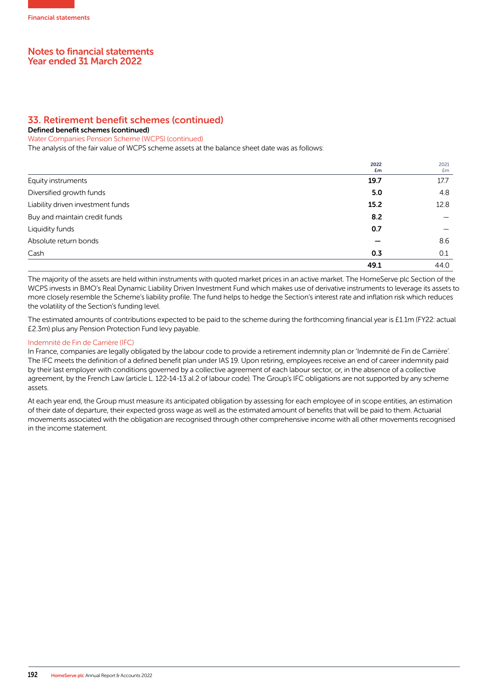## 33. Retirement benefit schemes (continued)

#### Defined benefit schemes (continued)

Water Companies Pension Scheme (WCPS) (continued)

The analysis of the fair value of WCPS scheme assets at the balance sheet date was as follows:

|                                   | 2022<br>£m | 2021<br><b>£m</b> |
|-----------------------------------|------------|-------------------|
| Equity instruments                | 19.7       | 17.7              |
| Diversified growth funds          | 5.0        | 4.8               |
| Liability driven investment funds | 15.2       | 12.8              |
| Buy and maintain credit funds     | 8.2        |                   |
| Liquidity funds                   | 0.7        |                   |
| Absolute return bonds             |            | 8.6               |
| Cash                              | 0.3        | 0.1               |
|                                   | 49.1       | 44.0              |

The majority of the assets are held within instruments with quoted market prices in an active market. The HomeServe plc Section of the WCPS invests in BMO's Real Dynamic Liability Driven Investment Fund which makes use of derivative instruments to leverage its assets to more closely resemble the Scheme's liability profile. The fund helps to hedge the Section's interest rate and inflation risk which reduces the volatility of the Section's funding level.

The estimated amounts of contributions expected to be paid to the scheme during the forthcoming financial year is £1.1m (FY22: actual £2.3m) plus any Pension Protection Fund levy payable.

#### Indemnité de Fin de Carrière (IFC)

In France, companies are legally obligated by the labour code to provide a retirement indemnity plan or 'Indemnité de Fin de Carrière'. The IFC meets the definition of a defined benefit plan under IAS 19. Upon retiring, employees receive an end of career indemnity paid by their last employer with conditions governed by a collective agreement of each labour sector, or, in the absence of a collective agreement, by the French Law (article L. 122-14-13 al.2 of labour code). The Group's IFC obligations are not supported by any scheme assets.

At each year end, the Group must measure its anticipated obligation by assessing for each employee of in scope entities, an estimation of their date of departure, their expected gross wage as well as the estimated amount of benefits that will be paid to them. Actuarial movements associated with the obligation are recognised through other comprehensive income with all other movements recognised in the income statement.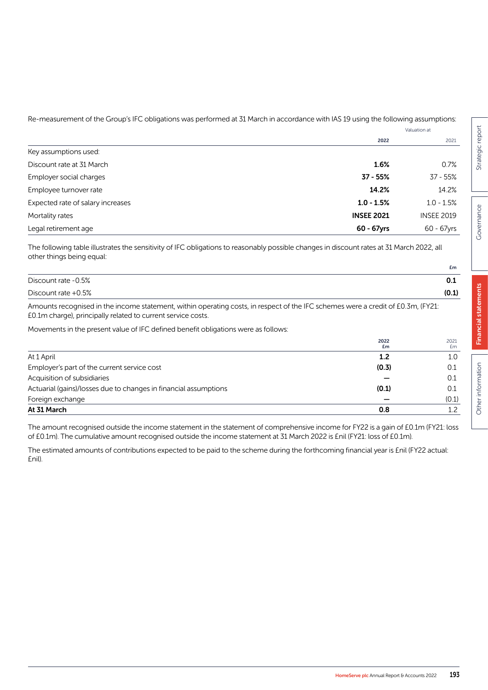#### Re-measurement of the Group's IFC obligations was performed at 31 March in accordance with IAS 19 using the following assumptions:

|                                   |                   | Valuation at      |            |
|-----------------------------------|-------------------|-------------------|------------|
|                                   | 2022              | 2021              | report     |
| Key assumptions used:             |                   |                   |            |
| Discount rate at 31 March         | 1.6%              | 0.7%              | Strategic  |
| Employer social charges           | $37 - 55%$        | $37 - 55%$        |            |
| Employee turnover rate            | 14.2%             | 14.2%             |            |
| Expected rate of salary increases | $1.0 - 1.5%$      | $1.0 - 1.5%$      |            |
| Mortality rates                   | <b>INSEE 2021</b> | <b>INSEE 2019</b> |            |
| Legal retirement age              | 60 - 67yrs        | 60 - 67yrs        | Governance |
|                                   |                   |                   |            |

The following table illustrates the sensitivity of IFC obligations to reasonably possible changes in discount rates at 31 March 2022, all other things being equal:

|                                                                                                                                                                                                  |            | £m         |
|--------------------------------------------------------------------------------------------------------------------------------------------------------------------------------------------------|------------|------------|
| Discount rate -0.5%                                                                                                                                                                              |            | 0.1        |
| Discount rate +0.5%                                                                                                                                                                              |            | (0.1)      |
| Amounts recognised in the income statement, within operating costs, in respect of the IFC schemes were a credit of £0.3m, (FY21:<br>£0.1m charge), principally related to current service costs. |            |            |
| Movements in the present value of IFC defined benefit obligations were as follows:                                                                                                               |            |            |
|                                                                                                                                                                                                  | 2022<br>£m | 2021<br>£m |
| At 1 April                                                                                                                                                                                       | 1.2        | 1.0        |
| Employer's part of the current service cost                                                                                                                                                      | (0.3)      | 0.1        |
| Acquisition of subsidiaries                                                                                                                                                                      |            | 0.1        |

| The communication of the design of the communication of communications of the COA to communicate $\ell \in \mathsf{C}\cap A$ or $\ell \in \mathsf{C}\cap A$ . In $\ell \in \mathsf{C}\cap A$ |       |
|----------------------------------------------------------------------------------------------------------------------------------------------------------------------------------------------|-------|
| At 31 March                                                                                                                                                                                  |       |
| Foreign exchange                                                                                                                                                                             | (0.1) |
| Actuarial (gains)/losses due to changes in financial assumptions                                                                                                                             |       |

The amount recognised outside the income statement in the statement of comprehensive income for FY22 is a gain of £0.1m (FY21: loss of £0.1m). The cumulative amount recognised outside the income statement at 31 March 2022 is £nil (FY21: loss of £0.1m).

The estimated amounts of contributions expected to be paid to the scheme during the forthcoming financial year is £nil (FY22 actual: £nil).

Strategic report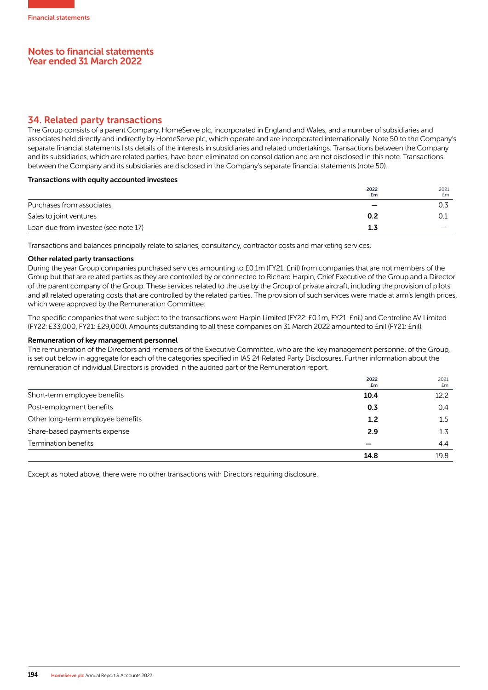## 34. Related party transactions

The Group consists of a parent Company, HomeServe plc, incorporated in England and Wales, and a number of subsidiaries and associates held directly and indirectly by HomeServe plc, which operate and are incorporated internationally. Note 50 to the Company's separate financial statements lists details of the interests in subsidiaries and related undertakings. Transactions between the Company and its subsidiaries, which are related parties, have been eliminated on consolidation and are not disclosed in this note. Transactions between the Company and its subsidiaries are disclosed in the Company's separate financial statements (note 50).

#### Transactions with equity accounted investees

|                                      | 2022<br>£m | 2021<br>£m |
|--------------------------------------|------------|------------|
| Purchases from associates            |            |            |
| Sales to joint ventures              | 0.2        |            |
| Loan due from investee (see note 17) |            |            |

Transactions and balances principally relate to salaries, consultancy, contractor costs and marketing services.

#### Other related party transactions

During the year Group companies purchased services amounting to £0.1m (FY21: £nil) from companies that are not members of the Group but that are related parties as they are controlled by or connected to Richard Harpin, Chief Executive of the Group and a Director of the parent company of the Group. These services related to the use by the Group of private aircraft, including the provision of pilots and all related operating costs that are controlled by the related parties. The provision of such services were made at arm's length prices, which were approved by the Remuneration Committee.

The specific companies that were subject to the transactions were Harpin Limited (FY22: £0.1m, FY21: £nil) and Centreline AV Limited (FY22: £33,000, FY21: £29,000). Amounts outstanding to all these companies on 31 March 2022 amounted to £nil (FY21: £nil).

#### Remuneration of key management personnel

The remuneration of the Directors and members of the Executive Committee, who are the key management personnel of the Group, is set out below in aggregate for each of the categories specified in IAS 24 Related Party Disclosures. Further information about the remuneration of individual Directors is provided in the audited part of the Remuneration report.

|                                   | 2022<br>£m | 2021<br>£m |
|-----------------------------------|------------|------------|
| Short-term employee benefits      | 10.4       | 12.2       |
| Post-employment benefits          | 0.3        | 0.4        |
| Other long-term employee benefits | 1.2        | 1.5        |
| Share-based payments expense      | 2.9        | 1.3        |
| Termination benefits              |            | 4.4        |
|                                   | 14.8       | 19.8       |

Except as noted above, there were no other transactions with Directors requiring disclosure.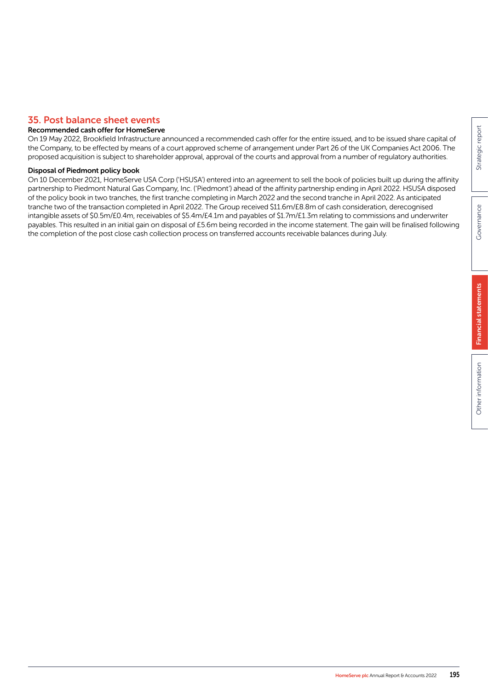## 35. Post balance sheet events

#### Recommended cash offer for HomeServe

On 19 May 2022, Brookfield Infrastructure announced a recommended cash offer for the entire issued, and to be issued share capital of the Company, to be effected by means of a court approved scheme of arrangement under Part 26 of the UK Companies Act 2006. The proposed acquisition is subject to shareholder approval, approval of the courts and approval from a number of regulatory authorities.

#### Disposal of Piedmont policy book

On 10 December 2021, HomeServe USA Corp ('HSUSA') entered into an agreement to sell the book of policies built up during the affinity partnership to Piedmont Natural Gas Company, Inc. ('Piedmont') ahead of the affinity partnership ending in April 2022. HSUSA disposed of the policy book in two tranches, the first tranche completing in March 2022 and the second tranche in April 2022. As anticipated tranche two of the transaction completed in April 2022. The Group received \$11.6m/£8.8m of cash consideration, derecognised intangible assets of \$0.5m/£0.4m, receivables of \$5.4m/£4.1m and payables of \$1.7m/£1.3m relating to commissions and underwriter payables. This resulted in an initial gain on disposal of £5.6m being recorded in the income statement. The gain will be finalised following the completion of the post close cash collection process on transferred accounts receivable balances during July.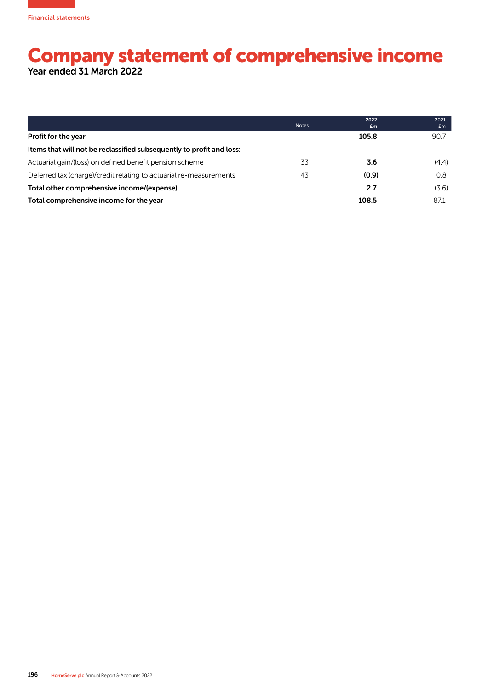# Company statement of comprehensive income Year ended 31 March 2022

2021 £m

Notes 2022 £m Profit for the year 90.7 Items that will not be reclassified subsequently to profit and loss: Actuarial gain/(loss) on defined benefit pension scheme 33 3.6 (4.4) Deferred tax (charge)/credit relating to actuarial re-measurements 43 (0.9) 0.8 Total other comprehensive income/(expense) 2.7 2.7 (3.6) Total comprehensive income for the year 108.5 and 108.5 and 108.5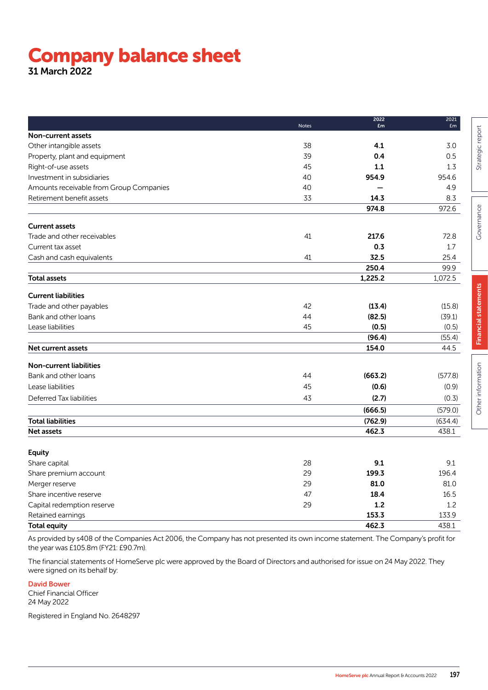# Company balance sheet

31 March 2022

|                                         |              | 2022    | 2021                         |
|-----------------------------------------|--------------|---------|------------------------------|
|                                         | <b>Notes</b> | £m      | £m                           |
| Non-current assets                      |              |         | Strategic report             |
| Other intangible assets                 | 38           | 4.1     | 3.0                          |
| Property, plant and equipment           | 39           | 0.4     | 0.5                          |
| Right-of-use assets                     | 45           | 1.1     | 1.3                          |
| Investment in subsidiaries              | 40           | 954.9   | 954.6                        |
| Amounts receivable from Group Companies | 40           |         | 4.9                          |
| Retirement benefit assets               | 33           | 14.3    | 8.3                          |
|                                         |              | 974.8   | 972.6                        |
| <b>Current assets</b>                   |              |         | Governance                   |
| Trade and other receivables             | 41           | 217.6   | 72.8                         |
| Current tax asset                       |              | 0.3     | 1.7                          |
| Cash and cash equivalents               | 41           | 32.5    | 25.4                         |
|                                         |              | 250.4   | 99.9                         |
| <b>Total assets</b>                     |              | 1,225.2 | 1,072.5                      |
| <b>Current liabilities</b>              |              |         | <b>Financial statements</b>  |
| Trade and other payables                | 42           | (13.4)  | (15.8)                       |
| Bank and other loans                    | 44           | (82.5)  | (39.1)                       |
| Lease liabilities                       | 45           | (0.5)   | (0.5)                        |
|                                         |              | (96.4)  | (55.4)                       |
| <b>Net current assets</b>               |              | 154.0   | 44.5                         |
| Non-current liabilities                 |              |         |                              |
| Bank and other loans                    | 44           | (663.2) | (577.8)                      |
| Lease liabilities                       | 45           | (0.6)   | (0.9)                        |
| Deferred Tax liabilities                | 43           | (2.7)   | (0.3)                        |
|                                         |              | (666.5) | Other information<br>(579.0) |
| <b>Total liabilities</b>                |              | (762.9) | (634.4)                      |
| <b>Net assets</b>                       |              | 462.3   | 438.1                        |
| <b>Equity</b>                           |              |         |                              |
| Share capital                           | 28           | 9.1     | 9.1                          |
| Share premium account                   | 29           | 199.3   | 196.4                        |
| Merger reserve                          | 29           | 81.0    | 81.0                         |
| Share incentive reserve                 | 47           | 18.4    | 16.5                         |
| Capital redemption reserve              | 29           | 1.2     | 1.2                          |
| Retained earnings                       |              | 153.3   | 133.9                        |
| <b>Total equity</b>                     |              | 462.3   | 438.1                        |
|                                         |              |         |                              |

As provided by s408 of the Companies Act 2006, the Company has not presented its own income statement. The Company's profit for the year was £105.8m (FY21: £90.7m).

The financial statements of HomeServe plc were approved by the Board of Directors and authorised for issue on 24 May 2022. They were signed on its behalf by:

David Bower

Chief Financial Officer 24 May 2022

Registered in England No. 2648297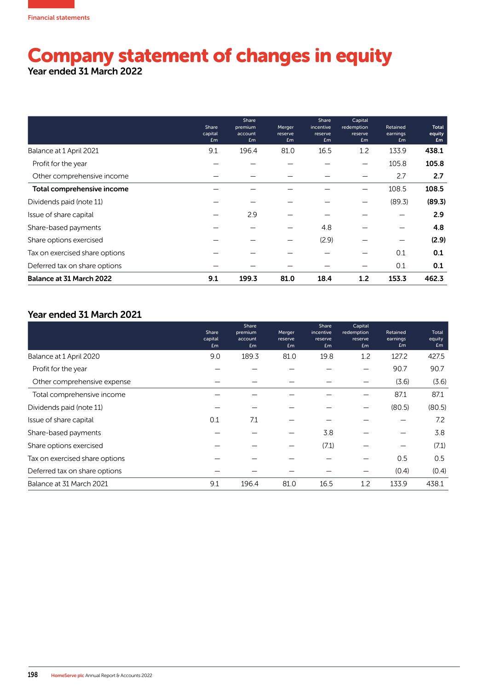# Company statement of changes in equity Year ended 31 March 2022

Share capital £m **Share** premium account £m Merger reserve £m  $S$ hare incentive reserve £m Capital redemption reserve £m Retained earnings £m Balance at 1 April 2021 196.4 81.0 16.5 1.2 133.9 438.1 Profit for the year  $105.8$  105.8 Other comprehensive income  $\qquad -$  2.7 2.7 Total comprehensive income  $\qquad \qquad \qquad \qquad \qquad \qquad \qquad \qquad \qquad \qquad \qquad \qquad 108.5$  108.5 Dividends paid (note 11)  $(89.3)$  (89.3) Issue of share capital  $\qquad \qquad -$  2.9  $\qquad \qquad \qquad \qquad -$  2.9 Share-based payments  $4.8$   $4.8$ Share options exercised  $(2.9)$   $(2.9)$ Tax on exercised share options  $\qquad \qquad \qquad \qquad \qquad \qquad \qquad 0.1$  0.1 Deferred tax on share options  $-$  0.1 0.1 Balance at 31 March 2022 9.1 199.3 81.0 18.4 1.2 153.3 462.3

Total equity £m

## Year ended 31 March 2021

|                                | Share<br>capital<br>Em | Share<br>premium<br>account<br>Em | Merger<br>reserve<br>£m | Share<br>incentive<br>reserve<br>Em | Capital<br>redemption<br>reserve<br>£m | Retained<br>earnings<br>£m | Total<br>equity<br>Em |
|--------------------------------|------------------------|-----------------------------------|-------------------------|-------------------------------------|----------------------------------------|----------------------------|-----------------------|
| Balance at 1 April 2020        | 9.0                    | 189.3                             | 81.0                    | 19.8                                | 1.2                                    | 127.2                      | 427.5                 |
| Profit for the year            |                        |                                   |                         |                                     |                                        | 90.7                       | 90.7                  |
| Other comprehensive expense    |                        |                                   |                         |                                     |                                        | (3.6)                      | (3.6)                 |
| Total comprehensive income     |                        |                                   |                         |                                     |                                        | 87.1                       | 87.1                  |
| Dividends paid (note 11)       |                        |                                   |                         |                                     |                                        | (80.5)                     | (80.5)                |
| Issue of share capital         | 0.1                    | 7.1                               |                         |                                     |                                        |                            | 7.2                   |
| Share-based payments           |                        |                                   |                         | 3.8                                 |                                        |                            | 3.8                   |
| Share options exercised        |                        |                                   |                         | (7.1)                               |                                        |                            | (7.1)                 |
| Tax on exercised share options |                        |                                   |                         |                                     |                                        | 0.5                        | 0.5                   |
| Deferred tax on share options  |                        |                                   |                         |                                     |                                        | (0.4)                      | (0.4)                 |
| Balance at 31 March 2021       | 9.1                    | 196.4                             | 81.0                    | 16.5                                | 1.2                                    | 133.9                      | 438.1                 |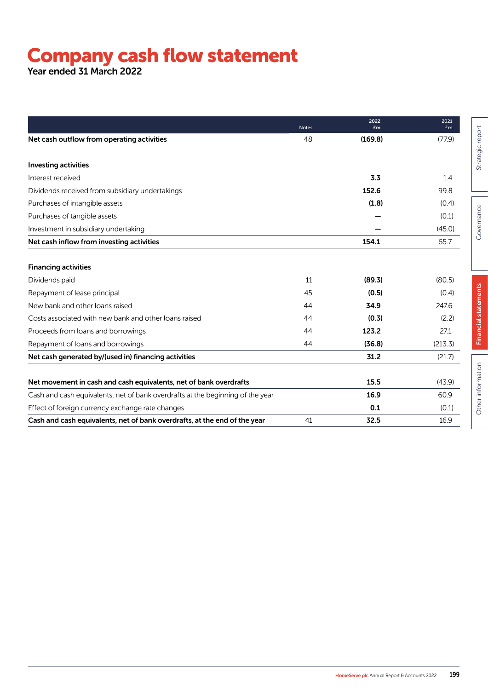# Company cash flow statement

Year ended 31 March 2022

|                                                                                | <b>Notes</b> | 2022<br>£m | 2021<br>£m                           |
|--------------------------------------------------------------------------------|--------------|------------|--------------------------------------|
| Net cash outflow from operating activities                                     | 48           | (169.8)    | Strategic report<br>(77.9)           |
| <b>Investing activities</b>                                                    |              |            |                                      |
| Interest received                                                              |              | 3.3        | 1.4                                  |
| Dividends received from subsidiary undertakings                                |              | 152.6      | 99.8                                 |
| Purchases of intangible assets                                                 |              | (1.8)      | (0.4)                                |
| Purchases of tangible assets                                                   |              |            | (0.1)                                |
| Investment in subsidiary undertaking                                           |              |            | Governance<br>(45.0)                 |
| Net cash inflow from investing activities                                      |              | 154.1      | 55.7                                 |
| <b>Financing activities</b>                                                    |              |            |                                      |
| Dividends paid                                                                 | 11           | (89.3)     | (80.5)                               |
| Repayment of lease principal                                                   | 45           | (0.5)      | <b>Financial statements</b><br>(0.4) |
| New bank and other loans raised                                                | 44           | 34.9       | 247.6                                |
| Costs associated with new bank and other loans raised                          | 44           | (0.3)      | (2.2)                                |
| Proceeds from loans and borrowings                                             | 44           | 123.2      | 27.1                                 |
| Repayment of loans and borrowings                                              | 44           | (36.8)     | (213.3)                              |
| Net cash generated by/(used in) financing activities                           |              | 31.2       | (21.7)                               |
| Net movement in cash and cash equivalents, net of bank overdrafts              |              | 15.5       | Other information<br>(43.9)          |
| Cash and cash equivalents, net of bank overdrafts at the beginning of the year |              | 16.9       | 60.9                                 |
| Effect of foreign currency exchange rate changes                               |              | 0.1        | (0.1)                                |
| Cash and cash equivalents, net of bank overdrafts, at the end of the year      | 41           | 32.5       | 16.9                                 |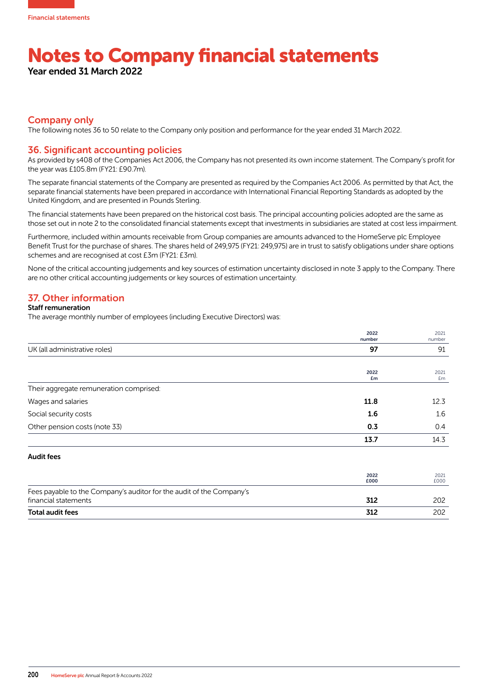# Notes to Company financial statements

Year ended 31 March 2022

## Company only

The following notes 36 to 50 relate to the Company only position and performance for the year ended 31 March 2022.

## 36. Significant accounting policies

As provided by s408 of the Companies Act 2006, the Company has not presented its own income statement. The Company's profit for the year was £105.8m (FY21: £90.7m).

The separate financial statements of the Company are presented as required by the Companies Act 2006. As permitted by that Act, the separate financial statements have been prepared in accordance with International Financial Reporting Standards as adopted by the United Kingdom, and are presented in Pounds Sterling.

The financial statements have been prepared on the historical cost basis. The principal accounting policies adopted are the same as those set out in note 2 to the consolidated financial statements except that investments in subsidiaries are stated at cost less impairment.

Furthermore, included within amounts receivable from Group companies are amounts advanced to the HomeServe plc Employee Benefit Trust for the purchase of shares. The shares held of 249,975 (FY21: 249,975) are in trust to satisfy obligations under share options schemes and are recognised at cost £3m (FY21: £3m).

None of the critical accounting judgements and key sources of estimation uncertainty disclosed in note 3 apply to the Company. There are no other critical accounting judgements or key sources of estimation uncertainty.

## 37. Other information

#### Staff remuneration

The average monthly number of employees (including Executive Directors) was:

|                                         | 2022<br>number | 2021<br>number |
|-----------------------------------------|----------------|----------------|
| UK (all administrative roles)           | 97             | 91             |
|                                         | 2022<br>£m     | 2021<br>£m     |
| Their aggregate remuneration comprised: |                |                |
| Wages and salaries                      | 11.8           | 12.3           |
| Social security costs                   | 1.6            | 1.6            |
| Other pension costs (note 33)           | 0.3            | 0.4            |
|                                         | 13.7           | 14.3           |

#### Audit fees

|                                                                      | 2022<br>£000 | 2021<br>£000 |
|----------------------------------------------------------------------|--------------|--------------|
| Fees payable to the Company's auditor for the audit of the Company's |              |              |
| financial statements                                                 | 312          | 202          |
| Total audit fees                                                     | 312          | 202          |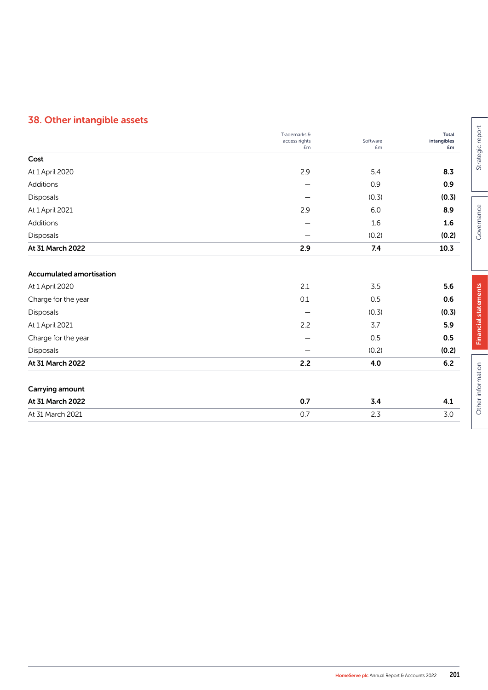## 38. Other intangible assets

| Trademarks & |               | <b>Total</b> |                             |
|--------------|---------------|--------------|-----------------------------|
| £m           | £m            | £m           |                             |
|              |               |              | Strategic report            |
| 2.9          | 5.4           | 8.3          |                             |
|              | 0.9           | 0.9          |                             |
|              | (0.3)         | (0.3)        |                             |
| 2.9          | 6.0           | 8.9          |                             |
|              | 1.6           | 1.6          | Governance                  |
|              | (0.2)         | (0.2)        |                             |
| 2.9          | 7.4           | 10.3         |                             |
|              |               |              |                             |
| 2.1          | 3.5           | 5.6          |                             |
| 0.1          | 0.5           | 0.6          | <b>Financial statements</b> |
|              | (0.3)         | (0.3)        |                             |
| 2.2          | 3.7           | 5.9          |                             |
|              | 0.5           | 0.5          |                             |
|              | (0.2)         | (0.2)        |                             |
| 2.2          | 4.0           | $6.2$        |                             |
|              |               |              | Other information           |
| 0.7          | 3.4           | 4.1          |                             |
| 0.7          | 2.3           | 3.0          |                             |
|              | access rights | Software     | intangibles                 |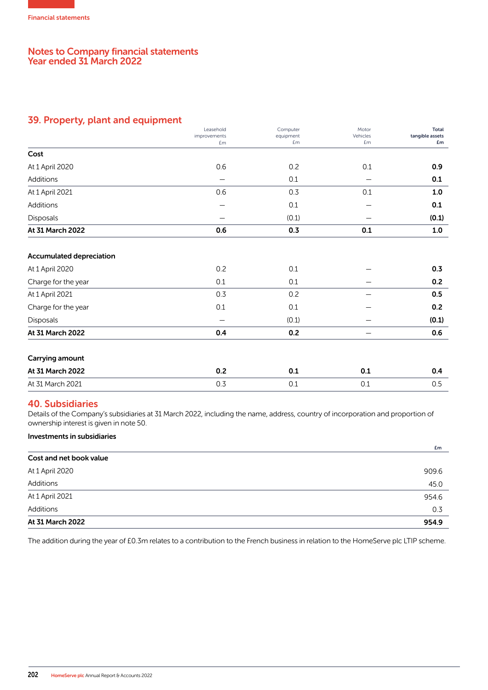

## 39. Property, plant and equipment

|                                 | Leasehold<br>improvements | Computer<br>equipment | Motor<br>Vehicles | Total<br>tangible assets |
|---------------------------------|---------------------------|-----------------------|-------------------|--------------------------|
|                                 | £m                        | £m                    | £m                | £m                       |
| Cost                            |                           |                       |                   |                          |
| At 1 April 2020                 | 0.6                       | 0.2                   | 0.1               | 0.9                      |
| Additions                       | -                         | 0.1                   |                   | $0.1\,$                  |
| At 1 April 2021                 | 0.6                       | 0.3                   | 0.1               | 1.0                      |
| Additions                       | $\overline{\phantom{0}}$  | 0.1                   |                   | 0.1                      |
| Disposals                       |                           | (0.1)                 |                   | (0.1)                    |
| At 31 March 2022                | 0.6                       | 0.3                   | 0.1               | 1.0                      |
| <b>Accumulated depreciation</b> |                           |                       |                   |                          |
| At 1 April 2020                 | 0.2                       | 0.1                   |                   | 0.3                      |
| Charge for the year             | 0.1                       | 0.1                   |                   | 0.2                      |
| At 1 April 2021                 | 0.3                       | 0.2                   |                   | 0.5                      |
| Charge for the year             | 0.1                       | 0.1                   |                   | 0.2                      |
| Disposals                       |                           | (0.1)                 |                   | (0.1)                    |
| At 31 March 2022                | 0.4                       | 0.2                   |                   | 0.6                      |
| Carrying amount                 |                           |                       |                   |                          |
| At 31 March 2022                | 0.2                       | 0.1                   | 0.1               | 0.4                      |
| At 31 March 2021                | 0.3                       | 0.1                   | 0.1               | 0.5                      |
|                                 |                           |                       |                   |                          |

## 40. Subsidiaries

Details of the Company's subsidiaries at 31 March 2022, including the name, address, country of incorporation and proportion of ownership interest is given in note 50.

#### Investments in subsidiaries

|                         | £m    |
|-------------------------|-------|
| Cost and net book value |       |
| At 1 April 2020         | 909.6 |
| Additions               | 45.0  |
| At 1 April 2021         | 954.6 |
| Additions               | 0.3   |
| At 31 March 2022        | 954.9 |

The addition during the year of £0.3m relates to a contribution to the French business in relation to the HomeServe plc LTIP scheme.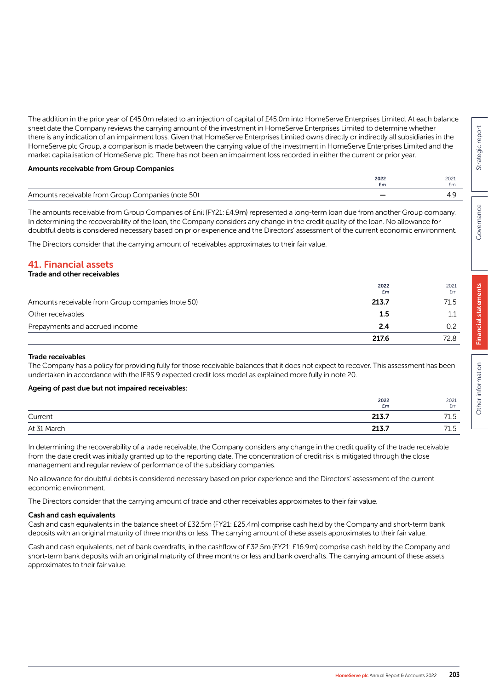The addition in the prior year of £45.0m related to an injection of capital of £45.0m into HomeServe Enterprises Limited. At each balance sheet date the Company reviews the carrying amount of the investment in HomeServe Enterprises Limited to determine whether there is any indication of an impairment loss. Given that HomeServe Enterprises Limited owns directly or indirectly all subsidiaries in the HomeServe plc Group, a comparison is made between the carrying value of the investment in HomeServe Enterprises Limited and the market capitalisation of HomeServe plc. There has not been an impairment loss recorded in either the current or prior year.

#### Amounts receivable from Group Companies

|                                                   | 2022<br>£m | 2021<br>£m |
|---------------------------------------------------|------------|------------|
| Amounts receivable from Group Companies (note 50) |            |            |

The amounts receivable from Group Companies of £nil (FY21: £4.9m) represented a long-term loan due from another Group company. In determining the recoverability of the loan, the Company considers any change in the credit quality of the loan. No allowance for doubtful debts is considered necessary based on prior experience and the Directors' assessment of the current economic environment.

The Directors consider that the carrying amount of receivables approximates to their fair value.

## 41. Financial assets

#### Trade and other receivables

|                                                   | 2022<br>£m | 2021<br>£m |
|---------------------------------------------------|------------|------------|
| Amounts receivable from Group companies (note 50) | 213.7      | 71.5       |
| Other receivables                                 | $1.5\,$    |            |
| Prepayments and accrued income                    | 2.4        |            |
|                                                   | 217.6      | 72 R       |

#### Trade receivables

The Company has a policy for providing fully for those receivable balances that it does not expect to recover. This assessment has been undertaken in accordance with the IFRS 9 expected credit loss model as explained more fully in note 20.

#### Ageing of past due but not impaired receivables:

|             | 2022<br>£m | 2021<br>£m   |
|-------------|------------|--------------|
| Current     | 213.7      | 71<br>∕ 3. 7 |
| At 31 March | 213.7      | 74<br>ن⊥ ⁄   |

In determining the recoverability of a trade receivable, the Company considers any change in the credit quality of the trade receivable from the date credit was initially granted up to the reporting date. The concentration of credit risk is mitigated through the close management and regular review of performance of the subsidiary companies.

No allowance for doubtful debts is considered necessary based on prior experience and the Directors' assessment of the current economic environment.

The Directors consider that the carrying amount of trade and other receivables approximates to their fair value.

#### Cash and cash equivalents

Cash and cash equivalents in the balance sheet of £32.5m (FY21: £25.4m) comprise cash held by the Company and short-term bank deposits with an original maturity of three months or less. The carrying amount of these assets approximates to their fair value.

Cash and cash equivalents, net of bank overdrafts, in the cashflow of £32.5m (FY21: £16.9m) comprise cash held by the Company and short-term bank deposits with an original maturity of three months or less and bank overdrafts. The carrying amount of these assets approximates to their fair value.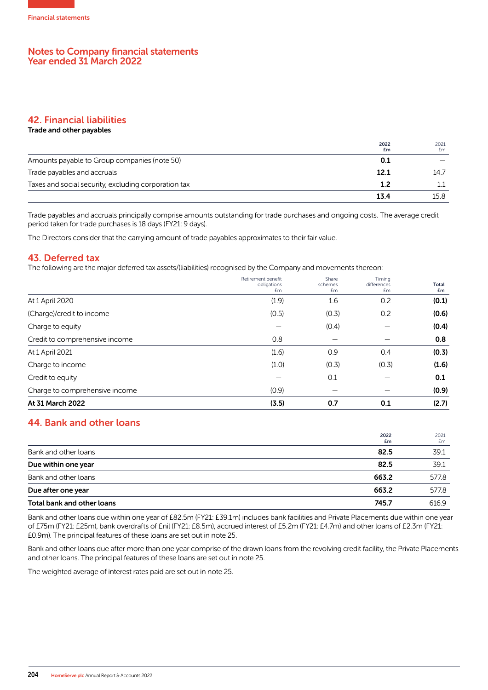## 42. Financial liabilities

Trade and other payables

|                                                      | 2022<br>£m | 2021<br>£m |
|------------------------------------------------------|------------|------------|
| Amounts payable to Group companies (note 50)         | 0.1        |            |
| Trade payables and accruals                          | 12.1       | 147        |
| Taxes and social security, excluding corporation tax | 1.2        | 11         |
|                                                      | 13.4       | 15.8       |

Trade payables and accruals principally comprise amounts outstanding for trade purchases and ongoing costs. The average credit period taken for trade purchases is 18 days (FY21: 9 days).

The Directors consider that the carrying amount of trade payables approximates to their fair value.

## 43. Deferred tax

The following are the major deferred tax assets/(liabilities) recognised by the Company and movements thereon:

|                                | Retirement benefit<br>obligations | Share<br>schemes | Timina<br>differences | <b>Total</b> |
|--------------------------------|-----------------------------------|------------------|-----------------------|--------------|
|                                | <b>£m</b>                         | <b>£m</b>        | <b>£m</b>             | £m           |
| At 1 April 2020                | (1.9)                             | 1.6              | 0.2                   | (0.1)        |
| (Charge)/credit to income      | (0.5)                             | (0.3)            | 0.2                   | (0.6)        |
| Charge to equity               |                                   | (0.4)            |                       | (0.4)        |
| Credit to comprehensive income | 0.8                               |                  |                       | 0.8          |
| At 1 April 2021                | (1.6)                             | 0.9              | 0.4                   | (0.3)        |
| Charge to income               | (1.0)                             | (0.3)            | (0.3)                 | (1.6)        |
| Credit to equity               |                                   | 0.1              |                       | 0.1          |
| Charge to comprehensive income | (0.9)                             |                  |                       | (0.9)        |
| At 31 March 2022               | (3.5)                             | 0.7              | 0.1                   | (2.7)        |

## 44. Bank and other loans

|                            | 2022<br>£m | 2021<br>£m |
|----------------------------|------------|------------|
| Bank and other loans       | 82.5       | 39.1       |
| Due within one year        | 82.5       | 39.1       |
| Bank and other loans       | 663.2      | 577.8      |
| Due after one year         | 663.2      | 577.8      |
| Total bank and other loans | 745.7      | 616.9      |

Bank and other loans due within one year of £82.5m (FY21: £39.1m) includes bank facilities and Private Placements due within one year of £75m (FY21: £25m), bank overdrafts of £nil (FY21: £8.5m), accrued interest of £5.2m (FY21: £4.7m) and other loans of £2.3m (FY21: £0.9m). The principal features of these loans are set out in note 25.

Bank and other loans due after more than one year comprise of the drawn loans from the revolving credit facility, the Private Placements and other loans. The principal features of these loans are set out in note 25.

The weighted average of interest rates paid are set out in note 25.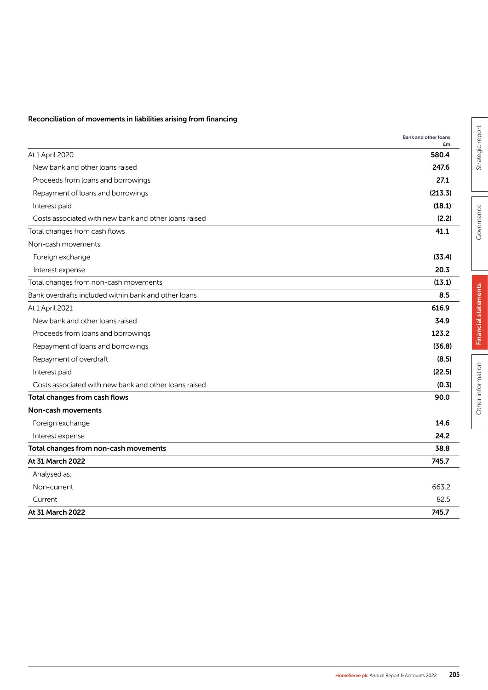## Reconciliation of movements in liabilities arising from financing

|                                                       | <b>Bank and other loans</b><br>£m |
|-------------------------------------------------------|-----------------------------------|
| At 1 April 2020                                       | 580.4                             |
| New bank and other loans raised                       | 247.6                             |
| Proceeds from loans and borrowings                    | 27.1                              |
| Repayment of loans and borrowings                     | (213.3)                           |
| Interest paid                                         | (18.1)                            |
| Costs associated with new bank and other loans raised | (2.2)                             |
| Total changes from cash flows                         | 41.1                              |
| Non-cash movements                                    |                                   |
| Foreign exchange                                      | (33.4)                            |
| Interest expense                                      | 20.3                              |
| Total changes from non-cash movements                 | (13.1)                            |
| Bank overdrafts included within bank and other loans  | 8.5                               |
| At 1 April 2021                                       | 616.9                             |
| New bank and other loans raised                       | 34.9                              |
| Proceeds from loans and borrowings                    | 123.2                             |
| Repayment of loans and borrowings                     | (36.8)                            |
| Repayment of overdraft                                | (8.5)                             |
| Interest paid                                         | (22.5)                            |
| Costs associated with new bank and other loans raised | (0.3)                             |
| Total changes from cash flows                         | 90.0                              |
| Non-cash movements                                    |                                   |
| Foreign exchange                                      | 14.6                              |
| Interest expense                                      | 24.2                              |
| Total changes from non-cash movements                 | 38.8                              |
| At 31 March 2022                                      | 745.7                             |
| Analysed as:                                          |                                   |
| Non-current                                           | 663.2                             |
| Current                                               | 82.5                              |
| At 31 March 2022                                      | 745.7                             |

Governance ||<br>Strategic report

Governance

Strategic report

Financial statements

**Financial statements** 

Other information

Other information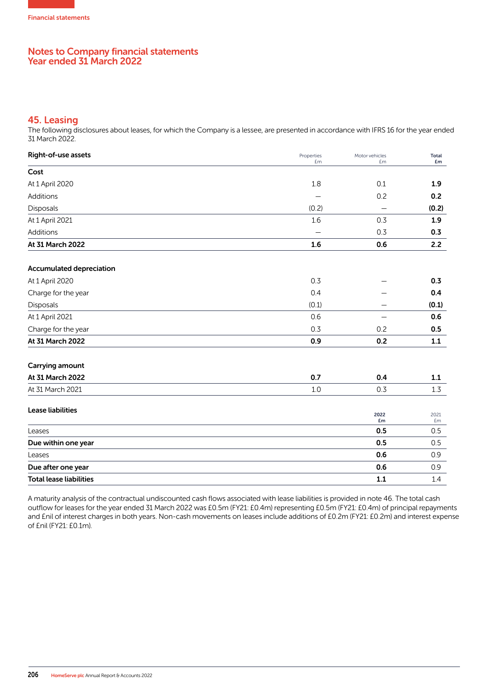## 45. Leasing

The following disclosures about leases, for which the Company is a lessee, are presented in accordance with IFRS 16 for the year ended 31 March 2022.

| Right-of-use assets             | Properties<br>£m | Motor vehicles<br>£m | Total<br>£m |
|---------------------------------|------------------|----------------------|-------------|
| Cost                            |                  |                      |             |
| At 1 April 2020                 | 1.8              | 0.1                  | 1.9         |
| <b>Additions</b>                |                  | 0.2                  | 0.2         |
| Disposals                       | (0.2)            |                      | (0.2)       |
| At 1 April 2021                 | 1.6              | 0.3                  | 1.9         |
| Additions                       |                  | 0.3                  | 0.3         |
| At 31 March 2022                | 1.6              | 0.6                  | 2.2         |
| <b>Accumulated depreciation</b> |                  |                      |             |
| At 1 April 2020                 | 0.3              |                      | 0.3         |
| Charge for the year             | 0.4              |                      | 0.4         |
| Disposals                       | (0.1)            |                      | (0.1)       |
| At 1 April 2021                 | 0.6              |                      | 0.6         |
| Charge for the year             | 0.3              | 0.2                  | 0.5         |
| At 31 March 2022                | 0.9              | 0.2                  | 1.1         |
| Carrying amount                 |                  |                      |             |
| At 31 March 2022                | 0.7              | 0.4                  | 1.1         |
| At 31 March 2021                | 1.0              | 0.3                  | 1.3         |
| <b>Lease liabilities</b>        |                  | 2022<br>£m           | 2021<br>£m  |
| Leases                          |                  | 0.5                  | 0.5         |
| Due within one year             |                  | 0.5                  | 0.5         |
| Leases                          |                  | 0.6                  | 0.9         |
| Due after one year              |                  | 0.6                  | 0.9         |
| <b>Total lease liabilities</b>  |                  | 1.1                  | 1.4         |

A maturity analysis of the contractual undiscounted cash flows associated with lease liabilities is provided in note 46. The total cash outflow for leases for the year ended 31 March 2022 was £0.5m (FY21: £0.4m) representing £0.5m (FY21: £0.4m) of principal repayments and £nil of interest charges in both years. Non-cash movements on leases include additions of £0.2m (FY21: £0.2m) and interest expense of £nil (FY21: £0.1m).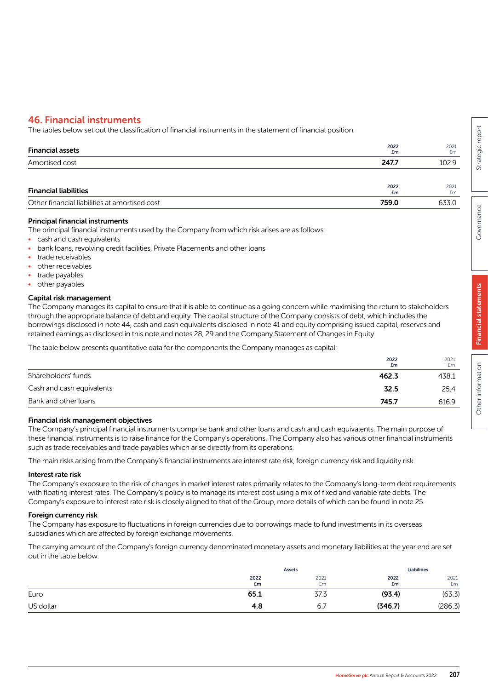## 46. Financial instruments

The tables below set out the classification of financial instruments in the statement of financial position:

| <b>Financial assets</b>                       | 2022<br>£m | 2021<br>£m |
|-----------------------------------------------|------------|------------|
| Amortised cost                                | 247.7      | 102.9      |
|                                               | 2022       | 2021       |
| <b>Financial liabilities</b>                  | £m         | £m         |
| Other financial liabilities at amortised cost | 759.0      | 633.0      |

#### Principal financial instruments

The principal financial instruments used by the Company from which risk arises are as follows:

- cash and cash equivalents
- bank loans, revolving credit facilities, Private Placements and other loans
- trade receivables
- other receivables
- trade payables
- other payables

#### Capital risk management

The Company manages its capital to ensure that it is able to continue as a going concern while maximising the return to stakeholders through the appropriate balance of debt and equity. The capital structure of the Company consists of debt, which includes the borrowings disclosed in note 44, cash and cash equivalents disclosed in note 41 and equity comprising issued capital, reserves and retained earnings as disclosed in this note and notes 28, 29 and the Company Statement of Changes in Equity.

The table below presents quantitative data for the components the Company manages as capital:

|                           | 2022<br>£m | 2021<br>£m |
|---------------------------|------------|------------|
| Shareholders' funds       | 462.3      | 438.1      |
| Cash and cash equivalents | 32.5       | 25.4       |
| Bank and other loans      | 745.7      | 616.9      |
|                           |            |            |

#### Financial risk management objectives

The Company's principal financial instruments comprise bank and other loans and cash and cash equivalents. The main purpose of these financial instruments is to raise finance for the Company's operations. The Company also has various other financial instruments such as trade receivables and trade payables which arise directly from its operations.

The main risks arising from the Company's financial instruments are interest rate risk, foreign currency risk and liquidity risk.

#### Interest rate risk

The Company's exposure to the risk of changes in market interest rates primarily relates to the Company's long-term debt requirements with floating interest rates. The Company's policy is to manage its interest cost using a mix of fixed and variable rate debts. The Company's exposure to interest rate risk is closely aligned to that of the Group, more details of which can be found in note 25.

#### Foreign currency risk

The Company has exposure to fluctuations in foreign currencies due to borrowings made to fund investments in its overseas subsidiaries which are affected by foreign exchange movements.

The carrying amount of the Company's foreign currency denominated monetary assets and monetary liabilities at the year end are set out in the table below.

|           | Assets     |                   |            | <b>Liabilities</b> |  |
|-----------|------------|-------------------|------------|--------------------|--|
|           | 2022<br>£m | 2021<br>£m        | 2022<br>£m | 2021<br>£m         |  |
| Euro      | 65.1       | 37.3              | (93.4)     | (63.3)             |  |
| US dollar | 4.8        | $\sim$ $-$<br>6.7 | (346.7)    | (286.3)            |  |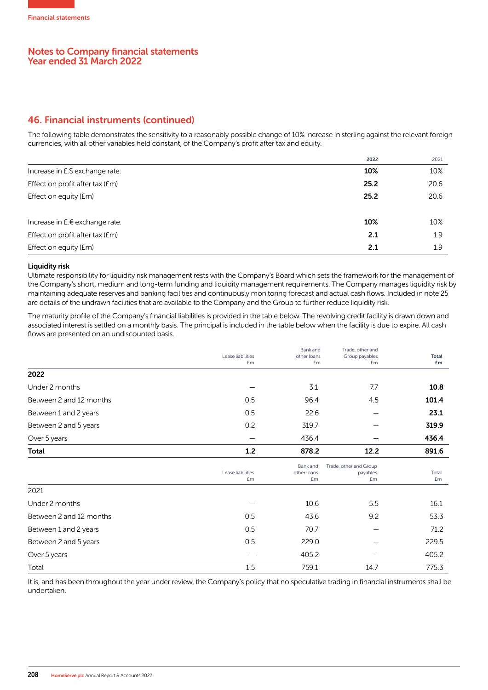## 46. Financial instruments (continued)

The following table demonstrates the sensitivity to a reasonably possible change of 10% increase in sterling against the relevant foreign currencies, with all other variables held constant, of the Company's profit after tax and equity.

|                                 | 2022 | 2021 |
|---------------------------------|------|------|
| Increase in £:\$ exchange rate: | 10%  | 10%  |
| Effect on profit after tax (Em) | 25.2 | 20.6 |
| Effect on equity (Em)           | 25.2 | 20.6 |
| Increase in £:€ exchange rate:  | 10%  | 10%  |
| Effect on profit after tax (Em) | 2.1  | 1.9  |
| Effect on equity (Em)           | 2.1  | 1.9  |

#### Liquidity risk

Ultimate responsibility for liquidity risk management rests with the Company's Board which sets the framework for the management of the Company's short, medium and long-term funding and liquidity management requirements. The Company manages liquidity risk by maintaining adequate reserves and banking facilities and continuously monitoring forecast and actual cash flows. Included in note 25 are details of the undrawn facilities that are available to the Company and the Group to further reduce liquidity risk.

The maturity profile of the Company's financial liabilities is provided in the table below. The revolving credit facility is drawn down and associated interest is settled on a monthly basis. The principal is included in the table below when the facility is due to expire. All cash flows are presented on an undiscounted basis.

|                         | Lease liabilities<br>£m | Bank and<br>other loans<br>£m | Trade, other and<br>Group payables<br>£m | <b>Total</b><br>£m |
|-------------------------|-------------------------|-------------------------------|------------------------------------------|--------------------|
| 2022                    |                         |                               |                                          |                    |
| Under 2 months          |                         | 3.1                           | 7.7                                      | 10.8               |
| Between 2 and 12 months | 0.5                     | 96.4                          | 4.5                                      | 101.4              |
| Between 1 and 2 years   | 0.5                     | 22.6                          |                                          | 23.1               |
| Between 2 and 5 years   | 0.2                     | 319.7                         |                                          | 319.9              |
| Over 5 years            |                         | 436.4                         |                                          | 436.4              |
| Total                   | 1.2                     | 878.2                         | 12.2                                     | 891.6              |
|                         | Lease liabilities<br>£m | Bank and<br>other loans<br>£m | Trade, other and Group<br>payables<br>£m | Total<br>£m        |
| 2021                    |                         |                               |                                          |                    |
| Under 2 months          |                         | 10.6                          | 5.5                                      | 16.1               |
| Between 2 and 12 months | 0.5                     | 43.6                          | 9.2                                      | 53.3               |
| Between 1 and 2 years   | 0.5                     | 70.7                          |                                          | 71.2               |
| Between 2 and 5 years   | 0.5                     | 229.0                         |                                          | 229.5              |
| Over 5 years            |                         | 405.2                         |                                          | 405.2              |
| Total                   | 1.5                     | 759.1                         | 14.7                                     | 775.3              |

It is, and has been throughout the year under review, the Company's policy that no speculative trading in financial instruments shall be undertaken.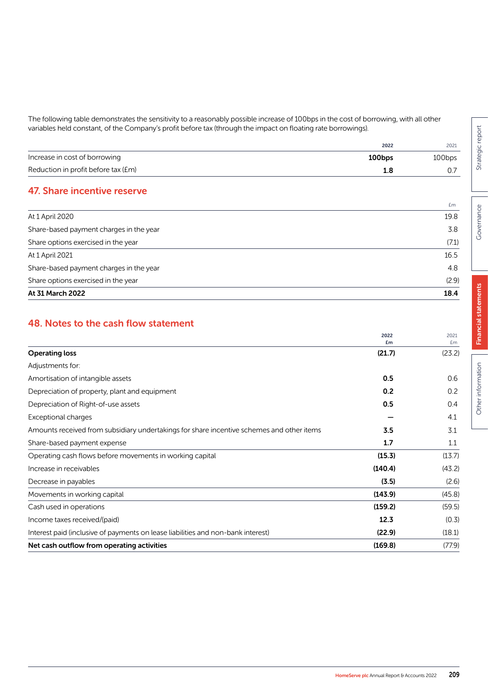The following table demonstrates the sensitivity to a reasonably possible increase of 100bps in the cost of borrowing, with all other variables held constant, of the Company's profit before tax (through the impact on floating rate borrowings).

|                                     | 2022   | 2021               |
|-------------------------------------|--------|--------------------|
| Increase in cost of borrowing       | 100bps | 100 <sub>bps</sub> |
| Reduction in profit before tax (£m) |        |                    |

### 47. Share incentive reserve

| At 31 March 2022                        | 18.4      |
|-----------------------------------------|-----------|
| Share options exercised in the year     | (2.9)     |
| Share-based payment charges in the year | 4.8       |
| At 1 April 2021                         | 16.5      |
| Share options exercised in the year     | (7.1)     |
| Share-based payment charges in the year | 3.8       |
| At 1 April 2020                         | 19.8      |
|                                         | <b>£m</b> |

## 48. Notes to the cash flow statement

|                                                                                           | 2022<br>£m | 2021<br>£m |
|-------------------------------------------------------------------------------------------|------------|------------|
| <b>Operating loss</b>                                                                     | (21.7)     | (23.2)     |
| Adjustments for:                                                                          |            |            |
| Amortisation of intangible assets                                                         | 0.5        | 0.6        |
| Depreciation of property, plant and equipment                                             | 0.2        | 0.2        |
| Depreciation of Right-of-use assets                                                       | 0.5        | 0.4        |
| Exceptional charges                                                                       |            | 4.1        |
| Amounts received from subsidiary undertakings for share incentive schemes and other items | 3.5        | 3.1        |
| Share-based payment expense                                                               | 1.7        | 1.1        |
| Operating cash flows before movements in working capital                                  | (15.3)     | (13.7)     |
| Increase in receivables                                                                   | (140.4)    | (43.2)     |
| Decrease in payables                                                                      | (3.5)      | (2.6)      |
| Movements in working capital                                                              | (143.9)    | (45.8)     |
| Cash used in operations                                                                   | (159.2)    | (59.5)     |
| Income taxes received/(paid)                                                              | 12.3       | (0.3)      |
| Interest paid (inclusive of payments on lease liabilities and non-bank interest)          | (22.9)     | (18.1)     |
| Net cash outflow from operating activities                                                | (169.8)    | (77.9)     |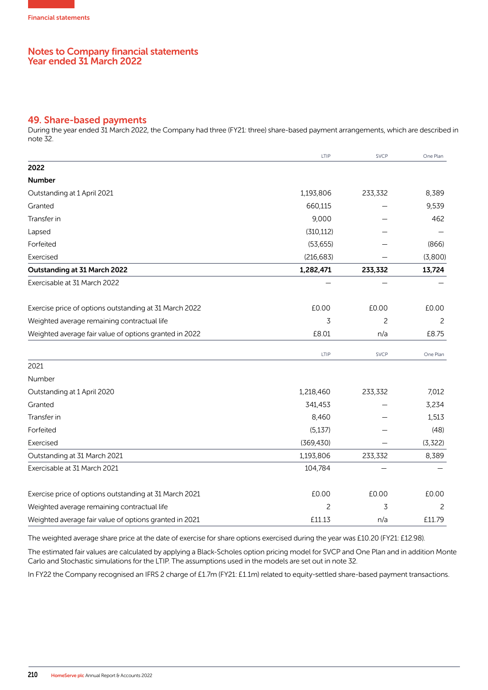

#### Notes to Company financial statements Year ended 31 March 2022

#### 49. Share-based payments

During the year ended 31 March 2022, the Company had three (FY21: three) share-based payment arrangements, which are described in note 32.

|                                                        | LTIP       | <b>SVCP</b>    | One Plan       |
|--------------------------------------------------------|------------|----------------|----------------|
| 2022                                                   |            |                |                |
| <b>Number</b>                                          |            |                |                |
| Outstanding at 1 April 2021                            | 1,193,806  | 233,332        | 8,389          |
| Granted                                                | 660,115    |                | 9,539          |
| Transfer in                                            | 9,000      |                | 462            |
| Lapsed                                                 | (310, 112) |                |                |
| Forfeited                                              | (53, 655)  |                | (866)          |
| Exercised                                              | (216, 683) |                | (3,800)        |
| Outstanding at 31 March 2022                           | 1,282,471  | 233,332        | 13,724         |
| Exercisable at 31 March 2022                           |            |                |                |
| Exercise price of options outstanding at 31 March 2022 | £0.00      | £0.00          | £0.00          |
| Weighted average remaining contractual life            | 3          | $\overline{c}$ | $\overline{c}$ |
| Weighted average fair value of options granted in 2022 | £8.01      | n/a            | £8.75          |
|                                                        | LTIP       | <b>SVCP</b>    | One Plan       |
| 2021                                                   |            |                |                |
| Number                                                 |            |                |                |
| Outstanding at 1 April 2020                            | 1,218,460  | 233,332        | 7,012          |
| Granted                                                | 341,453    |                | 3,234          |
| Transfer in                                            | 8,460      |                | 1,513          |
| Forfeited                                              | (5, 137)   |                | (48)           |
| Exercised                                              | (369, 430) |                | (3, 322)       |
| Outstanding at 31 March 2021                           | 1,193,806  | 233,332        | 8,389          |
| Exercisable at 31 March 2021                           | 104,784    |                |                |
| Exercise price of options outstanding at 31 March 2021 | £0.00      | £0.00          | £0.00          |
| Weighted average remaining contractual life            | 2          | 3              | 2              |
| Weighted average fair value of options granted in 2021 | £11.13     | n/a            | £11.79         |

The weighted average share price at the date of exercise for share options exercised during the year was £10.20 (FY21: £12.98).

The estimated fair values are calculated by applying a Black-Scholes option pricing model for SVCP and One Plan and in addition Monte Carlo and Stochastic simulations for the LTIP. The assumptions used in the models are set out in note 32.

In FY22 the Company recognised an IFRS 2 charge of £1.7m (FY21: £1.1m) related to equity-settled share-based payment transactions.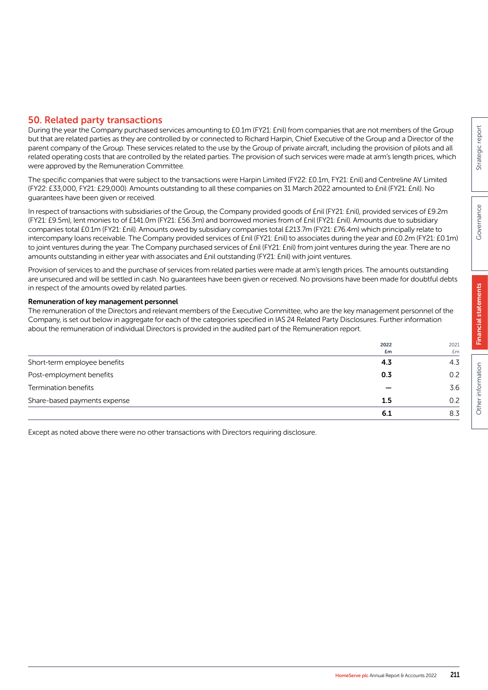# 50. Related party transactions

During the year the Company purchased services amounting to £0.1m (FY21: £nil) from companies that are not members of the Group but that are related parties as they are controlled by or connected to Richard Harpin, Chief Executive of the Group and a Director of the parent company of the Group. These services related to the use by the Group of private aircraft, including the provision of pilots and all related operating costs that are controlled by the related parties. The provision of such services were made at arm's length prices, which were approved by the Remuneration Committee.

The specific companies that were subject to the transactions were Harpin Limited (FY22: £0.1m, FY21: £nil) and Centreline AV Limited (FY22: £33,000, FY21: £29,000). Amounts outstanding to all these companies on 31 March 2022 amounted to £nil (FY21: £nil). No guarantees have been given or received.

In respect of transactions with subsidiaries of the Group, the Company provided goods of £nil (FY21: £nil), provided services of £9.2m (FY21: £9.5m), lent monies to of £141.0m (FY21: £56.3m) and borrowed monies from of £nil (FY21: £nil). Amounts due to subsidiary companies total £0.1m (FY21: £nil). Amounts owed by subsidiary companies total £213.7m (FY21: £76.4m) which principally relate to intercompany loans receivable. The Company provided services of £nil (FY21: £nil) to associates during the year and £0.2m (FY21: £0.1m) to joint ventures during the year. The Company purchased services of £nil (FY21: £nil) from joint ventures during the year. There are no amounts outstanding in either year with associates and £nil outstanding (FY21: £nil) with joint ventures.

Provision of services to and the purchase of services from related parties were made at arm's length prices. The amounts outstanding are unsecured and will be settled in cash. No guarantees have been given or received. No provisions have been made for doubtful debts in respect of the amounts owed by related parties.

#### Remuneration of key management personnel

The remuneration of the Directors and relevant members of the Executive Committee, who are the key management personnel of the Company, is set out below in aggregate for each of the categories specified in IAS 24 Related Party Disclosures. Further information about the remuneration of individual Directors is provided in the audited part of the Remuneration report.

|                              | 2022 | 2021 |
|------------------------------|------|------|
|                              | £m   | £m   |
| Short-term employee benefits | 4.3  | 4.3  |
| Post-employment benefits     | 0.3  | 0.2  |
| Termination benefits         |      | 3.6  |
| Share-based payments expense | 1.5  | 0.2  |
|                              | 6.1  | 8.3  |

Except as noted above there were no other transactions with Directors requiring disclosure.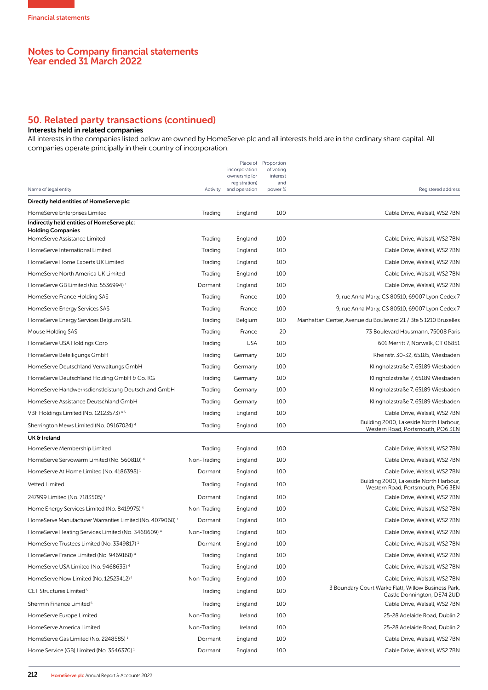#### Notes to Company financial statements Year ended 31 March 2022

## 50. Related party transactions (continued)

#### Interests held in related companies

All interests in the companies listed below are owned by HomeServe plc and all interests held are in the ordinary share capital. All companies operate principally in their country of incorporation.

|                                                                      |             | incorporation                  | Place of Proportion<br>of voting |                                                                                    |
|----------------------------------------------------------------------|-------------|--------------------------------|----------------------------------|------------------------------------------------------------------------------------|
|                                                                      |             | ownership (or                  | interest                         |                                                                                    |
| Name of legal entity                                                 | Activity    | registration)<br>and operation | and<br>power %                   | Registered address                                                                 |
| Directly held entities of HomeServe plc:                             |             |                                |                                  |                                                                                    |
| HomeServe Enterprises Limited                                        | Trading     | England                        | 100                              | Cable Drive, Walsall, WS2 7BN                                                      |
| Indirectly held entities of HomeServe plc:                           |             |                                |                                  |                                                                                    |
| <b>Holding Companies</b><br>HomeServe Assistance Limited             | Trading     | England                        | 100                              | Cable Drive, Walsall, WS2 7BN                                                      |
| HomeServe International Limited                                      | Trading     | England                        | 100                              | Cable Drive, Walsall, WS2 7BN                                                      |
| HomeServe Home Experts UK Limited                                    | Trading     | England                        | 100                              | Cable Drive, Walsall, WS2 7BN                                                      |
| HomeServe North America UK Limited                                   | Trading     | England                        | 100                              | Cable Drive, Walsall, WS2 7BN                                                      |
| HomeServe GB Limited (No. 5536994) <sup>1</sup>                      | Dormant     | England                        | 100                              | Cable Drive, Walsall, WS2 7BN                                                      |
| HomeServe France Holding SAS                                         | Trading     | France                         | 100                              | 9, rue Anna Marly, CS 80510, 69007 Lyon Cedex 7                                    |
| HomeServe Energy Services SAS                                        | Trading     | France                         | 100                              | 9, rue Anna Marly, CS 80510, 69007 Lyon Cedex 7                                    |
| HomeServe Energy Services Belgium SRL                                | Trading     | Belgium                        | 100                              | Manhattan Center, Avenue du Boulevard 21 / Bte 5 1210 Bruxelles                    |
| Mouse Holding SAS                                                    | Trading     | France                         | 20                               | 73 Boulevard Hausmann, 75008 Paris                                                 |
| HomeServe USA Holdings Corp                                          | Trading     | <b>USA</b>                     | 100                              | 601 Merritt 7, Norwalk, CT 06851                                                   |
| HomeServe Beteiligungs GmbH                                          | Trading     | Germany                        | 100                              | Rheinstr. 30-32, 65185, Wiesbaden                                                  |
| HomeServe Deutschland Verwaltungs GmbH                               | Trading     | Germany                        | 100                              | Klingholzstraße 7, 65189 Wiesbaden                                                 |
| HomeServe Deutschland Holding GmbH & Co. KG                          | Trading     | Germany                        | 100                              | Klingholzstraße 7, 65189 Wiesbaden                                                 |
| HomeServe Handwerksdienstleistung Deutschland GmbH                   | Trading     | Germany                        | 100                              | Klingholzstraße 7, 65189 Wiesbaden                                                 |
| HomeServe Assistance Deutschland GmbH                                | Trading     | Germany                        | 100                              | Klingholzstraße 7, 65189 Wiesbaden                                                 |
| VBF Holdings Limited (No. 12123573) 45                               | Trading     | England                        | 100                              | Cable Drive, Walsall, WS2 7BN                                                      |
| Sherrington Mews Limited (No. 09167024) 4                            | Trading     | England                        | 100                              | Building 2000, Lakeside North Harbour,<br>Western Road, Portsmouth, PO6 3EN        |
| UK & Ireland                                                         |             |                                |                                  |                                                                                    |
| HomeServe Membership Limited                                         | Trading     | England                        | 100                              | Cable Drive, Walsall, WS2 7BN                                                      |
| HomeServe Servowarm Limited (No. 560810) <sup>4</sup>                | Non-Trading | England                        | 100                              | Cable Drive, Walsall, WS2 7BN                                                      |
| HomeServe At Home Limited (No. 4186398) <sup>1</sup>                 | Dormant     | England                        | 100                              | Cable Drive, Walsall, WS2 7BN                                                      |
| Vetted Limited                                                       | Trading     | England                        | 100                              | Building 2000, Lakeside North Harbour,<br>Western Road, Portsmouth, PO6 3EN        |
| 247999 Limited (No. 7183505) <sup>1</sup>                            | Dormant     | England                        | 100                              | Cable Drive, Walsall, WS2 7BN                                                      |
| Home Energy Services Limited (No. 8419975) <sup>4</sup>              | Non-Trading | England                        | 100                              | Cable Drive, Walsall, WS2 7BN                                                      |
| HomeServe Manufacturer Warranties Limited (No. 4079068) <sup>1</sup> | Dormant     | England                        | 100                              | Cable Drive, Walsall, WS2 7BN                                                      |
| HomeServe Heating Services Limited (No. 3468609) <sup>4</sup>        | Non-Trading | England                        | 100                              | Cable Drive, Walsall, WS2 7BN                                                      |
| HomeServe Trustees Limited (No. 3349817) <sup>1</sup>                | Dormant     | England                        | 100                              | Cable Drive, Walsall, WS2 7BN                                                      |
| HomeServe France Limited (No. 9469168) <sup>4</sup>                  | Trading     | England                        | 100                              | Cable Drive, Walsall, WS2 7BN                                                      |
| HomeServe USA Limited (No. 9468635) <sup>4</sup>                     | Trading     | England                        | 100                              | Cable Drive, Walsall, WS2 7BN                                                      |
| HomeServe Now Limited (No. 12523412) <sup>4</sup>                    | Non-Trading | England                        | 100                              | Cable Drive, Walsall, WS2 7BN                                                      |
| CET Structures Limited <sup>5</sup>                                  | Trading     | England                        | 100                              | 3 Boundary Court Warke Flatt, Willow Business Park,<br>Castle Donnington, DE74 2UD |
| Shermin Finance Limited <sup>5</sup>                                 | Trading     | England                        | 100                              | Cable Drive, Walsall, WS2 7BN                                                      |
| HomeServe Europe Limited                                             | Non-Trading | Ireland                        | 100                              | 25-28 Adelaide Road, Dublin 2                                                      |
| HomeServe America Limited                                            | Non-Trading | Ireland                        | 100                              | 25-28 Adelaide Road, Dublin 2                                                      |
| HomeServe Gas Limited (No. 2248585) <sup>1</sup>                     | Dormant     | England                        | 100                              | Cable Drive, Walsall, WS2 7BN                                                      |
| Home Service (GB) Limited (No. 3546370) <sup>1</sup>                 | Dormant     | England                        | 100                              | Cable Drive, Walsall, WS2 7BN                                                      |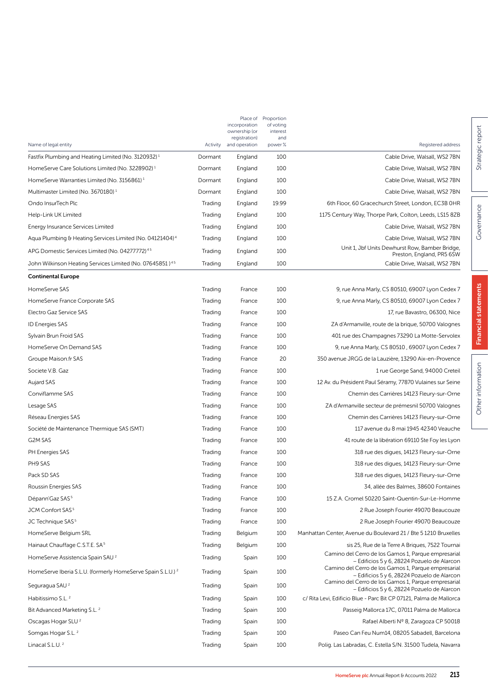|                                                                        |          | Place of<br>incorporation<br>ownership (or<br>registration) | Proportion<br>of voting<br>interest<br>and |                                                                                                    |
|------------------------------------------------------------------------|----------|-------------------------------------------------------------|--------------------------------------------|----------------------------------------------------------------------------------------------------|
| Name of legal entity                                                   | Activity | and operation                                               | power %                                    | Registered address                                                                                 |
| Fastfix Plumbing and Heating Limited (No. 3120932) <sup>1</sup>        | Dormant  | England                                                     | 100                                        | Cable Drive, Walsall, WS2 7BN                                                                      |
| HomeServe Care Solutions Limited (No. 3228902) <sup>1</sup>            | Dormant  | England                                                     | 100                                        | Cable Drive, Walsall, WS2 7BN                                                                      |
| HomeServe Warranties Limited (No. 3156861) <sup>1</sup>                | Dormant  | England                                                     | 100                                        | Cable Drive, Walsall, WS2 7BN                                                                      |
| Multimaster Limited (No. 3670180) <sup>1</sup>                         | Dormant  | England                                                     | 100                                        | Cable Drive, Walsall, WS2 7BN                                                                      |
| Ondo InsurTech Plc                                                     | Trading  | England                                                     | 19.99                                      | 6th Floor, 60 Gracechurch Street, London, EC3B 0HR                                                 |
| Help-Link UK Limited                                                   | Trading  | England                                                     | 100                                        | 1175 Century Way, Thorpe Park, Colton, Leeds, LS15 8ZB                                             |
| Energy Insurance Services Limited                                      | Trading  | England                                                     | 100                                        | Cable Drive, Walsall, WS2 7BN                                                                      |
| Aqua Plumbing & Heating Services Limited (No. 04121404) <sup>4</sup>   | Trading  | England                                                     | 100                                        | Cable Drive, Walsall, WS2 7BN                                                                      |
| APG Domestic Services Limited (No. 04277772) <sup>45</sup>             | Trading  | England                                                     | 100                                        | Unit 1, Jbf Units Dewhurst Row, Bamber Bridge,<br>Preston, England, PR5 6SW                        |
| John Wilkinson Heating Services Limited (No. 07645851) <sup>45</sup>   | Trading  | England                                                     | 100                                        | Cable Drive, Walsall, WS2 7BN                                                                      |
| <b>Continental Europe</b>                                              |          |                                                             |                                            |                                                                                                    |
| HomeServe SAS                                                          | Trading  | France                                                      | 100                                        | 9, rue Anna Marly, CS 80510, 69007 Lyon Cedex 7                                                    |
| HomeServe France Corporate SAS                                         | Trading  | France                                                      | 100                                        | 9, rue Anna Marly, CS 80510, 69007 Lyon Cedex 7                                                    |
| Electro Gaz Service SAS                                                | Trading  | France                                                      | 100                                        | 17, rue Bavastro, 06300, Nice                                                                      |
| <b>ID Energies SAS</b>                                                 | Trading  | France                                                      | 100                                        | ZA d'Armanville, route de la brique, 50700 Valognes                                                |
| Sylvain Brun Froid SAS                                                 | Trading  | France                                                      | 100                                        | 401 rue des Champagnes 73290 La Motte-Servolex                                                     |
| HomeServe On Demand SAS                                                | Trading  | France                                                      | 100                                        | 9, rue Anna Marly, CS 80510, 69007 Lyon Cedex 7                                                    |
| Groupe Maison.fr SAS                                                   | Trading  | France                                                      | 20                                         | 350 avenue JRGG de la Lauzière, 13290 Aix-en-Provence                                              |
| Societe V.B. Gaz                                                       | Trading  | France                                                      | 100                                        | 1 rue George Sand, 94000 Creteil                                                                   |
| Aujard SAS                                                             | Trading  | France                                                      | 100                                        | 12 Av. du Président Paul Séramy, 77870 Vulaines sur Seine                                          |
| Conviflamme SAS                                                        | Trading  | France                                                      | 100                                        | Chemin des Carrières 14123 Fleury-sur-Orne                                                         |
| Lesage SAS                                                             | Trading  | France                                                      | 100                                        | ZA d'Armanville secteur de prémesnil 50700 Valognes                                                |
| Réseau Energies SAS                                                    | Trading  | France                                                      | 100                                        | Chemin des Carrières 14123 Fleury-sur-Orne                                                         |
| Société de Maintenance Thermique SAS (SMT)                             | Trading  | France                                                      | 100                                        | 117 avenue du 8 mai 1945 42340 Veauche                                                             |
| G2M SAS                                                                | Trading  | France                                                      | 100                                        | 41 route de la libération 69110 Ste Foy les Lyon                                                   |
| PH Energies SAS                                                        | Trading  | France                                                      | 100                                        | 318 rue des digues, 14123 Fleury-sur-Orne                                                          |
| PH9 SAS                                                                | Trading  | France                                                      | 100                                        | 318 rue des digues, 14123 Fleury-sur-Orne                                                          |
| Pack SD SAS                                                            | Trading  | France                                                      | 100                                        | 318 rue des digues, 14123 Fleury-sur-Orne                                                          |
| Roussin Energies SAS                                                   | Trading  | France                                                      | 100                                        | 34, allée des Balmes, 38600 Fontaines                                                              |
| Dépann'Gaz SAS <sup>5</sup>                                            | Trading  | France                                                      | 100                                        | 15 Z.A. Cromel 50220 Saint-Quentin-Sur-Le-Homme                                                    |
| JCM Confort SAS <sup>5</sup>                                           | Trading  | France                                                      | 100                                        | 2 Rue Joseph Fourier 49070 Beaucouze                                                               |
| JC Technique SAS <sup>5</sup>                                          | Trading  | France                                                      | 100                                        | 2 Rue Joseph Fourier 49070 Beaucouze                                                               |
| HomeServe Belgium SRL                                                  | Trading  | Belgium                                                     | 100                                        | Manhattan Center, Avenue du Boulevard 21 / Bte 5 1210 Bruxelles                                    |
| Hainaut Chauffage C.S.T.E. SA <sup>5</sup>                             | Trading  | Belgium                                                     | 100                                        | sis 25, Rue de la Terre A Brigues, 7522 Tournai                                                    |
| HomeServe Assistencia Spain SAU <sup>2</sup>                           | Trading  | Spain                                                       | 100                                        | Camino del Cerro de los Gamos 1, Parque empresarial<br>- Edificios 5 y 6, 28224 Pozuelo de Alarcon |
| HomeServe Iberia S.L.U. (formerly HomeServe Spain S.L.U.) <sup>2</sup> | Trading  | Spain                                                       | 100                                        | Camino del Cerro de los Gamos 1, Parque empresarial<br>- Edificios 5 y 6, 28224 Pozuelo de Alarcon |
| Seguragua SAU <sup>2</sup>                                             | Trading  | Spain                                                       | 100                                        | Camino del Cerro de los Gamos 1, Parque empresarial<br>- Edificios 5 y 6, 28224 Pozuelo de Alarcon |
| Habitissimo S.L. <sup>2</sup>                                          | Trading  | Spain                                                       | 100                                        | c/ Rita Levi, Edificio Blue - Parc Bit CP 07121, Palma de Mallorca                                 |
| Bit Advanced Marketing S.L. <sup>2</sup>                               | Trading  | Spain                                                       | 100                                        | Passeig Mallorca 17C, 07011 Palma de Mallorca                                                      |
| Oscagas Hogar SLU <sup>2</sup>                                         | Trading  | Spain                                                       | 100                                        | Rafael Alberti Nº 8, Zaragoza CP 50018                                                             |
| Somgas Hogar S.L. <sup>2</sup>                                         | Trading  | Spain                                                       | 100                                        | Paseo Can Feu Num14, 08205 Sabadell, Barcelona                                                     |
| Linacal S.L.U. <sup>2</sup>                                            | Trading  | Spain                                                       | 100                                        | Polig. Las Labradas, C. Estella S/N. 31500 Tudela, Navarra                                         |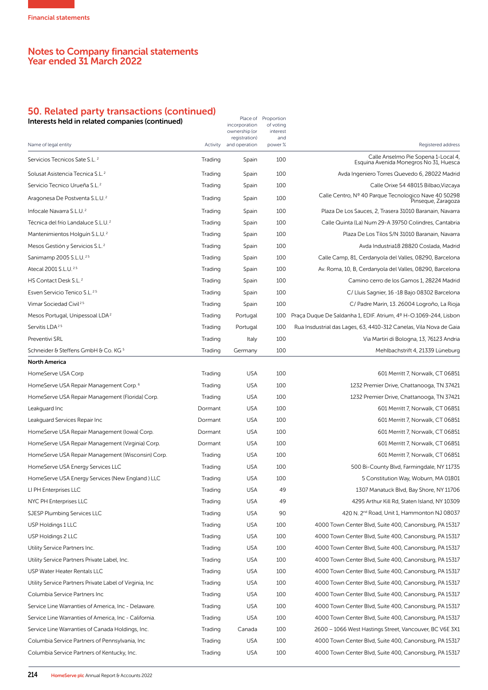#### Notes to Company financial statements Year ended 31 March 2022

## 50. Related party transactions (continued)

| Interests held in related companies (continued)         |          | incorporation<br>ownership (or<br>registration) | Place of Proportion<br>of voting<br>interest<br>and |                                                                               |
|---------------------------------------------------------|----------|-------------------------------------------------|-----------------------------------------------------|-------------------------------------------------------------------------------|
| Name of legal entity                                    | Activity | and operation                                   | power %                                             | Registered address                                                            |
| Servicios Tecnicos Sate S.L. <sup>2</sup>               | Trading  | Spain                                           | 100                                                 | Calle Anselmo Pie Sopena 1-Local 4,<br>Esquina Avenida Monegros No 31, Huesca |
| Solusat Asistencia Tecnica S.L. <sup>2</sup>            | Trading  | Spain                                           | 100                                                 | Avda Ingeniero Torres Quevedo 6, 28022 Madrid                                 |
| Servicio Tecnico Urueña S.L. <sup>2</sup>               | Trading  | Spain                                           | 100                                                 | Calle Orixe 54 48015 Bilbao, Vizcaya                                          |
| Aragonesa De Postventa S.L.U. <sup>2</sup>              | Trading  | Spain                                           | 100                                                 | Calle Centro, Nº 40 Parque Tecnologico Nave 40 50298<br>Pinseque, Zaragoza    |
| Infocale Navarra S.L.U. <sup>2</sup>                    | Trading  | Spain                                           | 100                                                 | Plaza De Los Sauces, 2, Trasera 31010 Baranain, Navarra                       |
| Técnica del frío Landaluce S.L.U. <sup>2</sup>          | Trading  | Spain                                           | 100                                                 | Calle Quinta (La) Num 29-A 39750 Colindres, Cantabria                         |
| Mantenimientos Holguín S.L.U. <sup>2</sup>              | Trading  | Spain                                           | 100                                                 | Plaza De Los Tilos S/N 31010 Baranain, Navarra                                |
| Mesos Gestión y Servicios S.L. <sup>2</sup>             | Trading  | Spain                                           | 100                                                 | Avda Industria18 28820 Coslada, Madrid                                        |
| Sanimamp 2005 S.L.U. <sup>25</sup>                      | Trading  | Spain                                           | 100                                                 | Calle Camp, 81, Cerdanyola del Valles, 08290, Barcelona                       |
| Atecal 2001 S.L.U. <sup>25</sup>                        | Trading  | Spain                                           | 100                                                 | Av. Roma, 10, B, Cerdanyola del Valles, 08290, Barcelona                      |
| HS Contact Desk S.L. <sup>2</sup>                       | Trading  | Spain                                           | 100                                                 | Camino cerro de los Gamos 1, 28224 Madrid                                     |
| Esven Servicio Tenico S.L. <sup>25</sup>                | Trading  | Spain                                           | 100                                                 | C/ Lluis Sagnier, 16 -18 Bajo 08302 Barcelona                                 |
| Vimar Sociedad Civil <sup>25</sup>                      | Trading  | Spain                                           | 100                                                 | C/ Padre Marín, 13. 26004 Logroño, La Rioja                                   |
| Mesos Portugal, Unipessoal LDA <sup>2</sup>             | Trading  | Portugal                                        | 100                                                 | Praca Duque De Saldanha 1, EDIF. Atrium, 4º H-O.1069-244, Lisbon              |
| Servitis LDA <sup>25</sup>                              | Trading  | Portugal                                        | 100                                                 | Rua Insdustrial das Lages, 63, 4410-312 Canelas, Vila Nova de Gaia            |
| Preventivi SRL                                          | Trading  | Italy                                           | 100                                                 | Via Martiri di Bologna, 13, 76123 Andria                                      |
| Schneider & Steffens GmbH & Co. KG <sup>5</sup>         | Trading  | Germany                                         | 100                                                 | Mehlbachstrift 4, 21339 Lüneburg                                              |
| <b>North America</b>                                    |          |                                                 |                                                     |                                                                               |
| HomeServe USA Corp                                      | Trading  | <b>USA</b>                                      | 100                                                 | 601 Merritt 7, Norwalk, CT 06851                                              |
| HomeServe USA Repair Management Corp. <sup>6</sup>      | Trading  | <b>USA</b>                                      | 100                                                 | 1232 Premier Drive, Chattanooga, TN 37421                                     |
| HomeServe USA Repair Management (Florida) Corp.         | Trading  | <b>USA</b>                                      | 100                                                 | 1232 Premier Drive, Chattanooga, TN 37421                                     |
| Leakguard Inc                                           | Dormant  | <b>USA</b>                                      | 100                                                 | 601 Merritt 7, Norwalk, CT 06851                                              |
| Leakguard Services Repair Inc                           | Dormant  | <b>USA</b>                                      | 100                                                 | 601 Merritt 7, Norwalk, CT 06851                                              |
| HomeServe USA Repair Management (Iowa) Corp.            | Dormant  | <b>USA</b>                                      | 100                                                 | 601 Merritt 7, Norwalk, CT 06851                                              |
| HomeServe USA Repair Management (Virginia) Corp.        | Dormant  | <b>USA</b>                                      | 100                                                 | 601 Merritt 7, Norwalk, CT 06851                                              |
| HomeServe USA Repair Management (Wisconsin) Corp.       | Trading  | <b>USA</b>                                      | 100                                                 | 601 Merritt 7, Norwalk, CT 06851                                              |
| HomeServe USA Energy Services LLC                       | Trading  | <b>USA</b>                                      | 100                                                 | 500 Bi-County Blvd, Farmingdale, NY 11735                                     |
| HomeServe USA Energy Services (New England) LLC         | Trading  | <b>USA</b>                                      | 100                                                 | 5 Constitution Way, Woburn, MA 01801                                          |
| LI PH Enterprises LLC                                   | Trading  | USA                                             | 49                                                  | 1307 Manatuck Blvd, Bay Shore, NY 11706                                       |
| NYC PH Enterprises LLC                                  | Trading  | <b>USA</b>                                      | 49                                                  | 4295 Arthur Kill Rd, Staten Island, NY 10309                                  |
| SJESP Plumbing Services LLC                             | Trading  | <b>USA</b>                                      | 90                                                  | 420 N. 2 <sup>nd</sup> Road, Unit 1, Hammonton NJ 08037                       |
| USP Holdings 1 LLC                                      | Trading  | <b>USA</b>                                      | 100                                                 | 4000 Town Center Blvd, Suite 400, Canonsburg, PA 15317                        |
| USP Holdings 2 LLC                                      | Trading  | <b>USA</b>                                      | 100                                                 | 4000 Town Center Blvd, Suite 400, Canonsburg, PA 15317                        |
| Utility Service Partners Inc.                           | Trading  | <b>USA</b>                                      | 100                                                 | 4000 Town Center Blvd, Suite 400, Canonsburg, PA 15317                        |
| Utility Service Partners Private Label, Inc.            | Trading  | <b>USA</b>                                      | 100                                                 | 4000 Town Center Blvd, Suite 400, Canonsburg, PA 15317                        |
| USP Water Heater Rentals LLC                            | Trading  | <b>USA</b>                                      | 100                                                 | 4000 Town Center Blvd, Suite 400, Canonsburg, PA 15317                        |
| Utility Service Partners Private Label of Virginia, Inc | Trading  | <b>USA</b>                                      | 100                                                 | 4000 Town Center Blvd, Suite 400, Canonsburg, PA 15317                        |
| Columbia Service Partners Inc                           | Trading  | <b>USA</b>                                      | 100                                                 | 4000 Town Center Blvd, Suite 400, Canonsburg, PA 15317                        |
| Service Line Warranties of America, Inc - Delaware.     | Trading  | <b>USA</b>                                      | 100                                                 | 4000 Town Center Blvd, Suite 400, Canonsburg, PA 15317                        |
| Service Line Warranties of America, Inc - California.   | Trading  | USA                                             | 100                                                 | 4000 Town Center Blvd, Suite 400, Canonsburg, PA 15317                        |
| Service Line Warranties of Canada Holdings, Inc.        | Trading  | Canada                                          | 100                                                 | 2600 – 1066 West Hastings Street, Vancouver, BC V6E 3X1                       |
| Columbia Service Partners of Pennsylvania, Inc          | Trading  | <b>USA</b>                                      | 100                                                 | 4000 Town Center Blvd, Suite 400, Canonsburg, PA 15317                        |
| Columbia Service Partners of Kentucky, Inc.             | Trading  | <b>USA</b>                                      | 100                                                 | 4000 Town Center Blvd, Suite 400, Canonsburg, PA 15317                        |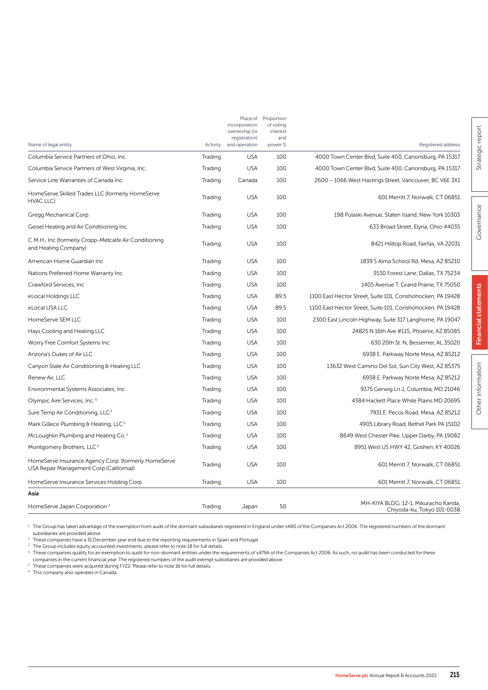| Name of legal entity                                                                             | Activity | incorporation<br>ownership (or<br>registration)<br>and operation | Place of Proportion<br>of voting<br>interest<br>and<br>power % | Registered address                                                                                    |
|--------------------------------------------------------------------------------------------------|----------|------------------------------------------------------------------|----------------------------------------------------------------|-------------------------------------------------------------------------------------------------------|
| Columbia Service Partners of Ohio, Inc.                                                          | Trading  | <b>USA</b>                                                       | 100                                                            | 4000 Town Center Blvd, Suite 400, Canonsburg, PA 15317                                                |
| Columbia Service Partners of West Virginia, Inc.                                                 | Trading  | <b>USA</b>                                                       | 100                                                            | 4000 Town Center Blvd, Suite 400, Canonsburg, PA 15317                                                |
| Service Line Warranties of Canada Inc.                                                           | Trading  | Canada                                                           | 100                                                            | 2600 - 1066 West Hastings Street, Vancouver, BC V6E 3X1                                               |
| HomeServe Skilled Trades LLC (formerly HomeServe<br><b>HVAC LLC</b> )                            | Trading  | <b>USA</b>                                                       | 100                                                            | 601 Merritt 7, Norwalk, CT 06851                                                                      |
| Gregg Mechanical Corp.                                                                           | Trading  | <b>USA</b>                                                       | 100                                                            | 198 Pulaski Avenue, Staten Island, New York 10303                                                     |
| Geisel Heating and Air Conditioning Inc.                                                         | Trading  | <b>USA</b>                                                       | 100                                                            | 633 Broad Street, Elyria, Ohio 44035                                                                  |
| C.M.H., Inc (formerly Cropp-Metcalfe Air Conditioning<br>and Heating Company)                    | Trading  | <b>USA</b>                                                       | 100                                                            | 8421 Hilltop Road, Fairfax, VA 22031                                                                  |
| American Home Guardian Inc                                                                       | Trading  | <b>USA</b>                                                       | 100                                                            | 1839 S Alma School Rd, Mesa, AZ 85210                                                                 |
| Nations Preferred Home Warranty Inc                                                              | Trading  | <b>USA</b>                                                       | 100                                                            | 3530 Forest Lane, Dallas, TX 75234                                                                    |
| Crawford Services, Inc.                                                                          | Trading  | <b>USA</b>                                                       | 100                                                            | 1405 Avenue T. Grand Prairie, TX 75050                                                                |
| eLocal Holdings LLC                                                                              | Trading  | <b>USA</b>                                                       | 89.5                                                           | 1100 East Hector Street, Suite 101, Conshohocken, PA 19428                                            |
| eLocal USA LLC                                                                                   | Trading  | <b>USA</b>                                                       | 89.5                                                           | 1100 East Hector Street, Suite 101, Conshohocken, PA 19428                                            |
| HomeServe SEM LLC                                                                                | Trading  | <b>USA</b>                                                       | 100                                                            | 2300 East Lincoln Highway, Suite 317 Langhorne, PA 19047                                              |
| Hays Cooling and Heating LLC                                                                     | Trading  | <b>USA</b>                                                       | 100                                                            | 24825 N 16th Ave #115, Phoenix, AZ 85085                                                              |
| Worry Free Comfort Systems Inc                                                                   | Trading  | <b>USA</b>                                                       | 100                                                            | 630 20th St. N, Bessemer, AL 35020                                                                    |
| Arizona's Dukes of Air LLC                                                                       | Trading  | <b>USA</b>                                                       | 100                                                            | 6938 E. Parkway Norte Mesa, AZ 85212                                                                  |
| Canyon State Air Conditioning & Heating LLC                                                      | Trading  | <b>USA</b>                                                       | 100                                                            | 13632 West Camino Del Sol, Sun City West, AZ 85375                                                    |
| Renew Air, LLC                                                                                   | Trading  | <b>USA</b>                                                       | 100                                                            | 6938 E. Parkway Norte Mesa, AZ 85212                                                                  |
| Environmental Systems Associates, Inc.                                                           | Trading  | <b>USA</b>                                                       | 100                                                            | 9375 Gerwig Ln J, Columbia, MD 21046                                                                  |
| Olympic Aire Services, Inc. <sup>5</sup>                                                         | Trading  | <b>USA</b>                                                       | 100                                                            | 4384 Hackett Place White Plains MD 20695                                                              |
| Sure Temp Air Conditioning, LLC <sup>5</sup>                                                     | Trading  | <b>USA</b>                                                       | 100                                                            | 7931 E. Pecos Road, Mesa, AZ 85212                                                                    |
| Mark Gillece Plumbing & Heating, LLC <sup>5</sup>                                                | Trading  | <b>USA</b>                                                       | 100                                                            | 4905 Library Road, Bethel Park PA 15102                                                               |
| McLoughlin Plumbing and Heating Co. <sup>5</sup>                                                 | Trading  | <b>USA</b>                                                       | 100                                                            | 8649 West Chester Pike, Upper Darby, PA 19082                                                         |
| Montgomery Brothers, LLC <sup>5</sup>                                                            | Trading  | <b>USA</b>                                                       | 100                                                            | 8951 West US HWY 42, Goshen, KY 40026                                                                 |
| HomeServe Insurance Agency Corp. (formerly HomeServe<br>USA Repair Management Corp (California)) | Trading  | <b>USA</b>                                                       | 100                                                            | 601 Merritt 7, Norwalk, CT 06851                                                                      |
| HomeServe Insurance Services Holding Corp                                                        | Trading  | <b>USA</b>                                                       | 100                                                            | 601 Merritt 7, Norwalk, CT 06851                                                                      |
| Asia                                                                                             |          |                                                                  |                                                                |                                                                                                       |
| HomeServe Japan Corporation <sup>3</sup>                                                         | Trading  | Japan                                                            | 50                                                             | MH-KIYA BLDG. 12-1, Mikuracho Kanda,<br>$C_{\text{binomial}}$ $\mu$ , $T_{\text{binomial}}$ 101, 0070 |

<sup>1</sup> The Group has taken advantage of the exemption from audit of the dormant subsidiaries registered in England under s480 of the Companies Act 2006. The registered numbers of the dormant subsidiaries are provided above.

<sup>2</sup> These companies have a 31 December year end due to the reporting requirements in Spain and Portugal.

<sup>3</sup> The Group includes equity accounted investments; please refer to note 18 for full details.

4 These companies qualify for an exemption to audit for non-dormant entities under the requirements of s479A of the Companies Act 2006. As such, no audit has been conducted for these<br>companies in the current financial year

<sup>5</sup> These companies were acquired during FY22. Please refer to note 16 for full details.

<sup>6</sup> This company also operates in Canada.

Chiyoda-ku, Tokyo 101-0038

Governance || Strategic report

Governance

Strategic report

Financial statements

**Financial statements** 

Other information

Other information